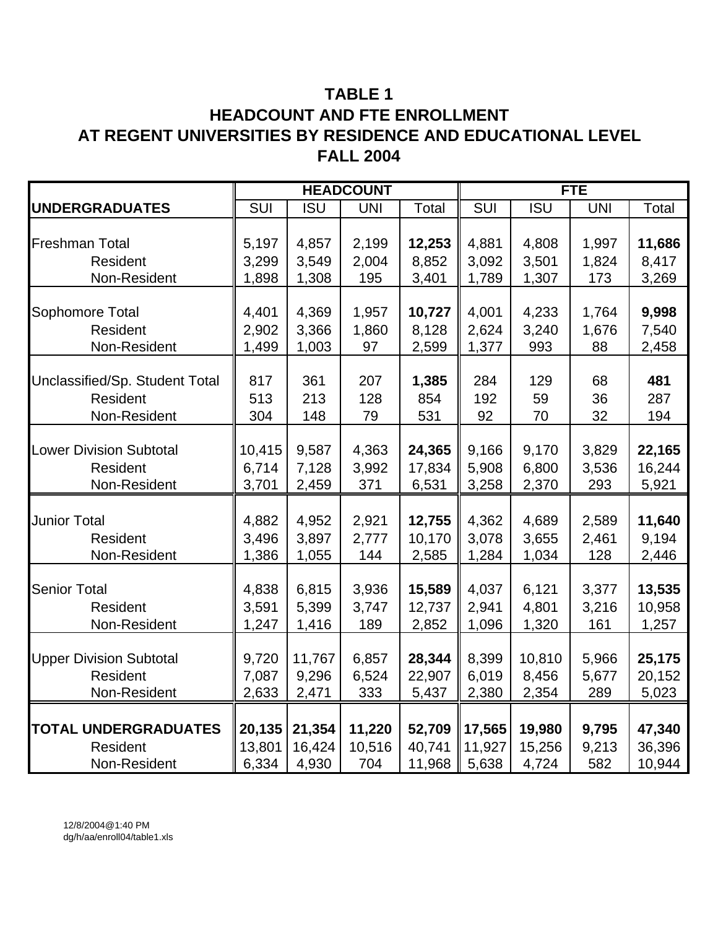# **TABLE 1 HEADCOUNT AND FTE ENROLLMENT AT REGENT UNIVERSITIES BY RESIDENCE AND EDUCATIONAL LEVEL FALL 2004**

|                                |        |            | <b>HEADCOUNT</b> |        |        |            | <b>FTE</b> |        |
|--------------------------------|--------|------------|------------------|--------|--------|------------|------------|--------|
| <b>UNDERGRADUATES</b>          | SUI    | <b>ISU</b> | <b>UNI</b>       | Total  | SUI    | <b>ISU</b> | <b>UNI</b> | Total  |
|                                |        |            |                  |        |        |            |            |        |
| <b>Freshman Total</b>          | 5,197  | 4,857      | 2,199            | 12,253 | 4,881  | 4,808      | 1,997      | 11,686 |
| Resident                       | 3,299  | 3,549      | 2,004            | 8,852  | 3,092  | 3,501      | 1,824      | 8,417  |
| Non-Resident                   | 1,898  | 1,308      | 195              | 3,401  | 1,789  | 1,307      | 173        | 3,269  |
|                                |        |            |                  |        |        |            |            |        |
| Sophomore Total                | 4,401  | 4,369      | 1,957            | 10,727 | 4,001  | 4,233      | 1,764      | 9,998  |
| Resident                       | 2,902  | 3,366      | 1,860            | 8,128  | 2,624  | 3,240      | 1,676      | 7,540  |
| Non-Resident                   | 1,499  | 1,003      | 97               | 2,599  | 1,377  | 993        | 88         | 2,458  |
|                                |        |            |                  |        |        |            |            |        |
| Unclassified/Sp. Student Total | 817    | 361        | 207              | 1,385  | 284    | 129        | 68         | 481    |
| Resident                       | 513    | 213        | 128              | 854    | 192    | 59         | 36         | 287    |
| Non-Resident                   | 304    | 148        | 79               | 531    | 92     | 70         | 32         | 194    |
|                                |        |            |                  |        |        |            |            |        |
| <b>Lower Division Subtotal</b> | 10,415 | 9,587      | 4,363            | 24,365 | 9,166  | 9,170      | 3,829      | 22,165 |
| Resident                       | 6,714  | 7,128      | 3,992            | 17,834 | 5,908  | 6,800      | 3,536      | 16,244 |
| Non-Resident                   | 3,701  | 2,459      | 371              | 6,531  | 3,258  | 2,370      | 293        | 5,921  |
|                                |        |            |                  |        |        |            |            |        |
| <b>Junior Total</b>            | 4,882  | 4,952      | 2,921            | 12,755 | 4,362  | 4,689      | 2,589      | 11,640 |
| Resident                       | 3,496  | 3,897      | 2,777            | 10,170 | 3,078  | 3,655      | 2,461      | 9,194  |
| Non-Resident                   | 1,386  | 1,055      | 144              | 2,585  | 1,284  | 1,034      | 128        | 2,446  |
|                                |        |            |                  |        |        |            |            |        |
| <b>Senior Total</b>            | 4,838  | 6,815      | 3,936            | 15,589 | 4,037  | 6,121      | 3,377      | 13,535 |
| Resident                       | 3,591  | 5,399      | 3,747            | 12,737 | 2,941  | 4,801      | 3,216      | 10,958 |
| Non-Resident                   | 1,247  | 1,416      | 189              | 2,852  | 1,096  | 1,320      | 161        | 1,257  |
|                                |        |            |                  |        |        |            |            |        |
| <b>Upper Division Subtotal</b> | 9,720  | 11,767     | 6,857            | 28,344 | 8,399  | 10,810     | 5,966      | 25,175 |
| Resident                       | 7,087  | 9,296      | 6,524            | 22,907 | 6,019  | 8,456      | 5,677      | 20,152 |
| Non-Resident                   | 2,633  | 2,471      | 333              | 5,437  | 2,380  | 2,354      | 289        | 5,023  |
|                                |        |            |                  |        |        |            |            |        |
| <b>TOTAL UNDERGRADUATES</b>    | 20,135 | 21,354     | 11,220           | 52,709 | 17,565 | 19,980     | 9,795      | 47,340 |
| Resident                       | 13,801 | 16,424     | 10,516           | 40,741 | 11,927 | 15,256     | 9,213      | 36,396 |
| Non-Resident                   | 6,334  | 4,930      | 704              | 11,968 | 5,638  | 4,724      | 582        | 10,944 |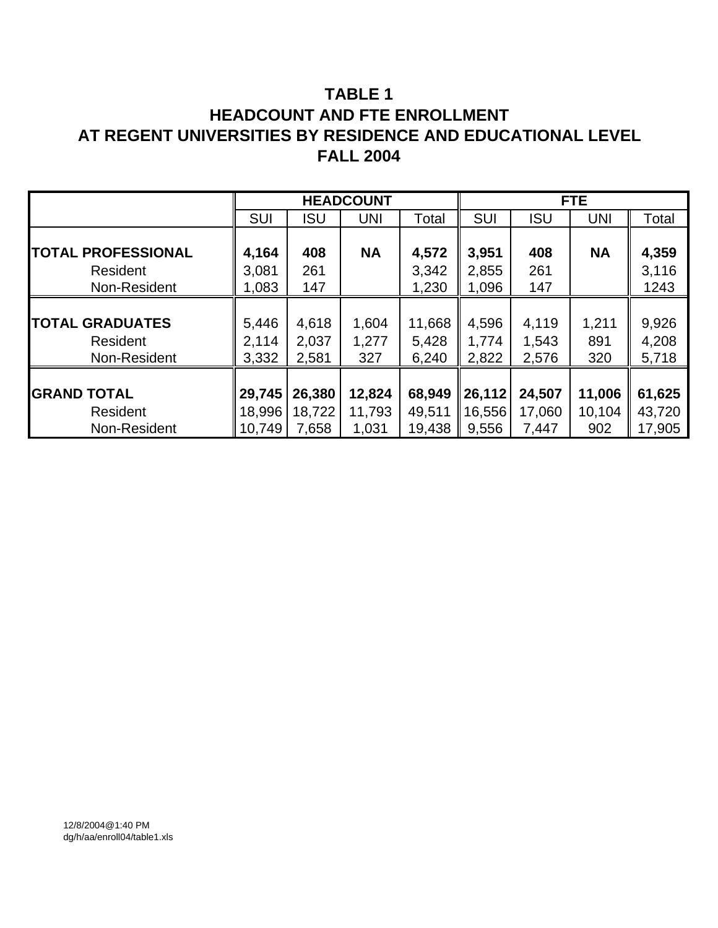# **TABLE 1 HEADCOUNT AND FTE ENROLLMENT AT REGENT UNIVERSITIES BY RESIDENCE AND EDUCATIONAL LEVEL FALL 2004**

|                           |            |            | <b>HEADCOUNT</b> |        |            |            | <b>FTE</b> |        |
|---------------------------|------------|------------|------------------|--------|------------|------------|------------|--------|
|                           | <b>SUI</b> | <b>ISU</b> | <b>UNI</b>       | Total  | <b>SUI</b> | <b>ISU</b> | <b>UNI</b> | Total  |
|                           |            |            |                  |        |            |            |            |        |
| <b>TOTAL PROFESSIONAL</b> | 4,164      | 408        | <b>NA</b>        | 4,572  | 3,951      | 408        | <b>NA</b>  | 4,359  |
| Resident                  | 3,081      | 261        |                  | 3,342  | 2,855      | 261        |            | 3,116  |
| Non-Resident              | 1,083      | 147        |                  | 1,230  | 1,096      | 147        |            | 1243   |
|                           |            |            |                  |        |            |            |            |        |
| <b>TOTAL GRADUATES</b>    | 5,446      | 4,618      | 1,604            | 11,668 | 4,596      | 4,119      | 1,211      | 9,926  |
| Resident                  | 2.114      | 2,037      | 1,277            | 5,428  | 1,774      | 1,543      | 891        | 4,208  |
| Non-Resident              | 3,332      | 2,581      | 327              | 6,240  | 2,822      | 2,576      | 320        | 5,718  |
|                           |            |            |                  |        |            |            |            |        |
| <b>GRAND TOTAL</b>        | 29,745     | 26,380     | 12,824           | 68,949 | 26,112     | 24,507     | 11,006     | 61,625 |
| Resident                  | 18,996     | 18,722     | 11,793           | 49,511 | 16,556     | 17,060     | 10,104     | 43,720 |
| Non-Resident              | 10,749     | 7,658      | 1,031            | 19,438 | 9,556      | 7,447      | 902        | 17,905 |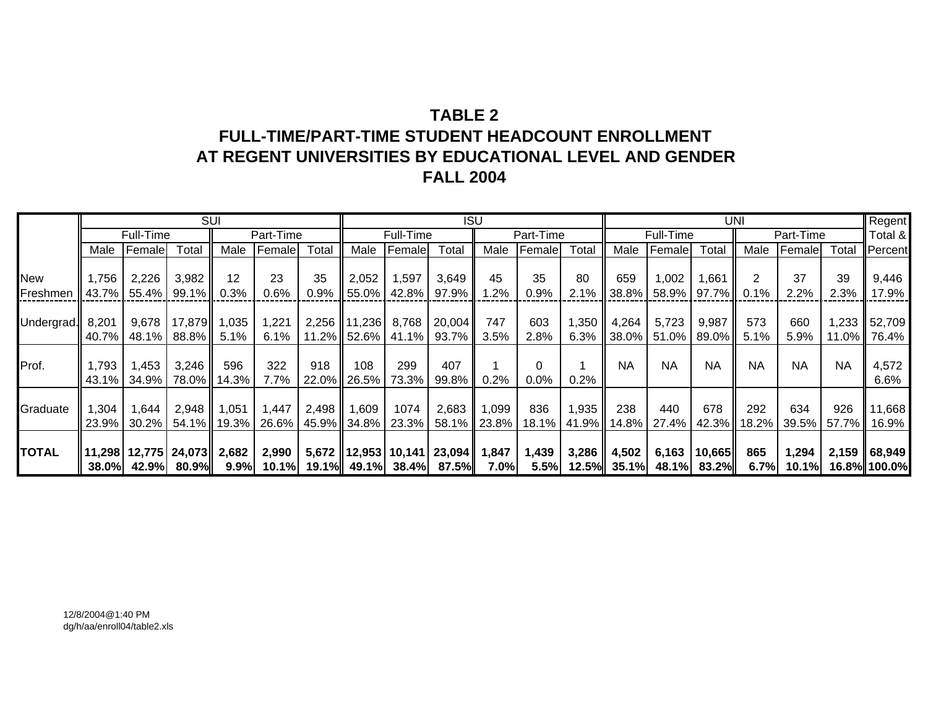# **TABLE 2FULL-TIME/PART-TIME STUDENT HEADCOUNT ENROLLMENTAT REGENT UNIVERSITIES BY EDUCATIONAL LEVEL AND GENDER FALL 2004**

|              |              |           |                          | <b>SUI</b> |           |                 |              |           | <b>ISU</b>                         |         |           |       |                |           | <b>UNI</b>  |           |           |           | Regent       |
|--------------|--------------|-----------|--------------------------|------------|-----------|-----------------|--------------|-----------|------------------------------------|---------|-----------|-------|----------------|-----------|-------------|-----------|-----------|-----------|--------------|
|              |              | Full-Time |                          |            | Part-Time |                 |              | Full-Time |                                    |         | Part-Time |       |                | Full-Time |             |           | Part-Time |           | Total &      |
|              | Male         | Female    | Total                    | Male       | Female    | Total           | Male         | Female    | Total                              | Male    | Female    | Total | Male           | Female    | Total       | Male      | Female    | Total     | Percent      |
|              |              |           |                          |            |           |                 |              |           |                                    |         |           |       |                |           |             |           |           |           |              |
| New          | ,756         | 2,226     | 3,982                    | 12         | 23        | 35              | 2,052        | 1,597     | 3,649                              | 45      | 35        | 80    | 659            | 1,002     | 1,661       |           | 37        | 39        | 9,446        |
| Freshmen     | 43.7%        |           | 55.4%   99.1%            | 0.3%       | 0.6%      | 0.9%            | 55.0%        | 42.8%     | 97.9%                              | $1.2\%$ | 0.9%      | 2.1%  | $38.8\%$       | 58.9%     | 97.7% ll    | 0.1%      | 2.2%      | 2.3%      | 17.9%        |
|              |              |           |                          |            |           |                 |              |           |                                    |         |           |       |                |           |             |           |           |           |              |
| Undergrad.   | 8,201        | 9,678     | 17,879 1,035             |            | 1,221     |                 | 2,256 11,236 | 8,768     | 20,004                             | 747     | 603       | 1,350 | 4,264          | 5,723     | 9,987       | 573       | 660       | ∥ 233. ا  | 52,709       |
|              | 40.7%        |           | 48.1% 88.8%              | 5.1%       | 6.1%      |                 | 11.2% 52.6%  | 41.1%     | 93.7%                              | 3.5%    | 2.8%      | 6.3%  | 38.0%          | 51.0%     | 89.0% l     | 5.1%      | 5.9%      | 11.0% I   | 76.4%        |
|              |              |           |                          |            |           |                 |              |           |                                    |         |           |       |                |           |             |           |           |           |              |
| Prof.        | 793. ا       | 1,453     | 3,246                    | 596        | 322       | 918             | 108          | 299       | 407                                |         |           |       | <b>NA</b>      | <b>NA</b> | <b>NA</b>   | <b>NA</b> | <b>NA</b> | <b>NA</b> | 4,572        |
|              | 43.1%        |           | 34.9%   78.0%            | 14.3%      | 7.7%      |                 | 22.0% 26.5%  | 73.3%     | 99.8%                              | 0.2%    | $0.0\%$   | 0.2%  |                |           |             |           |           |           | $6.6\%$      |
|              |              |           |                          |            |           |                 |              |           |                                    |         |           |       |                |           |             |           |           |           |              |
| Graduate     | ,304         | 1,644     | 2,948                    | 1,051      | 1,447     | $2,498$   1,609 |              | 1074      | 2,683                              | 1,099   | 836       | 1,935 | 238            | 440       | 678         | 292       | 634       | 926       | 11,668       |
|              | 23.9%        | $30.2\%$  | 54.1% II                 | 19.3%      | $26.6\%$  | 45.9% 34.8%     |              | 23.3%     | 58.1%                              | 23.8%   | 18.1%     |       | 41.9% 14.8%    | 27.4%     | 42.3%       | 18.2%     | 39.5%     | 57.7%     | 16.9%        |
|              |              |           |                          |            |           |                 |              |           |                                    |         |           |       |                |           |             |           |           |           |              |
| <b>TOTAL</b> |              |           | 11,298   12,775   24,073 | 2,682      | 2,990     |                 |              |           | $5,672$   12,953   10,141   23,094 | 1,847   | 1,439     | 3,286 | 4,502          | 6,163     | 10,665      | 865       | 1,294     |           | 2,159 68,949 |
|              | <b>38.0%</b> |           | 42.9% 80.9% DASH         | $9.9\%$    |           |                 |              |           | $10.1\%$ 19.1% 49.1% 38.4% 87.5%   | 7.0%    | 5.5%      |       | $12.5\%$ 35.1% |           | 48.1% 83.2% | 6.7%      | $10.1\%$  |           | 16.8% 100.0% |

12/8/2004@1:40 PM dg/h/aa/enroll04/table2.xls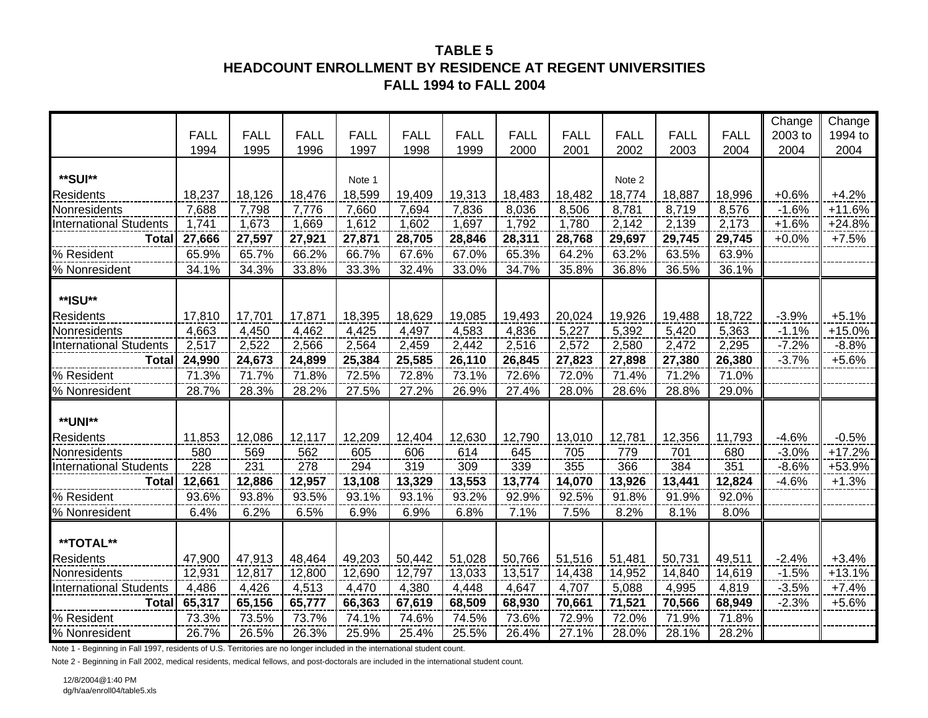## **TABLE 5HEADCOUNT ENROLLMENT BY RESIDENCE AT REGENT UNIVERSITIESFALL 1994 to FALL 2004**

|                               |             |             |             |             |             |             |             |             |             |             |             | Change  | Change   |
|-------------------------------|-------------|-------------|-------------|-------------|-------------|-------------|-------------|-------------|-------------|-------------|-------------|---------|----------|
|                               | <b>FALL</b> | <b>FALL</b> | <b>FALL</b> | <b>FALL</b> | <b>FALL</b> | <b>FALL</b> | <b>FALL</b> | <b>FALL</b> | <b>FALL</b> | <b>FALL</b> | <b>FALL</b> | 2003 to | 1994 to  |
|                               | 1994        | 1995        | 1996        | 1997        | 1998        | 1999        | 2000        | 2001        | 2002        | 2003        | 2004        | 2004    | 2004     |
|                               |             |             |             |             |             |             |             |             |             |             |             |         |          |
| **SUI**                       |             |             |             | Note 1      |             |             |             |             | Note 2      |             |             |         |          |
| Residents                     | 18,237      | 18,126      | 18,476      | 18,599      | 19,409      | 19,313      | 18,483      | 18,482      | 18,774      | 18,887      | 18,996      | $+0.6%$ | $+4.2%$  |
| Nonresidents                  | 7,688       | 7,798       | 7,776       | 7,660       | 7,694       | 7,836       | 8,036       | 8,506       | 8,781       | 8,719       | 8,576       | $-1.6%$ | $+11.6%$ |
| <b>International Students</b> | 1,741       | 1,673       | 1,669       | 1,612       | 1,602       | 1,697       | 1,792       | 1,780       | 2,142       | 2,139       | 2,173       | $+1.6%$ | $+24.8%$ |
| <b>Total</b>                  | 27,666      | 27,597      | 27,921      | 27,871      | 28,705      | 28,846      | 28,311      | 28,768      | 29,697      | 29,745      | 29,745      | $+0.0%$ | $+7.5%$  |
| % Resident                    | 65.9%       | 65.7%       | 66.2%       | 66.7%       | 67.6%       | 67.0%       | 65.3%       | 64.2%       | 63.2%       | 63.5%       | 63.9%       |         |          |
| % Nonresident                 | 34.1%       | 34.3%       | 33.8%       | 33.3%       | 32.4%       | 33.0%       | 34.7%       | 35.8%       | 36.8%       | 36.5%       | 36.1%       |         |          |
|                               |             |             |             |             |             |             |             |             |             |             |             |         |          |
| **ISU**                       |             |             |             |             |             |             |             |             |             |             |             |         |          |
| Residents                     | 17,810      | 17,701      | 17,871      | 18,395      | 18,629      | 19,085      | 19,493      | 20,024      | 19,926      | 19,488      | 18,722      | $-3.9%$ | $+5.1%$  |
| Nonresidents                  | 4,663       | 4,450       | 4,462       | 4,425       | 4,497       | 4,583       | 4,836       | 5,227       | 5,392       | 5,420       | 5,363       | $-1.1%$ | $+15.0%$ |
| <b>International Students</b> | 2,517       | 2,522       | 2,566       | 2,564       | 2,459       | 2,442       | 2,516       | 2,572       | 2,580       | 2,472       | 2,295       | $-7.2%$ | $-8.8%$  |
| <b>Total</b>                  | 24,990      | 24,673      | 24,899      | 25,384      | 25,585      | 26,110      | 26,845      | 27,823      | 27,898      | 27,380      | 26,380      | $-3.7%$ | $+5.6%$  |
| % Resident                    | 71.3%       | 71.7%       | 71.8%       | 72.5%       | 72.8%       | 73.1%       | 72.6%       | 72.0%       | 71.4%       | 71.2%       | 71.0%       |         |          |
| % Nonresident                 | 28.7%       | 28.3%       | 28.2%       | 27.5%       | 27.2%       | 26.9%       | 27.4%       | 28.0%       | 28.6%       | 28.8%       | 29.0%       |         |          |
|                               |             |             |             |             |             |             |             |             |             |             |             |         |          |
| **UNI**                       |             |             |             |             |             |             |             |             |             |             |             |         |          |
| Residents                     | 11,853      | 12,086      | 12,117      | 12,209      | 12,404      | 12,630      | 12,790      | 13,010      | 12,781      | 12,356      | 11,793      | $-4.6%$ | $-0.5%$  |
| Nonresidents                  | 580         | 569         | 562         | 605         | 606         | 614         | 645         | 705         | 779         | 701         | 680         | $-3.0%$ | $+17.2%$ |
| <b>International Students</b> | 228         | 231         | 278         | 294         | 319         | 309         | 339         | 355         | 366         | 384         | 351         | $-8.6%$ | +53.9%   |
| <b>Total</b>                  | 12,661      | 12,886      | 12,957      | 13,108      | 13,329      | 13,553      | 13,774      | 14,070      | 13,926      | 13,441      | 12,824      | $-4.6%$ | $+1.3%$  |
| % Resident                    | 93.6%       | 93.8%       | 93.5%       | 93.1%       | 93.1%       | 93.2%       | 92.9%       | 92.5%       | 91.8%       | 91.9%       | 92.0%       |         |          |
| % Nonresident                 | 6.4%        | 6.2%        | 6.5%        | 6.9%        | 6.9%        | 6.8%        | 7.1%        | 7.5%        | 8.2%        | 8.1%        | 8.0%        |         |          |
|                               |             |             |             |             |             |             |             |             |             |             |             |         |          |
| **TOTAL**                     |             |             |             |             |             |             |             |             |             |             |             |         |          |
| <b>Residents</b>              | 47,900      | 47,913      | 48,464      | 49,203      | 50,442      | 51,028      | 50,766      | 51,516      | 51,481      | 50,731      | 49,511      | $-2.4%$ | $+3.4%$  |
| Nonresidents                  | 12,931      | 12,817      | 12,800      | 12,690      | 12,797      | 13,033      | 13,517      | 14,438      | 14,952      | 14,840      | 14,619      | $-1.5%$ | $+13.1%$ |
| <b>International Students</b> | 4,486       | 4,426       | 4,513       | 4,470       | 4,380       | 4,448       | 4,647       | 4,707       | 5,088       | 4,995       | 4,819       | $-3.5%$ | $+7.4%$  |
| <b>Total</b>                  | 65,317      | 65,156      | 65,777      | 66,363      | 67,619      | 68,509      | 68,930      | 70,661      | 71,521      | 70,566      | 68,949      | $-2.3%$ | $+5.6%$  |
| % Resident                    | 73.3%       | 73.5%       | 73.7%       | 74.1%       | 74.6%       | 74.5%       | 73.6%       | 72.9%       | 72.0%       | 71.9%       | 71.8%       |         |          |
| % Nonresident                 | 26.7%       | 26.5%       | 26.3%       | 25.9%       | 25.4%       | 25.5%       | 26.4%       | 27.1%       | 28.0%       | 28.1%       | 28.2%       |         |          |

Note 1 - Beginning in Fall 1997, residents of U.S. Territories are no longer included in the international student count.

Note 2 - Beginning in Fall 2002, medical residents, medical fellows, and post-doctorals are included in the international student count.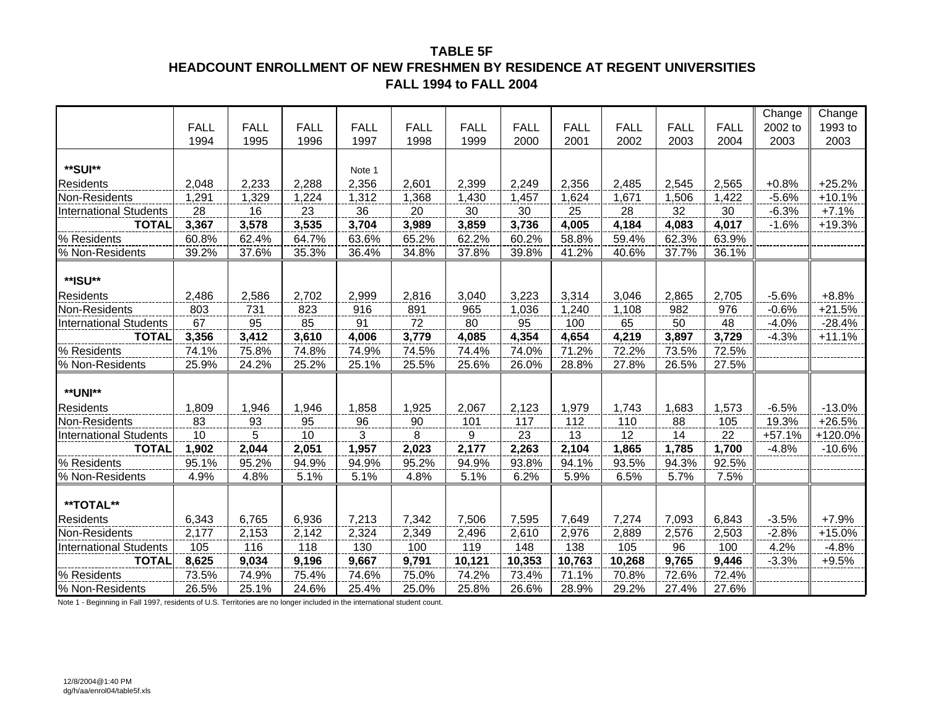### **TABLE 5FHEADCOUNT ENROLLMENT OF NEW FRESHMEN BY RESIDENCE AT REGENT UNIVERSITIESFALL 1994 to FALL 2004**

|                               |             |             |             |             |             |             |             |             |             |             |             | Change   | Change   |
|-------------------------------|-------------|-------------|-------------|-------------|-------------|-------------|-------------|-------------|-------------|-------------|-------------|----------|----------|
|                               | <b>FALL</b> | <b>FALL</b> | <b>FALL</b> | <b>FALL</b> | <b>FALL</b> | <b>FALL</b> | <b>FALL</b> | <b>FALL</b> | <b>FALL</b> | <b>FALL</b> | <b>FALL</b> | 2002 to  | 1993 to  |
|                               | 1994        | 1995        | 1996        | 1997        | 1998        | 1999        | 2000        | 2001        | 2002        | 2003        | 2004        | 2003     | 2003     |
|                               |             |             |             |             |             |             |             |             |             |             |             |          |          |
| **SUI**                       |             |             |             | Note 1      |             |             |             |             |             |             |             |          |          |
| <b>Residents</b>              | 2,048       | 2,233       | 2,288       | 2,356       | 2,601       | 2,399       | 2,249       | 2,356       | 2,485       | 2,545       | 2,565       | $+0.8%$  | $+25.2%$ |
| Non-Residents                 | 1,291       | 1,329       | 1,224       | 1,312       | 1,368       | 1,430       | 1,457       | 1,624       | 1,671       | 1,506       | 1,422       | $-5.6%$  | $+10.1%$ |
| <b>International Students</b> | 28          | 16          | 23          | 36          | 20          | 30          | 30          | 25          | 28          | 32          | 30          | $-6.3%$  | $+7.1%$  |
| <b>TOTAL</b>                  | 3,367       | 3,578       | 3,535       | 3,704       | 3,989       | 3,859       | 3,736       | 4,005       | 4,184       | 4,083       | 4,017       | $-1.6%$  | $+19.3%$ |
| % Residents                   | 60.8%       | 62.4%       | 64.7%       | 63.6%       | 65.2%       | 62.2%       | 60.2%       | 58.8%       | 59.4%       | 62.3%       | 63.9%       |          |          |
| % Non-Residents               | 39.2%       | 37.6%       | 35.3%       | 36.4%       | 34.8%       | 37.8%       | 39.8%       | 41.2%       | 40.6%       | 37.7%       | 36.1%       |          |          |
|                               |             |             |             |             |             |             |             |             |             |             |             |          |          |
| **ISU**                       |             |             |             |             |             |             |             |             |             |             |             |          |          |
| <b>Residents</b>              | 2,486       | 2,586       | 2,702       | 2,999       | 2,816       | 3,040       | 3,223       | 3,314       | 3,046       | 2,865       | 2,705       | $-5.6%$  | $+8.8%$  |
| Non-Residents                 | 803         | 731         | 823         | 916         | 891         | 965         | 1,036       | 1,240       | 1,108       | 982         | 976         | $-0.6%$  | $+21.5%$ |
| <b>International Students</b> | 67          | 95          | 85          | 91          | 72          | 80          | 95          | 100         | 65          | 50          | 48          | $-4.0%$  | $-28.4%$ |
| <b>TOTAL</b>                  | 3,356       | 3,412       | 3,610       | 4,006       | 3,779       | 4,085       | 4,354       | 4,654       | 4,219       | 3,897       | 3,729       | $-4.3%$  | $+11.1%$ |
| % Residents                   | 74.1%       | 75.8%       | 74.8%       | 74.9%       | 74.5%       | 74.4%       | 74.0%       | 71.2%       | 72.2%       | 73.5%       | 72.5%       |          |          |
| % Non-Residents               | 25.9%       | 24.2%       | 25.2%       | 25.1%       | 25.5%       | 25.6%       | 26.0%       | 28.8%       | 27.8%       | 26.5%       | 27.5%       |          |          |
|                               |             |             |             |             |             |             |             |             |             |             |             |          |          |
| <b>**UNI**</b>                |             |             |             |             |             |             |             |             |             |             |             |          |          |
| <b>Residents</b>              | 1,809       | 1,946       | 1,946       | 1,858       | 1,925       | 2,067       | 2,123       | 1,979       | 1,743       | 1,683       | 1,573       | $-6.5%$  | $-13.0%$ |
| Non-Residents                 | 83          | 93          | 95          | 96          | 90          | 101         | 117         | 112         | 110         | 88          | 105         | 19.3%    | $+26.5%$ |
| <b>International Students</b> | 10          | 5           | 10          | 3           | 8           | 9           | 23          | 13          | 12          | 14          | 22          | $+57.1%$ | +120.0%  |
| <b>TOTAL</b>                  | 1,902       | 2,044       | 2,051       | 1,957       | 2,023       | 2,177       | 2,263       | 2,104       | 1,865       | 1,785       | 1,700       | $-4.8%$  | $-10.6%$ |
| % Residents                   | 95.1%       | 95.2%       | 94.9%       | 94.9%       | 95.2%       | 94.9%       | 93.8%       | 94.1%       | 93.5%       | 94.3%       | 92.5%       |          |          |
| % Non-Residents               | 4.9%        | 4.8%        | 5.1%        | 5.1%        | 4.8%        | 5.1%        | 6.2%        | 5.9%        | 6.5%        | 5.7%        | 7.5%        |          |          |
|                               |             |             |             |             |             |             |             |             |             |             |             |          |          |
| **TOTAL**                     |             |             |             |             |             |             |             |             |             |             |             |          |          |
| <b>Residents</b>              | 6,343       | 6,765       | 6,936       | 7,213       | 7,342       | 7,506       | 7,595       | 7,649       | 7,274       | 7,093       | 6,843       | $-3.5%$  | $+7.9%$  |
| Non-Residents                 | 2,177       | 2,153       | 2,142       | 2,324       | 2,349       | 2,496       | 2,610       | 2,976       | 2,889       | 2,576       | 2,503       | $-2.8%$  | $+15.0%$ |
| International Students        | 105         | 116         | 118         | 130         | 100         | 119         | 148         | 138         | 105         | 96          | 100         | 4.2%     | $-4.8%$  |
| <b>TOTAL</b>                  | 8,625       | 9,034       | 9,196       | 9,667       | 9,791       | 10,121      | 10,353      | 10,763      | 10,268      | 9,765       | 9,446       | $-3.3%$  | $+9.5%$  |
| % Residents                   | 73.5%       | 74.9%       | 75.4%       | 74.6%       | 75.0%       | 74.2%       | 73.4%       | 71.1%       | 70.8%       | 72.6%       | 72.4%       |          |          |
| % Non-Residents               | 26.5%       | 25.1%       | 24.6%       | 25.4%       | 25.0%       | 25.8%       | 26.6%       | 28.9%       | 29.2%       | 27.4%       | 27.6%       |          |          |

Note 1 - Beginning in Fall 1997, residents of U.S. Territories are no longer included in the international student count.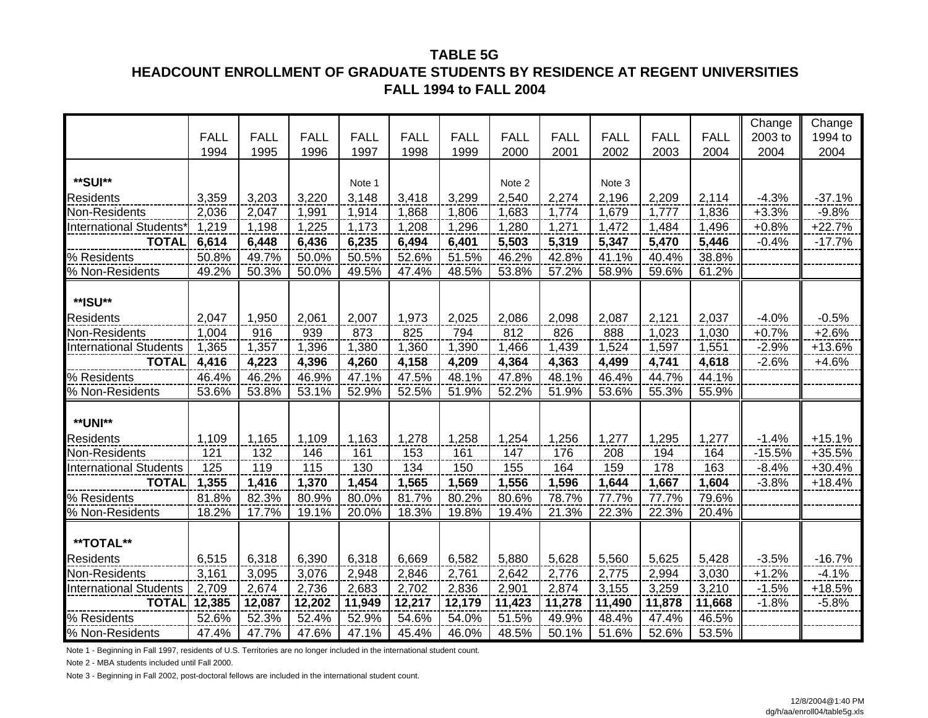#### **TABLE 5G**

### **HEADCOUNT ENROLLMENT OF GRADUATE STUDENTS BY RESIDENCE AT REGENT UNIVERSITIES FALL 1994 to FALL 2004**

|                               |             |             |             |             |             |             |             |             |             |             |             | Change   | Change   |
|-------------------------------|-------------|-------------|-------------|-------------|-------------|-------------|-------------|-------------|-------------|-------------|-------------|----------|----------|
|                               | <b>FALL</b> | <b>FALL</b> | <b>FALL</b> | <b>FALL</b> | <b>FALL</b> | <b>FALL</b> | <b>FALL</b> | <b>FALL</b> | <b>FALL</b> | <b>FALL</b> | <b>FALL</b> | 2003 to  | 1994 to  |
|                               | 1994        | 1995        | 1996        | 1997        | 1998        | 1999        | 2000        | 2001        | 2002        | 2003        | 2004        | 2004     | 2004     |
|                               |             |             |             |             |             |             |             |             |             |             |             |          |          |
| **SUI**                       |             |             |             | Note 1      |             |             | Note 2      |             | Note 3      |             |             |          |          |
| Residents                     | 3,359       | 3,203       | 3,220       | 3,148       | 3,418       | 3,299       | 2,540       | 2,274       | 2,196       | 2,209       | 2,114       | $-4.3%$  | $-37.1%$ |
| Non-Residents                 | 2,036       | 2,047       | 1,991       | 1,914       | 1,868       | 1,806       | 1,683       | 1,774       | 1,679       | 1,777       | 1,836       | $+3.3%$  | $-9.8%$  |
| <b>International Students</b> | 1,219       | 1,198       | 1,225       | 1,173       | 1,208       | 1,296       | 1,280       | 1,271       | 1,472       | 1,484       | 1,496       | $+0.8%$  | $+22.7%$ |
| <b>TOTAL</b>                  | 6,614       | 6,448       | 6,436       | 6,235       | 6,494       | 6,401       | 5,503       | 5,319       | 5,347       | 5,470       | 5,446       | $-0.4%$  | $-17.7%$ |
| % Residents                   | 50.8%       | 49.7%       | 50.0%       | 50.5%       | 52.6%       | 51.5%       | 46.2%       | 42.8%       | 41.1%       | 40.4%       | 38.8%       |          |          |
| % Non-Residents               | 49.2%       | 50.3%       | 50.0%       | 49.5%       | 47.4%       | 48.5%       | 53.8%       | 57.2%       | 58.9%       | 59.6%       | 61.2%       |          |          |
|                               |             |             |             |             |             |             |             |             |             |             |             |          |          |
| **ISU**                       |             |             |             |             |             |             |             |             |             |             |             |          |          |
| <b>Residents</b>              | 2,047       | 1,950       | 2,061       | 2,007       | 1,973       | 2,025       | 2,086       | 2,098       | 2,087       | 2,121       | 2,037       | $-4.0%$  | $-0.5%$  |
| Non-Residents                 | 1,004       | 916         | 939         | 873         | 825         | 794         | 812         | 826         | 888         | 1,023       | 1,030       | $+0.7%$  | $+2.6%$  |
| <b>International Students</b> | 1,365       | 1,357       | 1,396       | 1,380       | 1,360       | 1,390       | 1,466       | 1,439       | 1,524       | 1,597       | 1,551       | $-2.9%$  | $+13.6%$ |
| <b>TOTAL</b>                  | 4,416       | 4,223       | 4,396       | 4,260       | 4,158       | 4,209       | 4,364       | 4,363       | 4,499       | 4,741       | 4,618       | $-2.6%$  | $+4.6%$  |
| % Residents                   | 46.4%       | 46.2%       | 46.9%       | 47.1%       | 47.5%       | 48.1%       | 47.8%       | 48.1%       | 46.4%       | 44.7%       | 44.1%       |          |          |
| % Non-Residents               | 53.6%       | 53.8%       | 53.1%       | 52.9%       | 52.5%       | 51.9%       | 52.2%       | 51.9%       | 53.6%       | 55.3%       | 55.9%       |          |          |
|                               |             |             |             |             |             |             |             |             |             |             |             |          |          |
| <b>**UNI**</b>                |             |             |             |             |             |             |             |             |             |             |             |          |          |
| Residents                     | 1,109       | 1,165       | 1,109       | 1,163       | 1,278       | 1,258       | 1,254       | 1,256       | 1,277       | 1,295       | 1,277       | $-1.4%$  | $+15.1%$ |
| Non-Residents                 | 121         | 132         | 146         | 161         | 153         | 161         | 147         | 176         | 208         | 194         | 164         | $-15.5%$ | $+35.5%$ |
| <b>International Students</b> | 125         | 119         | 115         | 130         | 134         | 150         | 155         | 164         | 159         | 178         | 163         | $-8.4%$  | $+30.4%$ |
| <b>TOTAL</b>                  | 1,355       | 1,416       | 1,370       | 1,454       | 1,565       | 1,569       | 1,556       | 1,596       | 1,644       | 1,667       | 1,604       | $-3.8%$  | $+18.4%$ |
| % Residents                   | 81.8%       | 82.3%       | 80.9%       | 80.0%       | 81.7%       | 80.2%       | 80.6%       | 78.7%       | 77.7%       | 77.7%       | 79.6%       |          |          |
| % Non-Residents               | 18.2%       | 17.7%       | 19.1%       | 20.0%       | 18.3%       | 19.8%       | 19.4%       | 21.3%       | 22.3%       | 22.3%       | 20.4%       |          |          |
|                               |             |             |             |             |             |             |             |             |             |             |             |          |          |
| **TOTAL**                     |             |             |             |             |             |             |             |             |             |             |             |          |          |
| <b>Residents</b>              | 6,515       | 6,318       | 6,390       | 6,318       | 6,669       | 6,582       | 5,880       | 5,628       | 5,560       | 5,625       | 5,428       | $-3.5%$  | $-16.7%$ |
| Non-Residents                 | 3,161       | 3,095       | 3,076       | 2,948       | 2,846       | 2,761       | 2,642       | 2,776       | 2,775       | 2,994       | 3,030       | $+1.2%$  | $-4.1%$  |
| <b>International Students</b> | 2,709       | 2,674       | 2,736       | 2,683       | 2,702       | 2,836       | 2,901       | 2,874       | 3,155       | 3,259       | 3,210       | $-1.5%$  | $+18.5%$ |
| <b>TOTAL</b>                  | 12,385      | 12,087      | 12,202      | 11,949      | 12,217      | 12,179      | 11,423      | 11,278      | 11,490      | 11,878      | 11,668      | $-1.8%$  | $-5.8%$  |
| % Residents                   | 52.6%       | 52.3%       | 52.4%       | 52.9%       | 54.6%       | 54.0%       | 51.5%       | 49.9%       | 48.4%       | 47.4%       | 46.5%       |          |          |
| % Non-Residents               | 47.4%       | 47.7%       | 47.6%       | 47.1%       | 45.4%       | 46.0%       | 48.5%       | 50.1%       | 51.6%       | 52.6%       | 53.5%       |          |          |

Note 1 - Beginning in Fall 1997, residents of U.S. Territories are no longer included in the international student count.

Note 2 - MBA students included until Fall 2000.

Note 3 - Beginning in Fall 2002, post-doctoral fellows are included in the international student count.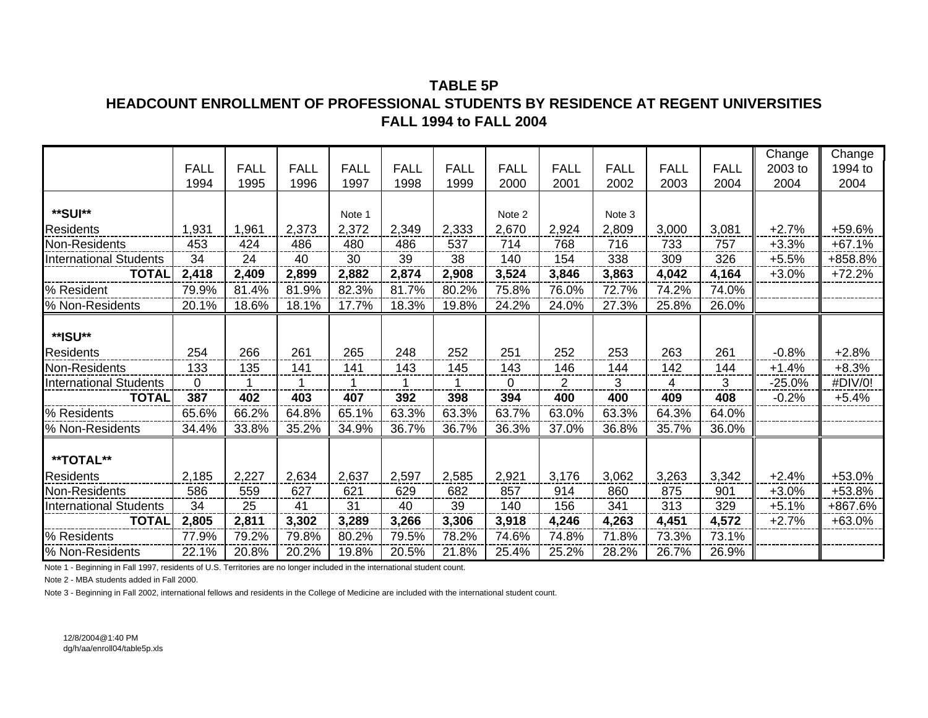### **TABLE 5P**

### **HEADCOUNT ENROLLMENT OF PROFESSIONAL STUDENTS BY RESIDENCE AT REGENT UNIVERSITIES FALL 1994 to FALL 2004**

|                               |             |             |             |             |             |             |             |                |             |             |             | Change   | Change   |
|-------------------------------|-------------|-------------|-------------|-------------|-------------|-------------|-------------|----------------|-------------|-------------|-------------|----------|----------|
|                               | <b>FALL</b> | <b>FALL</b> | <b>FALL</b> | <b>FALL</b> | <b>FALL</b> | <b>FALL</b> | <b>FALL</b> | <b>FALL</b>    | <b>FALL</b> | <b>FALL</b> | <b>FALL</b> | 2003 to  | 1994 to  |
|                               | 1994        | 1995        | 1996        | 1997        | 1998        | 1999        | 2000        | 2001           | 2002        | 2003        | 2004        | 2004     | 2004     |
|                               |             |             |             |             |             |             |             |                |             |             |             |          |          |
| **SUI**                       |             |             |             | Note 1      |             |             | Note 2      |                | Note 3      |             |             |          |          |
| <b>Residents</b>              | 1,931       | 1,961       | 2,373       | 2,372       | 2,349       | 2,333       | 2,670       | 2,924          | 2,809       | 3,000       | 3,081       | $+2.7%$  | +59.6%   |
| Non-Residents                 | 453         | 424         | 486         | 480         | 486         | 537         | 714         | 768            | 716         | 733         | 757         | $+3.3%$  | $+67.1%$ |
| <b>International Students</b> | 34          | 24          | 40          | 30          | 39          | 38          | 140         | 154            | 338         | 309         | 326         | $+5.5%$  | +858.8%  |
| <b>TOTAL</b>                  | 2,418       | 2,409       | 2,899       | 2,882       | 2,874       | 2,908       | 3,524       | 3,846          | 3,863       | 4,042       | 4,164       | $+3.0%$  | $+72.2%$ |
| % Resident                    | 79.9%       | 81.4%       | 81.9%       | 82.3%       | 81.7%       | 80.2%       | 75.8%       | 76.0%          | 72.7%       | 74.2%       | 74.0%       |          |          |
| % Non-Residents               | 20.1%       | 18.6%       | 18.1%       | 17.7%       | 18.3%       | 19.8%       | 24.2%       | 24.0%          | 27.3%       | 25.8%       | 26.0%       |          |          |
|                               |             |             |             |             |             |             |             |                |             |             |             |          |          |
| **ISU**                       |             |             |             |             |             |             |             |                |             |             |             |          |          |
| <b>Residents</b>              | 254         | 266         | 261         | 265         | 248         | 252         | 251         | 252            | 253         | 263         | 261         | $-0.8%$  | $+2.8%$  |
| Non-Residents                 | 133         | 135         | 141         | 141         | 143         | 145         | 143         | 146            | 144         | 142         | 144         | $+1.4%$  | $+8.3%$  |
| <b>International Students</b> | 0           | 1           | 1           | 1           | 1           |             | $\Omega$    | $\overline{2}$ | 3           | 4           | 3           | $-25.0%$ | #DIV/0!  |
| <b>TOTAL</b>                  | 387         | 402         | 403         | 407         | 392         | 398         | 394         | 400            | 400         | 409         | 408         | $-0.2%$  | $+5.4%$  |
| % Residents                   | 65.6%       | 66.2%       | 64.8%       | 65.1%       | 63.3%       | 63.3%       | 63.7%       | 63.0%          | 63.3%       | 64.3%       | 64.0%       |          |          |
| % Non-Residents               | 34.4%       | 33.8%       | 35.2%       | 34.9%       | 36.7%       | 36.7%       | 36.3%       | 37.0%          | 36.8%       | 35.7%       | 36.0%       |          |          |
| <b>**TOTAL**</b>              |             |             |             |             |             |             |             |                |             |             |             |          |          |
| <b>Residents</b>              | 2,185       | 2,227       | 2,634       | 2,637       | 2,597       | 2,585       | 2,921       | 3,176          | 3,062       | 3,263       | 3,342       | $+2.4%$  | +53.0%   |
| Non-Residents                 | 586         | 559         | 627         | 621         | 629         | 682         | 857         | 914            | 860         | 875         | 901         | $+3.0%$  | +53.8%   |
| <b>International Students</b> | 34          | 25          | 41          | 31          | 40          | 39          | 140         | 156            | 341         | 313         | 329         | $+5.1%$  | +867.6%  |
| <b>TOTAL</b>                  | 2,805       | 2,811       | 3,302       | 3,289       | 3,266       | 3,306       | 3,918       | 4,246          | 4,263       | 4,451       | 4,572       | $+2.7%$  | $+63.0%$ |
| % Residents                   | 77.9%       | 79.2%       | 79.8%       | 80.2%       | 79.5%       | 78.2%       | 74.6%       | 74.8%          | 71.8%       | 73.3%       | 73.1%       |          |          |
| % Non-Residents               | 22.1%       | 20.8%       | 20.2%       | 19.8%       | 20.5%       | 21.8%       | 25.4%       | 25.2%          | 28.2%       | 26.7%       | 26.9%       |          |          |

Note 1 - Beginning in Fall 1997, residents of U.S. Territories are no longer included in the international student count.

Note 2 - MBA students added in Fall 2000.

Note 3 - Beginning in Fall 2002, international fellows and residents in the College of Medicine are included with the international student count.

12/8/2004@1:40 PMdg/h/aa/enroll04/table5p.xls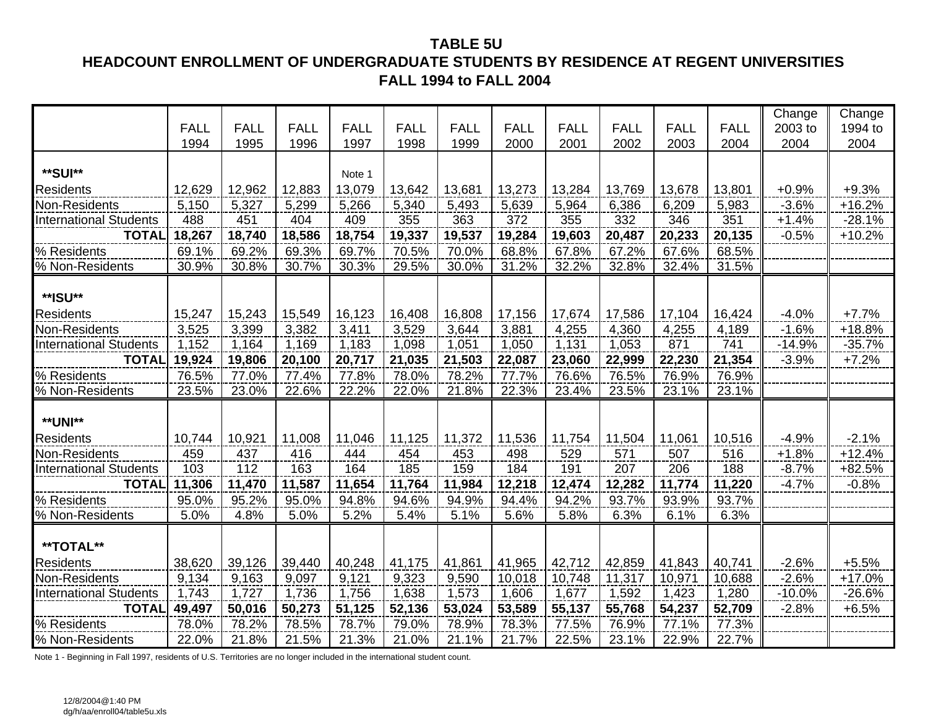### **TABLE 5U HEADCOUNT ENROLLMENT OF UNDERGRADUATE STUDENTS BY RESIDENCE AT REGENT UNIVERSITIES FALL 1994 to FALL 2004**

|                               |             |             |             |             |             |             |             |             |             |             |             | Change   | Change   |
|-------------------------------|-------------|-------------|-------------|-------------|-------------|-------------|-------------|-------------|-------------|-------------|-------------|----------|----------|
|                               | <b>FALL</b> | <b>FALL</b> | <b>FALL</b> | <b>FALL</b> | <b>FALL</b> | <b>FALL</b> | <b>FALL</b> | <b>FALL</b> | <b>FALL</b> | <b>FALL</b> | <b>FALL</b> | 2003 to  | 1994 to  |
|                               | 1994        | 1995        | 1996        | 1997        | 1998        | 1999        | 2000        | 2001        | 2002        | 2003        | 2004        | 2004     | 2004     |
|                               |             |             |             |             |             |             |             |             |             |             |             |          |          |
| **SUI**                       |             |             |             | Note 1      |             |             |             |             |             |             |             |          |          |
| <b>Residents</b>              | 12,629      | 12,962      | 12,883      | 13,079      | 13,642      | 13,681      | 13,273      | 13,284      | 13,769      | 13,678      | 13,801      | $+0.9%$  | $+9.3%$  |
| Non-Residents                 | 5,150       | 5,327       | 5,299       | 5,266       | 5,340       | 5,493       | 5,639       | 5,964       | 6,386       | 6,209       | 5,983       | $-3.6%$  | $+16.2%$ |
| <b>International Students</b> | 488         | 451         | 404         | 409         | 355         | 363         | 372         | 355         | 332         | 346         | 351         | $+1.4%$  | $-28.1%$ |
| <b>TOTAL</b>                  | 18,267      | 18,740      | 18,586      | 18,754      | 19,337      | 19,537      | 19,284      | 19,603      | 20,487      | 20,233      | 20,135      | $-0.5%$  | $+10.2%$ |
| % Residents                   | 69.1%       | 69.2%       | 69.3%       | 69.7%       | 70.5%       | 70.0%       | 68.8%       | 67.8%       | 67.2%       | 67.6%       | 68.5%       |          |          |
| % Non-Residents               | 30.9%       | 30.8%       | 30.7%       | 30.3%       | 29.5%       | 30.0%       | 31.2%       | 32.2%       | 32.8%       | 32.4%       | 31.5%       |          |          |
|                               |             |             |             |             |             |             |             |             |             |             |             |          |          |
| **ISU**                       |             |             |             |             |             |             |             |             |             |             |             |          |          |
| <b>Residents</b>              | 15,247      | 15,243      | 15,549      | 16,123      | 16,408      | 16,808      | 17,156      | 17,674      | 17,586      | 17,104      | 16,424      | $-4.0%$  | $+7.7%$  |
| Non-Residents                 | 3,525       | 3,399       | 3,382       | 3,411       | 3,529       | 3,644       | 3,881       | 4,255       | 4,360       | 4,255       | 4,189       | $-1.6%$  | $+18.8%$ |
| <b>International Students</b> | 1,152       | 1,164       | 1,169       | 1,183       | 1,098       | 1,051       | 1,050       | 1,131       | 1,053       | 871         | 741         | $-14.9%$ | $-35.7%$ |
| <b>TOTAL</b>                  | 19,924      | 19,806      | 20,100      | 20,717      | 21,035      | 21,503      | 22,087      | 23,060      | 22,999      | 22,230      | 21,354      | $-3.9%$  | $+7.2%$  |
| % Residents                   | 76.5%       | 77.0%       | 77.4%       | 77.8%       | 78.0%       | 78.2%       | 77.7%       | 76.6%       | 76.5%       | 76.9%       | 76.9%       |          |          |
| % Non-Residents               | 23.5%       | 23.0%       | 22.6%       | 22.2%       | 22.0%       | 21.8%       | 22.3%       | 23.4%       | 23.5%       | 23.1%       | 23.1%       |          |          |
|                               |             |             |             |             |             |             |             |             |             |             |             |          |          |
| <b>**UNI**</b>                |             |             |             |             |             |             |             |             |             |             |             |          |          |
| <b>Residents</b>              | 10,744      | 10,921      | 11,008      | 11,046      | 11,125      | 11,372      | 11,536      | 11,754      | 11,504      | 11,061      | 10,516      | $-4.9%$  | $-2.1%$  |
| Non-Residents                 | 459         | 437         | 416         | 444         | 454         | 453         | 498         | 529         | 571         | 507         | 516         | $+1.8%$  | $+12.4%$ |
| <b>International Students</b> | 103         | 112         | 163         | 164         | 185         | 159         | 184         | 191         | 207         | 206         | 188         | $-8.7%$  | +82.5%   |
| <b>TOTAL</b>                  | 11,306      | 11,470      | 11,587      | 11,654      | 11,764      | 11,984      | 12,218      | 12,474      | 12,282      | 11,774      | 11,220      | $-4.7%$  | $-0.8%$  |
| % Residents                   | 95.0%       | 95.2%       | 95.0%       | 94.8%       | 94.6%       | 94.9%       | 94.4%       | 94.2%       | 93.7%       | 93.9%       | 93.7%       |          |          |
| % Non-Residents               | 5.0%        | 4.8%        | 5.0%        | 5.2%        | 5.4%        | 5.1%        | 5.6%        | 5.8%        | 6.3%        | 6.1%        | 6.3%        |          |          |
|                               |             |             |             |             |             |             |             |             |             |             |             |          |          |
| **TOTAL**                     |             |             |             |             |             |             |             |             |             |             |             |          |          |
| <b>Residents</b>              | 38,620      | 39,126      | 39,440      | 40,248      | 41,175      | 41,861      | 41,965      | 42,712      | 42,859      | 41,843      | 40,741      | $-2.6%$  | $+5.5%$  |
| Non-Residents                 | 9,134       | 9,163       | 9,097       | 9,121       | 9,323       | 9,590       | 10,018      | 10,748      | 11,317      | 10,971      | 10,688      | $-2.6%$  | $+17.0%$ |
| <b>International Students</b> | 1,743       | 1,727       | 1,736       | 1,756       | 1,638       | 1,573       | 1,606       | 1,677       | 1,592       | 1,423       | 1,280       | $-10.0%$ | $-26.6%$ |
| <b>TOTAL</b>                  | 49,497      | 50,016      | 50,273      | 51,125      | 52,136      | 53,024      | 53,589      | 55,137      | 55,768      | 54,237      | 52,709      | $-2.8%$  | $+6.5%$  |
| % Residents                   | 78.0%       | 78.2%       | 78.5%       | 78.7%       | 79.0%       | 78.9%       | 78.3%       | 77.5%       | 76.9%       | 77.1%       | 77.3%       |          |          |
| % Non-Residents               | 22.0%       | 21.8%       | 21.5%       | 21.3%       | 21.0%       | 21.1%       | 21.7%       | 22.5%       | 23.1%       | 22.9%       | 22.7%       |          |          |

Note 1 - Beginning in Fall 1997, residents of U.S. Territories are no longer included in the international student count.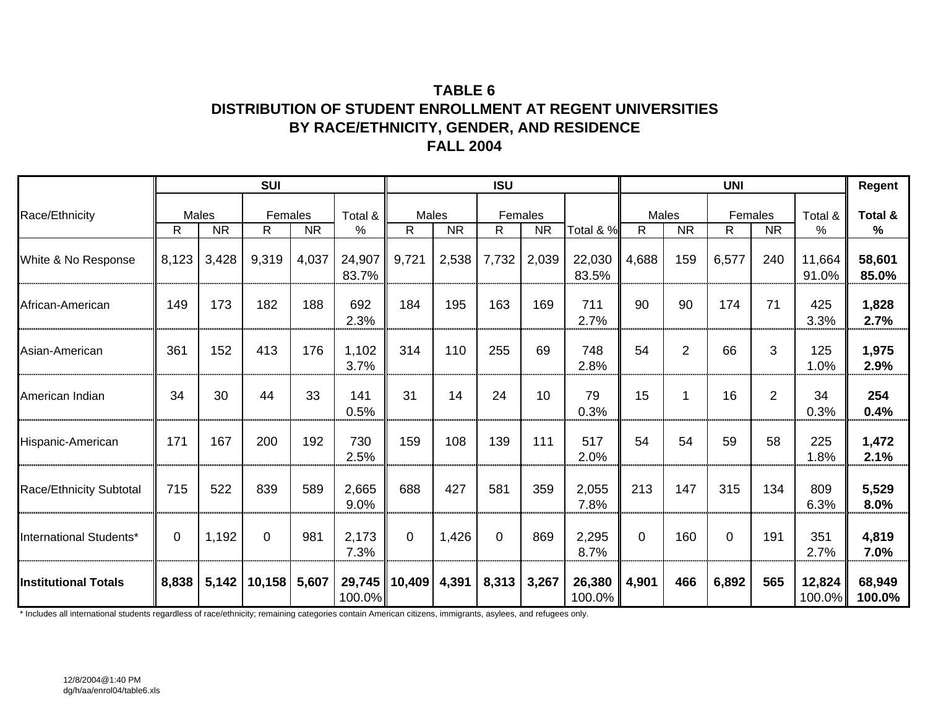## **TABLE 6DISTRIBUTION OF STUDENT ENROLLMENT AT REGENT UNIVERSITIES BY RACE/ETHNICITY, GENDER, AND RESIDENCE FALL 2004**

|                             |       |                           | <b>SUI</b>             |           |                 |                 |           | <b>ISU</b>     |                      |                  |             |                | <b>UNI</b>    |                |                     | Regent           |
|-----------------------------|-------|---------------------------|------------------------|-----------|-----------------|-----------------|-----------|----------------|----------------------|------------------|-------------|----------------|---------------|----------------|---------------------|------------------|
| Race/Ethnicity              | R     | <b>Males</b><br><b>NR</b> | Females<br>R.          | <b>NR</b> | Total &<br>%    | Males<br>R.     | <b>NR</b> | R              | Females<br><b>NR</b> | Total & %        | Males<br>R  | <b>NR</b>      | Females<br>R. | <b>NR</b>      | Total &<br>%        | Total &<br>%     |
| White & No Response         | 8,123 | 3,428                     | 9,319                  | 4,037     | 24,907<br>83.7% | 9,721           | 2,538     | 7,732          | 2,039                | 22,030<br>83.5%  | 4,688       | 159            | 6,577         | 240            | 11,664<br>91.0%     | 58,601<br>85.0%  |
| African-American            | 149   | 173                       | 182                    | 188       | 692<br>2.3%     | 184             | 195       | 163            | 169                  | 711<br>2.7%      | 90          | 90             | 174           | 71             | 425<br>3.3%         | 1,828<br>2.7%    |
| Asian-American              | 361   | 152                       | 413                    | 176       | 1,102<br>3.7%   | 314             | 110       | 255            | 69                   | 748<br>2.8%      | 54          | $\overline{2}$ | 66            | 3              | 125<br>1.0%         | 1,975<br>2.9%    |
| American Indian             | 34    | 30                        | 44                     | 33        | 141<br>0.5%     | 31              | 14        | 24             | 10                   | 79<br>0.3%       | 15          | 1              | 16            | $\overline{2}$ | 34<br>0.3%          | 254<br>0.4%      |
| Hispanic-American           | 171   | 167                       | 200                    | 192       | 730<br>2.5%     | 159             | 108       | 139            | 111                  | 517<br>2.0%      | 54          | 54             | 59            | 58             | 225<br>1.8%         | 1,472<br>2.1%    |
| Race/Ethnicity Subtotal     | 715   | 522                       | 839                    | 589       | 2,665<br>9.0%   | 688             | 427       | 581            | 359                  | 2,055<br>7.8%    | 213         | 147            | 315           | 134            | 809<br>6.3%         | 5,529<br>8.0%    |
| International Students*     | 0     | 1,192                     | $\Omega$               | 981       | 2,173<br>7.3%   | $\Omega$        | 1,426     | $\overline{0}$ | 869                  | 2,295<br>8.7%    | $\mathbf 0$ | 160            | $\Omega$      | 191            | 351<br>2.7%         | 4,819<br>7.0%    |
| <b>Institutional Totals</b> | 8,838 |                           | 5,142   10,158   5,607 |           | $100.0\%$       | 29,745   10,409 | 4,391     | 8,313          | 3,267                | 26,380<br>100.0% | 4,901       | 466            | 6,892         | 565            | 12,824<br>$100.0\%$ | 68,949<br>100.0% |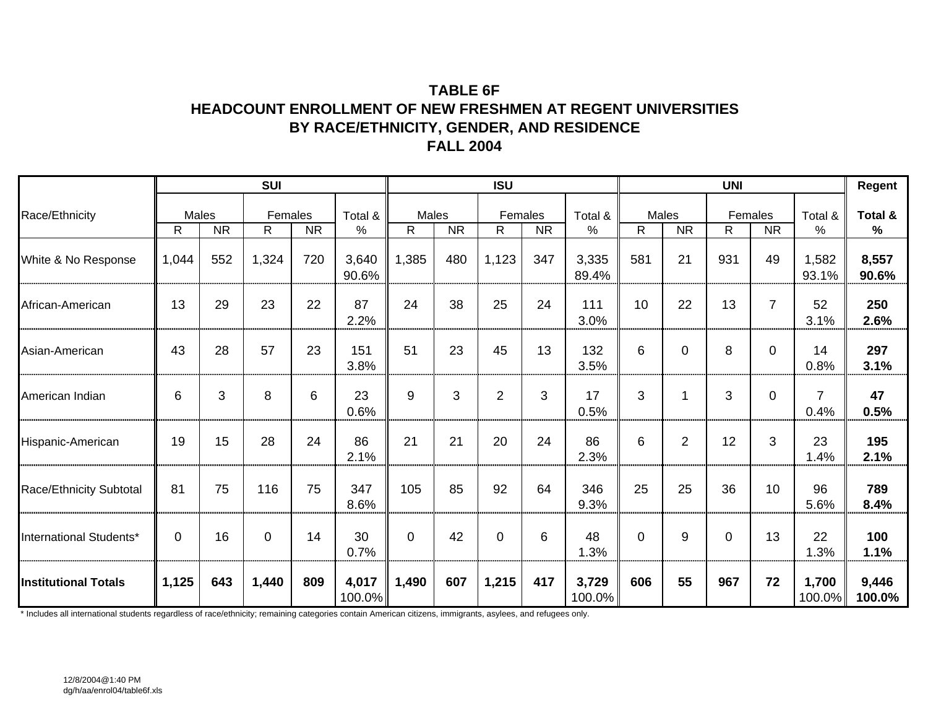## **TABLE 6FHEADCOUNT ENROLLMENT OF NEW FRESHMEN AT REGENT UNIVERSITIES BY RACE/ETHNICITY, GENDER, AND RESIDENCE FALL 2004**

|                             |              |                    | <b>SUI</b>    |           |                 |                       |           | <b>ISU</b>     |                      |                 |              |                    | <b>UNI</b> |                      |                        | Regent          |
|-----------------------------|--------------|--------------------|---------------|-----------|-----------------|-----------------------|-----------|----------------|----------------------|-----------------|--------------|--------------------|------------|----------------------|------------------------|-----------------|
| Race/Ethnicity              | $\mathsf{R}$ | Males<br><b>NR</b> | Females<br>R. | <b>NR</b> | Total &<br>%    | Males<br>$\mathsf{R}$ | <b>NR</b> | R              | Females<br><b>NR</b> | Total &<br>%    | $\mathsf{R}$ | Males<br><b>NR</b> | R.         | Females<br><b>NR</b> | Total &<br>%           | Total &<br>$\%$ |
| White & No Response         | 1,044        | 552                | 1,324         | 720       | 3,640<br>90.6%  | 1,385                 | 480       | 1,123          | 347                  | 3,335<br>89.4%  | 581          | 21                 | 931        | 49                   | 1,582<br>93.1%         | 8,557<br>90.6%  |
| African-American            | 13           | 29                 | 23            | 22        | 87<br>2.2%      | 24                    | 38        | 25             | 24                   | 111<br>3.0%     | 10           | 22                 | 13         | 7                    | 52<br>3.1%             | 250<br>2.6%     |
| Asian-American              | 43           | 28                 | 57            | 23        | 151<br>3.8%     | 51                    | 23        | 45             | 13                   | 132<br>3.5%     | 6            | $\Omega$           | 8          | $\Omega$             | 14<br>0.8%             | 297<br>3.1%     |
| American Indian             | 6            | 3                  | 8             | 6         | 23<br>0.6%      | 9                     | 3         | $\overline{2}$ | 3                    | 17<br>0.5%      | 3            | 1                  | 3          | $\Omega$             | $\overline{7}$<br>0.4% | 47<br>0.5%      |
| Hispanic-American           | 19           | 15                 | 28            | 24        | 86<br>2.1%      | 21                    | 21        | 20             | 24                   | 86<br>2.3%      | 6            | $\overline{2}$     | 12         | 3                    | 23<br>1.4%             | 195<br>2.1%     |
| Race/Ethnicity Subtotal     | 81           | 75                 | 116           | 75        | 347<br>8.6%     | 105                   | 85        | 92             | 64                   | 346<br>9.3%     | 25           | 25                 | 36         | 10                   | 96<br>5.6%             | 789<br>8.4%     |
| International Students*     | $\Omega$     | 16                 | $\mathbf 0$   | 14        | 30<br>0.7%      | $\Omega$              | 42        | $\mathbf 0$    | 6                    | 48<br>1.3%      | $\Omega$     | 9                  | $\Omega$   | 13                   | 22<br>1.3%             | 100<br>1.1%     |
| <b>Institutional Totals</b> | 1,125        | 643                | 1,440         | 809       | 4,017<br>100.0% | 1,490                 | 607       | 1,215          | 417                  | 3,729<br>100.0% | 606          | 55                 | 967        | 72                   | 1,700<br>100.0%        | 9,446<br>100.0% |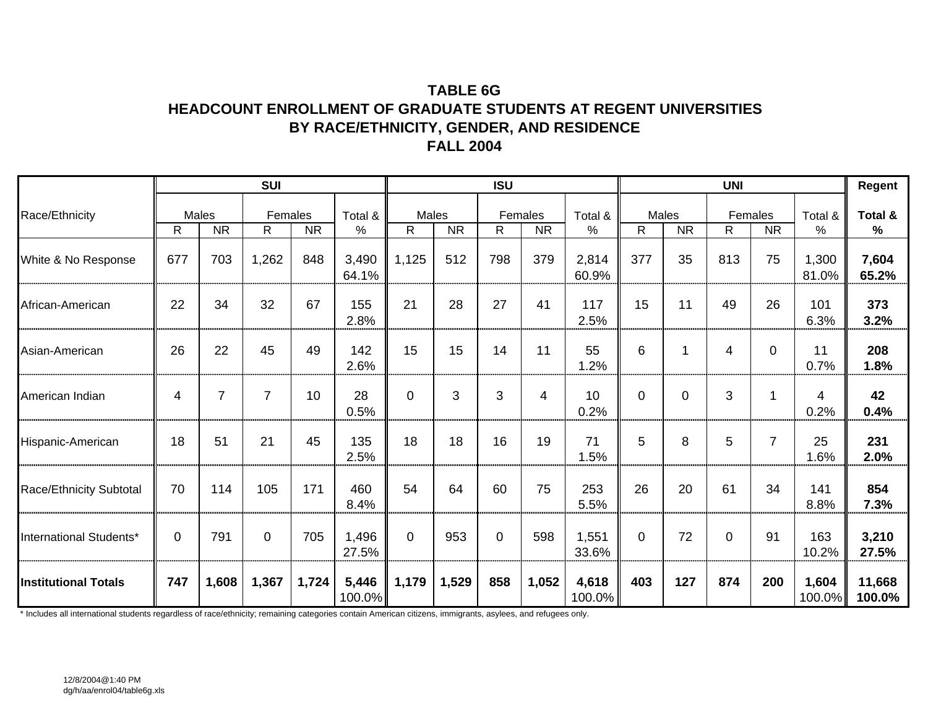## **TABLE 6GHEADCOUNT ENROLLMENT OF GRADUATE STUDENTS AT REGENT UNIVERSITIES BY RACE/ETHNICITY, GENDER, AND RESIDENCE FALL 2004**

|                             |             |                    | <b>SUI</b>     |           |                 |            |           | <b>ISU</b>  |                      |                    |              |                    | <b>UNI</b> |                      |                 | Regent                   |
|-----------------------------|-------------|--------------------|----------------|-----------|-----------------|------------|-----------|-------------|----------------------|--------------------|--------------|--------------------|------------|----------------------|-----------------|--------------------------|
| Race/Ethnicity              | R           | Males<br><b>NR</b> | Females<br>R.  | <b>NR</b> | Total &<br>%    | Males<br>R | <b>NR</b> | R           | Females<br><b>NR</b> | Total &<br>$\%$    | $\mathsf{R}$ | Males<br><b>NR</b> | R          | Females<br><b>NR</b> | Total &<br>$\%$ | Total &<br>$\frac{0}{0}$ |
| White & No Response         | 677         | 703                | 1,262          | 848       | 3,490<br>64.1%  | 1,125      | 512       | 798         | 379                  | 2,814<br>60.9%     | 377          | 35                 | 813        | 75                   | 1,300<br>81.0%  | 7,604<br>65.2%           |
| African-American            | 22          | 34                 | 32             | 67        | 155<br>2.8%     | 21         | 28        | 27          | 41                   | 117<br>2.5%        | 15           | 11                 | 49         | 26                   | 101<br>6.3%     | 373<br>3.2%              |
| Asian-American              | 26          | 22                 | 45             | 49        | 142<br>2.6%     | 15         | 15        | 14          | 11                   | 55<br>1.2%         | 6            | 1                  | 4          | $\Omega$             | 11<br>0.7%      | 208<br>1.8%              |
| American Indian             | 4           | 7                  | $\overline{7}$ | 10        | 28<br>0.5%      | $\Omega$   | 3         | 3           | $\overline{4}$       | 10<br>0.2%         | $\mathbf 0$  | 0                  | 3          | 1                    | 4<br>0.2%       | 42<br>0.4%               |
| Hispanic-American           | 18          | 51                 | 21             | 45        | 135<br>2.5%     | 18         | 18        | 16          | 19                   | 71<br>1.5%         | 5            | 8                  | 5.         | $\overline{7}$       | 25<br>1.6%      | 231<br>2.0%              |
| Race/Ethnicity Subtotal     | 70          | 114                | 105            | 171       | 460<br>8.4%     | 54         | 64        | 60          | 75                   | 253<br>5.5%        | 26           | 20                 | 61         | 34                   | 141<br>8.8%     | 854<br>7.3%              |
| International Students*     | $\mathbf 0$ | 791                | $\Omega$       | 705       | 1,496<br>27.5%  | $\Omega$   | 953       | $\mathbf 0$ | 598                  | 1,551<br>33.6%     | $\mathbf 0$  | 72                 | $\Omega$   | 91                   | 163<br>10.2%    | 3,210<br>27.5%           |
| <b>Institutional Totals</b> | 747         | 1,608              | 1,367          | 1,724     | 5,446<br>100.0% | 1,179      | 1,529     | 858         | 1,052                | 4,618<br>$100.0\%$ | 403          | 127                | 874        | 200                  | 1,604<br>100.0% | 11,668<br>100.0%         |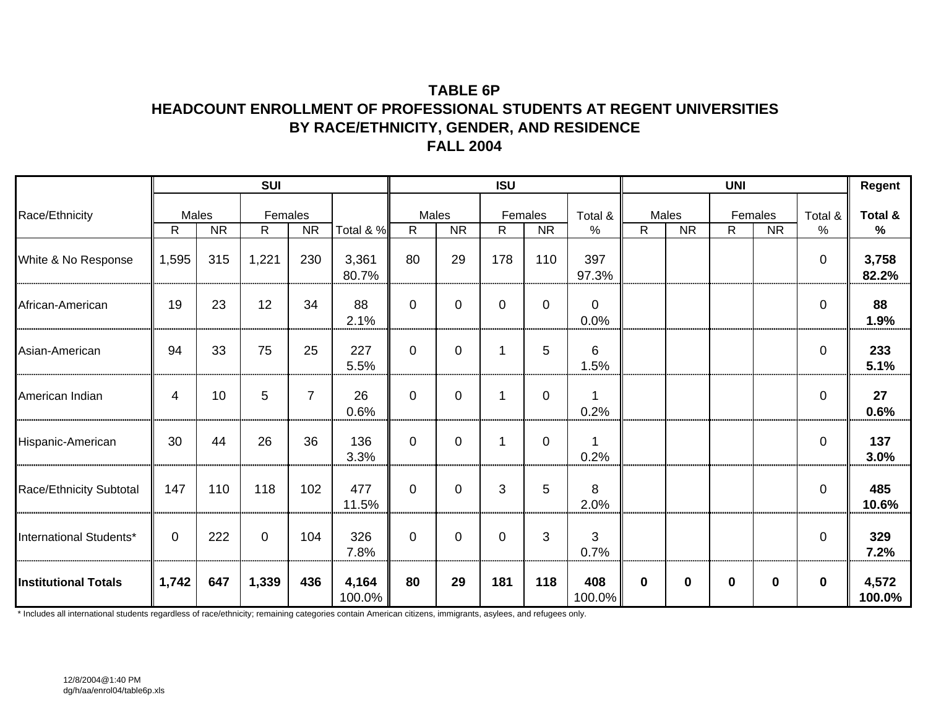## **TABLE 6PHEADCOUNT ENROLLMENT OF PROFESSIONAL STUDENTS AT REGENT UNIVERSITIES BY RACE/ETHNICITY, GENDER, AND RESIDENCE FALL 2004**

|                             |              |                    | <b>SUI</b>              |                |                 |                       |           | <b>ISU</b>  |                      |                  |              |                    | <b>UNI</b> |                      |                | Regent          |
|-----------------------------|--------------|--------------------|-------------------------|----------------|-----------------|-----------------------|-----------|-------------|----------------------|------------------|--------------|--------------------|------------|----------------------|----------------|-----------------|
| Race/Ethnicity              | $\mathsf{R}$ | Males<br><b>NR</b> | Females<br>$\mathsf{R}$ | <b>NR</b>      | Total & %       | Males<br>$\mathsf{R}$ | <b>NR</b> | R.          | Females<br><b>NR</b> | Total &<br>%     | $\mathsf{R}$ | Males<br><b>NR</b> | R.         | Females<br><b>NR</b> | Total &<br>%   | Total &<br>$\%$ |
| White & No Response         | 1,595        | 315                | 1,221                   | 230            | 3,361<br>80.7%  | 80                    | 29        | 178         | 110                  | 397<br>97.3%     |              |                    |            |                      | $\mathbf 0$    | 3,758<br>82.2%  |
| African-American            | 19           | 23                 | 12                      | 34             | 88<br>2.1%      | $\Omega$              | 0         | $\mathbf 0$ | $\Omega$             | $\Omega$<br>0.0% |              |                    |            |                      | $\mathbf 0$    | 88<br>1.9%      |
| Asian-American              | 94           | 33                 | 75                      | 25             | 227<br>5.5%     | $\mathbf 0$           | $\Omega$  | 1           | 5                    | 6<br>1.5%        |              |                    |            |                      | $\overline{0}$ | 233<br>5.1%     |
| American Indian             | 4            | 10                 | 5                       | $\overline{7}$ | 26<br>0.6%      | $\mathbf 0$           | $\Omega$  | 1           | $\mathbf 0$          | 0.2%             |              |                    |            |                      | $\mathbf 0$    | 27<br>0.6%      |
| Hispanic-American           | 30           | 44                 | 26                      | 36             | 136<br>3.3%     | $\mathbf 0$           | $\Omega$  | 1           | 0                    | 0.2%             |              |                    |            |                      | $\mathbf 0$    | 137<br>3.0%     |
| Race/Ethnicity Subtotal     | 147          | 110                | 118                     | 102            | 477<br>11.5%    | $\Omega$              | $\Omega$  | 3           | 5                    | 8<br>2.0%        |              |                    |            |                      | $\mathbf 0$    | 485<br>10.6%    |
| International Students*     | $\Omega$     | 222                | $\overline{0}$          | 104            | 326<br>7.8%     | $\mathbf 0$           | $\Omega$  | $\mathbf 0$ | 3                    | 3<br>0.7%        |              |                    |            |                      | $\overline{0}$ | 329<br>7.2%     |
| <b>Institutional Totals</b> | 1,742        | 647                | 1,339                   | 436            | 4,164<br>100.0% | 80                    | 29        | 181         | 118                  | 408<br>$100.0\%$ | $\bf{0}$     | 0                  | 0          | $\bf{0}$             | $\mathbf 0$    | 4,572<br>100.0% |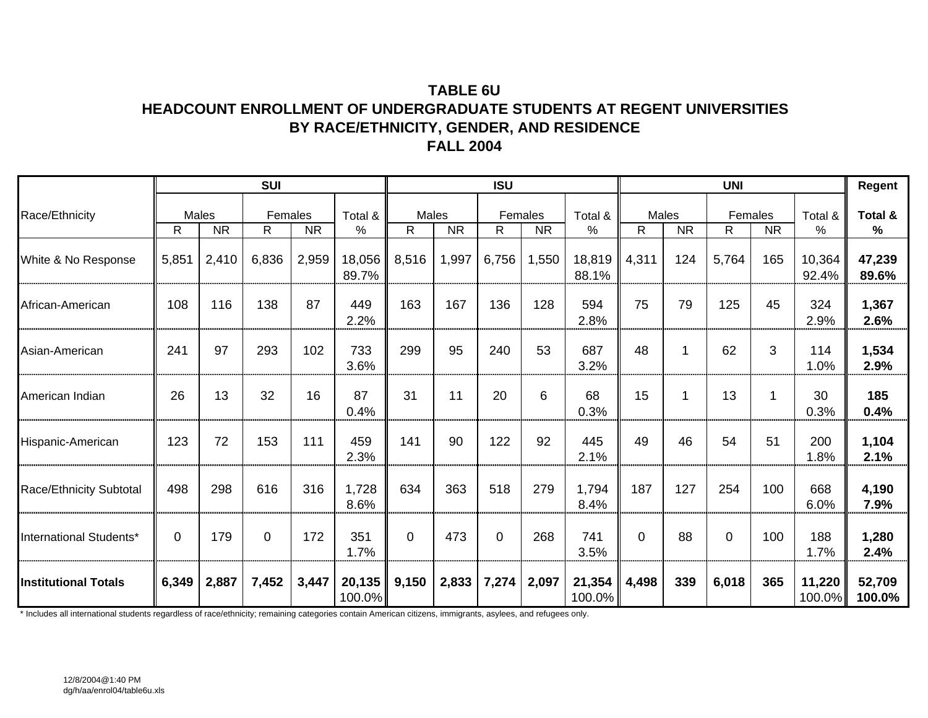## **TABLE 6UHEADCOUNT ENROLLMENT OF UNDERGRADUATE STUDENTS AT REGENT UNIVERSITIES BY RACE/ETHNICITY, GENDER, AND RESIDENCE FALL 2004**

|                                |              |                    | <b>SUI</b>    |           |                  |            |           | <b>ISU</b>     |                      |                     |            |           | <b>UNI</b>  |                      |                  | Regent           |
|--------------------------------|--------------|--------------------|---------------|-----------|------------------|------------|-----------|----------------|----------------------|---------------------|------------|-----------|-------------|----------------------|------------------|------------------|
| Race/Ethnicity                 | $\mathsf{R}$ | Males<br><b>NR</b> | Females<br>R. | <b>NR</b> | Total &<br>%     | Males<br>R | <b>NR</b> | $\mathsf{R}$   | Females<br><b>NR</b> | Total &<br>%        | Males<br>R | <b>NR</b> | R           | Females<br><b>NR</b> | Total &<br>%     | Total &<br>%     |
| White & No Response            | 5,851        | 2,410              | 6,836         | 2,959     | 18,056<br>89.7%  | 8,516      | 1,997     | 6,756          | 1,550                | 18,819<br>88.1%     | 4,311      | 124       | 5,764       | 165                  | 10,364<br>92.4%  | 47,239<br>89.6%  |
| African-American               | 108          | 116                | 138           | 87        | 449<br>2.2%      | 163        | 167       | 136            | 128                  | 594<br>2.8%         | 75         | 79        | 125         | 45                   | 324<br>2.9%      | 1,367<br>2.6%    |
| Asian-American                 | 241          | 97                 | 293           | 102       | 733<br>3.6%      | 299        | 95        | 240            | 53                   | 687<br>3.2%         | 48         | 1         | 62          | 3                    | 114<br>1.0%      | 1,534<br>2.9%    |
| American Indian                | 26           | 13                 | 32            | 16        | 87<br>0.4%       | 31         | 11        | 20             | 6                    | 68<br>0.3%          | 15         | 1         | 13          | 1                    | 30<br>0.3%       | 185<br>0.4%      |
| Hispanic-American              | 123          | 72                 | 153           | 111       | 459<br>2.3%      | 141        | 90        | 122            | 92                   | 445<br>2.1%         | 49         | 46        | 54          | 51                   | 200<br>1.8%      | 1,104<br>2.1%    |
| <b>Race/Ethnicity Subtotal</b> | 498          | 298                | 616           | 316       | 1,728<br>8.6%    | 634        | 363       | 518            | 279                  | 1,794<br>8.4%       | 187        | 127       | 254         | 100                  | 668<br>6.0%      | 4,190<br>7.9%    |
| International Students*        | 0            | 179                | $\Omega$      | 172       | 351<br>1.7%      | $\Omega$   | 473       | $\overline{0}$ | 268                  | 741<br>3.5%         | 0          | 88        | $\mathbf 0$ | 100                  | 188<br>1.7%      | 1,280<br>2.4%    |
| <b>Institutional Totals</b>    | 6,349        | 2,887              | 7,452         | 3,447     | 20,135<br>100.0% | 9,150      | 2,833     | 7,274          | 2,097                | 21,354<br>$100.0\%$ | 4,498      | 339       | 6,018       | 365                  | 11,220<br>100.0% | 52,709<br>100.0% |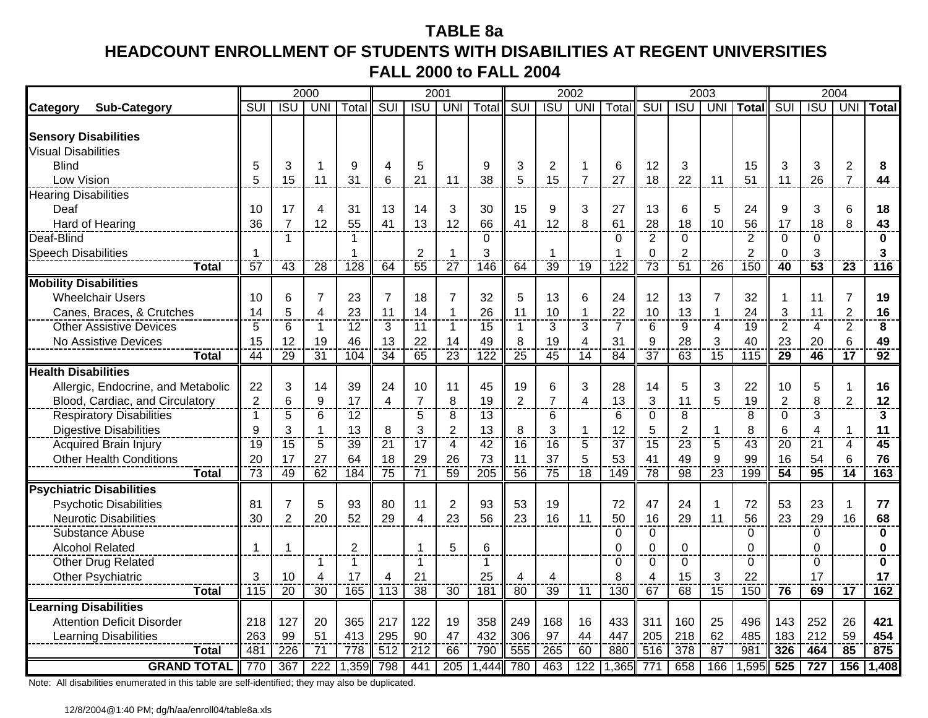# **TABLE 8aHEADCOUNT ENROLLMENT OF STUDENTS WITH DISABILITIES AT REGENT UNIVERSITIES FALL 2000 to FALL 2004**

|                                    |                |                 | 2000            |                  |                  |                  | 2001            |                  |                 |                 | 2002            |                  |                          |                 | 2003            |                |                         |                         | 2004            |                 |
|------------------------------------|----------------|-----------------|-----------------|------------------|------------------|------------------|-----------------|------------------|-----------------|-----------------|-----------------|------------------|--------------------------|-----------------|-----------------|----------------|-------------------------|-------------------------|-----------------|-----------------|
| <b>Sub-Category</b><br>Category    | SUI            | <b>ISU</b>      | <b>UNI</b>      | Total            | <b>SUI</b>       | <b>ISU</b>       | <b>UNI</b>      | Total            | SUI             | <b>ISU</b>      | <b>UNI</b>      | Total            | <b>SUI</b>               | <b>ISU</b>      | UNI             | <b>Total</b>   | $\overline{\text{SUI}}$ | $\overline{ISU}$        | <b>UNI</b>      | <b>Total</b>    |
|                                    |                |                 |                 |                  |                  |                  |                 |                  |                 |                 |                 |                  |                          |                 |                 |                |                         |                         |                 |                 |
| <b>Sensory Disabilities</b>        |                |                 |                 |                  |                  |                  |                 |                  |                 |                 |                 |                  |                          |                 |                 |                |                         |                         |                 |                 |
| <b>Visual Disabilities</b>         |                |                 |                 |                  |                  |                  |                 |                  |                 |                 |                 |                  |                          |                 |                 |                |                         |                         |                 |                 |
| <b>Blind</b>                       | 5              | 3               | $\overline{1}$  | 9                | 4                | 5                |                 | 9                | 3               | 2               |                 | 6                | 12                       | 3               |                 | 15             | 3                       | 3                       | $\overline{c}$  | 8               |
| Low Vision                         | 5              | 15              | 11              | 31               | 6                | 21               | 11              | 38               | 5               | 15              | $\overline{7}$  | 27               | 18                       | 22              | 11              | 51             | 11                      | 26                      | $\overline{7}$  | 44              |
| <b>Hearing Disabilities</b>        |                |                 |                 |                  |                  |                  |                 |                  |                 |                 |                 |                  |                          |                 |                 |                |                         |                         |                 |                 |
| Deaf                               | 10             | 17              | $\overline{4}$  | 31               | 13               | 14               | 3               | 30               | 15              | 9               | 3               | 27               | 13                       | 6               | 5               | 24             | 9                       | 3                       | 6               | 18              |
| Hard of Hearing                    | 36             | $\overline{7}$  | 12              | 55               | 41               | 13               | 12              | 66               | 41              | 12              | 8               | 61               | 28                       | 18              | 10              | 56             | 17                      | 18                      | 8               | 43              |
| Deaf-Blind                         |                | $\mathbf{1}$    |                 | 1                |                  |                  |                 | 0                |                 |                 |                 | 0                | $\overline{2}$           | $\mathbf 0$     |                 | $\overline{2}$ | 0                       | 0                       |                 | $\bf{0}$        |
| <b>Speech Disabilities</b>         | 1              |                 |                 | 1                |                  | $\overline{2}$   |                 | 3                |                 | 1               |                 | -1               | $\Omega$                 | $\overline{2}$  |                 | $\overline{2}$ | $\Omega$                | 3                       |                 | 3               |
| Total                              | 57             | $\overline{43}$ | 28              | 128              | 64               | $\overline{55}$  | $\overline{27}$ | 146              | 64              | $\overline{39}$ | 19              | $\overline{122}$ | $\overline{73}$          | 51              | 26              | 150            | 40                      | $\overline{53}$         | 23              | 116             |
| <b>Mobility Disabilities</b>       |                |                 |                 |                  |                  |                  |                 |                  |                 |                 |                 |                  |                          |                 |                 |                |                         |                         |                 |                 |
| <b>Wheelchair Users</b>            | 10             | 6               | $\overline{7}$  | 23               | $\overline{7}$   | 18               | $\overline{7}$  | 32               | 5               | 13              | 6               | 24               | 12                       | 13              | $\overline{7}$  | 32             |                         | 11                      | $\overline{7}$  | 19              |
| Canes, Braces, & Crutches          | 14             | 5               | $\overline{4}$  | 23               | 11               | 14               | -1              | 26               | 11              | 10              | 1               | 22               | 10                       | 13              | 1               | 24             | 3                       | 11                      | $\overline{2}$  | 16              |
| <b>Other Assistive Devices</b>     | 5              | 6               | $\mathbf{1}$    | 12               | 3                | 11               | $\mathbf 1$     | 15               | $\mathbf{1}$    | 3               | 3               | $\overline{7}$   | 6                        | 9               | 4               | 19             | $\overline{2}$          | 4                       | 2               | 8               |
| No Assistive Devices               | 15             | 12              | 19              | 46               | 13               | 22               | 14              | 49               | 8               | 19              | 4               | 31               | 9                        | 28              | 3               | 40             | 23                      | 20                      | 6               | 49              |
| <b>Total</b>                       | 44             | $\overline{29}$ | $\overline{31}$ | 104              | $\overline{34}$  | 65               | $\overline{23}$ | $\overline{122}$ | $\overline{25}$ | $\overline{45}$ | $\overline{14}$ | $\overline{84}$  | $\overline{37}$          | $\overline{63}$ | $\overline{15}$ | 115            | 29                      | 46                      | $\overline{17}$ | $\overline{92}$ |
| <b>Health Disabilities</b>         |                |                 |                 |                  |                  |                  |                 |                  |                 |                 |                 |                  |                          |                 |                 |                |                         |                         |                 |                 |
| Allergic, Endocrine, and Metabolic | 22             | 3               | 14              | 39               | 24               | 10               | 11              | 45               | 19              | 6               | 3               | 28               | 14                       | 5               | 3               | 22             | 10                      | 5                       | 1               | 16              |
| Blood, Cardiac, and Circulatory    | $\overline{2}$ | 6               | 9               | 17               | 4                | $\overline{7}$   | 8               | 19               | $\overline{2}$  | $\overline{7}$  | 4               | 13               | 3                        | 11              | 5               | 19             | $\overline{2}$          | 8                       | $\overline{2}$  | 12              |
| <b>Respiratory Disabilities</b>    | -1             | 5               | $6\phantom{1}6$ | 12               |                  | 5                | 8               | 13               |                 | 6               |                 | 6                | $\overline{0}$           | 8               |                 | 8              | 0                       | 3                       |                 | 3               |
| <b>Digestive Disabilities</b>      | 9              | 3               | $\mathbf 1$     | 13               | 8                | 3                | $\overline{2}$  | 13               | 8               | 3               | 1               | 12               | 5                        | $\overline{2}$  | 1               | 8              | 6                       | $\overline{\mathbf{A}}$ | $\mathbf{1}$    | 11              |
| <b>Acquired Brain Injury</b>       | 19             | $\overline{15}$ | 5               | 39               | 21               | $\overline{17}$  | 4               | $\overline{42}$  | 16              | 16              | 5               | $\overline{37}$  | 15                       | $\overline{23}$ | 5               | 43             | 20                      | 21                      | 4               | $\overline{45}$ |
| <b>Other Health Conditions</b>     | 20             | 17              | 27              | 64               | 18               | 29               | 26              | 73               | 11              | 37              | 5               | 53               | 41                       | 49              | 9               | 99             | 16                      | 54                      | 6               | 76              |
| Total                              | 73             | 49              | 62              | $\frac{1}{184}$  | $\overline{75}$  | 71               | 59              | 205              | 56              | 75              | $\overline{18}$ | 149              | $\overline{78}$          | 98              | $\overline{23}$ | 199            | $\overline{54}$         | 95                      | $\overline{14}$ | 163             |
| <b>Psychiatric Disabilities</b>    |                |                 |                 |                  |                  |                  |                 |                  |                 |                 |                 |                  |                          |                 |                 |                |                         |                         |                 |                 |
| <b>Psychotic Disabilities</b>      | 81             | $\overline{7}$  | 5               | 93               | 80               | 11               | $\overline{2}$  | 93               | 53              | 19              |                 | 72               | 47                       | 24              | 1               | 72             | 53                      | 23                      | 1               | 77              |
| <b>Neurotic Disabilities</b>       | 30             | $\overline{2}$  | 20              | 52               | 29               | 4                | 23              | 56               | 23              | 16              | 11              | 50               | 16                       | 29              | 11              | 56             | 23                      | 29                      | 16              | 68              |
| Substance Abuse                    |                |                 |                 |                  |                  |                  |                 |                  |                 |                 |                 | 0                | $\mathbf 0$              |                 |                 | 0              |                         | 0                       |                 | $\bf{0}$        |
| <b>Alcohol Related</b>             | 1              | -1              |                 | $\boldsymbol{2}$ |                  |                  | 5               | 6                |                 |                 |                 | $\Omega$         | $\overline{0}$           | $\mathbf 0$     |                 | $\overline{0}$ |                         | $\Omega$                |                 | $\bf{0}$        |
| Other Drug Related                 |                |                 | 1               | $\mathbf{1}$     |                  | $\overline{1}$   |                 | 1                |                 |                 |                 | $\Omega$         | $\Omega$                 | $\Omega$        |                 | 0              |                         | $\Omega$                |                 | $\bf{0}$        |
| Other Psychiatric                  | 3              | 10              | $\overline{4}$  | 17               | 4                | 21               |                 | 25               | 4               | 4               |                 | 8                | $\overline{\mathcal{A}}$ | 15              | 3               | 22             |                         | 17                      |                 | 17              |
| <b>Total</b>                       | 115            | $\overline{20}$ | 30              | 165              | $\overline{113}$ | $\overline{38}$  | $\overline{30}$ | $\overline{181}$ | $\overline{80}$ | 39              | 11              | 130              | 67                       | 68              | $\overline{15}$ | 150            | 76                      | 69                      | $\overline{17}$ | 162             |
| <b>Learning Disabilities</b>       |                |                 |                 |                  |                  |                  |                 |                  |                 |                 |                 |                  |                          |                 |                 |                |                         |                         |                 |                 |
| <b>Attention Deficit Disorder</b>  | 218            | 127             | 20              | 365              | 217              | 122              | 19              | 358              | 249             | 168             | 16              | 433              | 311                      | 160             | 25              | 496            | 143                     | 252                     | 26              | 421             |
| <b>Learning Disabilities</b>       | 263            | 99              | 51              | 413              | 295              | 90               | 47              | 432              | 306             | 97              | 44              | 447              | 205                      | 218             | 62              | 485            | 183                     | 212                     | 59              | 454             |
| Total                              | 481            | 226             | 71              | 778              | 512              | $\overline{212}$ | 66              | 790              | 555             | 265             | 60              | 880              | 516                      | 378             | 87              | 981            | 326                     | 464                     | $\overline{85}$ | 875             |
| <b>GRAND TOTAL</b>                 | 770            | 367             | 222             | ,359             | 798              | 441              | 205             | 1,444            | 780             | 463             | 122             | 1,365            | $\overline{77}$          | 658             | 166             | 1,595          | 525                     | 727                     | 156             | 1,408           |
|                                    |                |                 |                 |                  |                  |                  |                 |                  |                 |                 |                 |                  |                          |                 |                 |                |                         |                         |                 |                 |

Note: All disabilities enumerated in this table are self-identified; they may also be duplicated.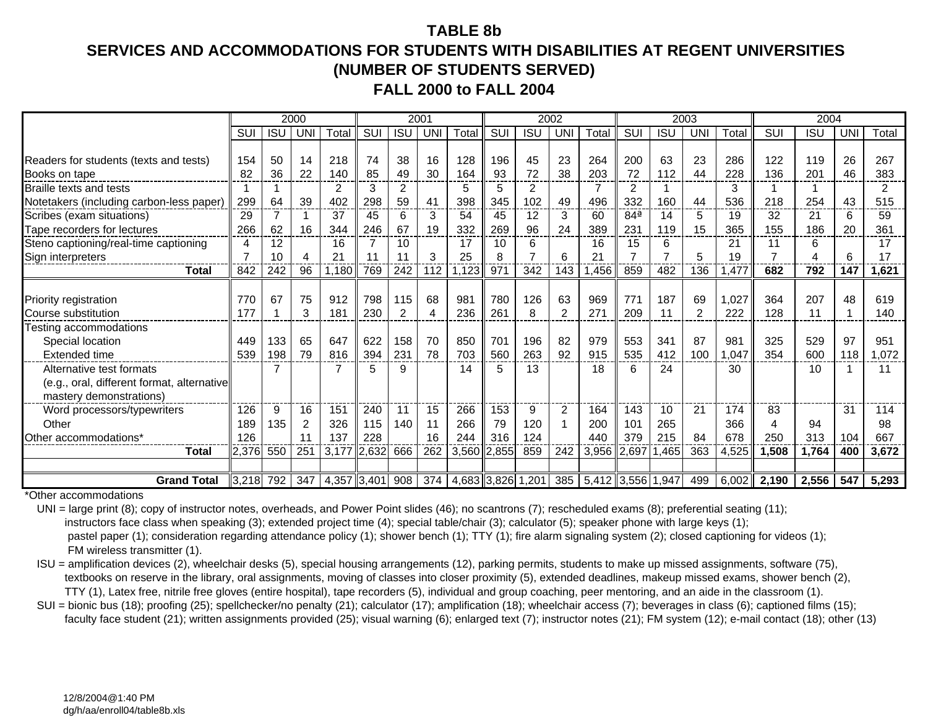#### **TABLE 8b**

## **SERVICES AND ACCOMMODATIONS FOR STUDENTS WITH DISABILITIES AT REGENT UNIVERSITIES(NUMBER OF STUDENTS SERVED) FALL 2000 to FALL 2004**

|                                            |       |            | 2000       |              |     |                | 2001 |       |       |            | 2002           |                                                                                                   |                 |            | 2003           |       |            | 2004       |           |       |
|--------------------------------------------|-------|------------|------------|--------------|-----|----------------|------|-------|-------|------------|----------------|---------------------------------------------------------------------------------------------------|-----------------|------------|----------------|-------|------------|------------|-----------|-------|
|                                            | SUI   | <b>ISU</b> | <b>UNI</b> | Total        | SUI | <b>ISU</b>     | UNI  | Total | SUI   | <b>ISU</b> | UNI            | Total                                                                                             | SUI             | <b>ISU</b> | <b>UNI</b>     | Total | <b>SUI</b> | <b>ISU</b> | <b>UN</b> | Total |
|                                            |       |            |            |              |     |                |      |       |       |            |                |                                                                                                   |                 |            |                |       |            |            |           |       |
| Readers for students (texts and tests)     | 154   | 50         | 14         | 218          | 74  | 38             | 16   | 128   | 196   | 45         | 23             | 264                                                                                               | 200             | 63         | 23             | 286   | 122        | 119        | 26        | 267   |
| Books on tape                              | 82    | 36         | 22         | 140          | 85  | 49             | 30   | 164   | 93    | 72         | 38             | 203                                                                                               | 72              | 112        | 44             | 228   | 136        | 201        | 46        | 383   |
| Braille texts and tests                    |       |            |            | 2            | 3   | 2              |      | 5     | 5     | 2          |                |                                                                                                   | 2               |            |                | 3     |            |            |           | 2     |
| Notetakers (including carbon-less paper)   | 299   | 64         | 39         | 402          | 298 | 59             | -41  | 398   | 345   | 102        | 49             | 496                                                                                               | 332             | 160        | 44             | 536   | 218        | 254        | 43        | 515   |
| Scribes (exam situations)                  | 29    |            |            | 37           | 45  | 6              | 3    | 54    | 45    | 12         | 3              | 60                                                                                                | 84 <sup>a</sup> | 14         | 5              | 19    | 32         | 21         | 6         | 59    |
| Tape recorders for lectures                | 266   | 62         | 16         | 344          | 246 | 67             | 19   | 332   | 269   | 96         | 24             | 389                                                                                               | 231             | 119        | 15             | 365   | 155        | 186        | 20        | 361   |
| Steno captioning/real-time captioning      | 4     | 12         |            | 16           |     | 10             |      | 17    | 10    | 6          |                | 16                                                                                                | 15              | 6          |                | 21    | 11         | 6          |           | 17    |
| Sign interpreters                          |       | 10         | 4          | $2^{\prime}$ |     | 11             | 3    | 25    | 8     |            | 6              | 21                                                                                                |                 |            | 5              | 19    |            | Δ          | 6         | 17    |
| Total                                      | 842   | 242        | 96         | 1.180        | 769 | 242            | 112  | 1.123 | 971   | 342        | 143            | .456                                                                                              | 859             | 482        | 136            | ,477  | 682        | 792        | 147       | 1,621 |
|                                            |       |            |            |              |     |                |      |       |       |            |                |                                                                                                   |                 |            |                |       |            |            |           |       |
| Priority registration                      | 770   | 67         | 75         | 912          | 798 | 115            | 68   | 981   | 780   | 126        | 63             | 969                                                                                               | 771             | 187        | 69             | 1,027 | 364        | 207        | 48        | 619   |
| Course substitution                        | 177   |            | 3          | 181          | 230 | $\overline{2}$ | 4    | 236   | 261   | 8          | $\mathfrak{p}$ | 271                                                                                               | 209             | 11         | $\mathfrak{p}$ | 222   | 128        | 11         |           | 140   |
| Testing accommodations                     |       |            |            |              |     |                |      |       |       |            |                |                                                                                                   |                 |            |                |       |            |            |           |       |
| Special location                           | 449   | 133        | 65         | 647          | 622 | 158            | 70   | 850   | 701   | 196        | 82             | 979                                                                                               | 553             | 341        | 87             | 981   | 325        | 529        | 97        | 951   |
| <b>Extended time</b>                       | 539   | 198        | 79         | 816          | 394 | 231            | 78   | 703   | 560   | 263        | 92             | 915                                                                                               | 535             | 412        | 100            | .047  | 354        | 600        | 118       | .072  |
| Alternative test formats                   |       |            |            |              |     | 9              |      | 14    | 5     | 13         |                | 18                                                                                                | 6               | 24         |                | 30    |            | 10         |           | 11    |
| (e.g., oral, different format, alternative |       |            |            |              |     |                |      |       |       |            |                |                                                                                                   |                 |            |                |       |            |            |           |       |
| mastery demonstrations)                    |       |            |            |              |     |                |      |       |       |            |                |                                                                                                   |                 |            |                |       |            |            |           |       |
| Word processors/typewriters                | 126   | 9          | 16         | 151          | 240 | 11             | 15   | 266   | 153   | 9          | $\overline{2}$ | 164                                                                                               | 143             | 10         | 21             | 174   | 83         |            | -31       | 114   |
| Other                                      | 189   | 135        | 2          | 326          | 115 | 140            | 11   | 266   | 79    | 120        |                | 200                                                                                               | 101             | 265        |                | 366   | 4          | 94         |           | 98    |
| Other accommodations*                      | 126   |            | 11         | 137          | 228 |                | 16   | 244   | 316   | 124        |                | 440                                                                                               | 379             | 215        | 84             | 678   | 250        | 313        | 104       | 667   |
| Total                                      | 2,376 | 550        | 251        | 3,177 2,632  |     | 666            | 262  | 3,560 | 2,855 | 859        | 242            | 3,956                                                                                             | 2,697           | 1,465      | 363            | 4,525 | 1,508      | 1,764      | 400       | 3,672 |
|                                            |       |            |            |              |     |                |      |       |       |            |                |                                                                                                   |                 |            |                |       |            |            |           |       |
| <b>Grand Total</b>                         |       |            |            |              |     |                |      |       |       |            |                | 3,218  792   347   4,357   3,401  908   374   4,683   3,826   1,201   385   5,412   3,556   1,947 |                 |            | 499            | 6,002 | 2,190      | 2,556      | 547       | 5,293 |

\*Other accommodations

UNI = large print (8); copy of instructor notes, overheads, and Power Point slides (46); no scantrons (7); rescheduled exams (8); preferential seating (11); instructors face class when speaking (3); extended project time (4); special table/chair (3); calculator (5); speaker phone with large keys (1); pastel paper (1); consideration regarding attendance policy (1); shower bench (1); TTY (1); fire alarm signaling system (2); closed captioning for videos (1); FM wireless transmitter (1).

 ISU = amplification devices (2), wheelchair desks (5), special housing arrangements (12), parking permits, students to make up missed assignments, software (75), textbooks on reserve in the library, oral assignments, moving of classes into closer proximity (5), extended deadlines, makeup missed exams, shower bench (2), TTY (1), Latex free, nitrile free gloves (entire hospital), tape recorders (5), individual and group coaching, peer mentoring, and an aide in the classroom (1).

SUI = bionic bus (18); proofing (25); spellchecker/no penalty (21); calculator (17); amplification (18); wheelchair access (7); beverages in class (6); captioned films (15); faculty face student (21); written assignments provided (25); visual warning (6); enlarged text (7); instructor notes (21); FM system (12); e-mail contact (18); other (13)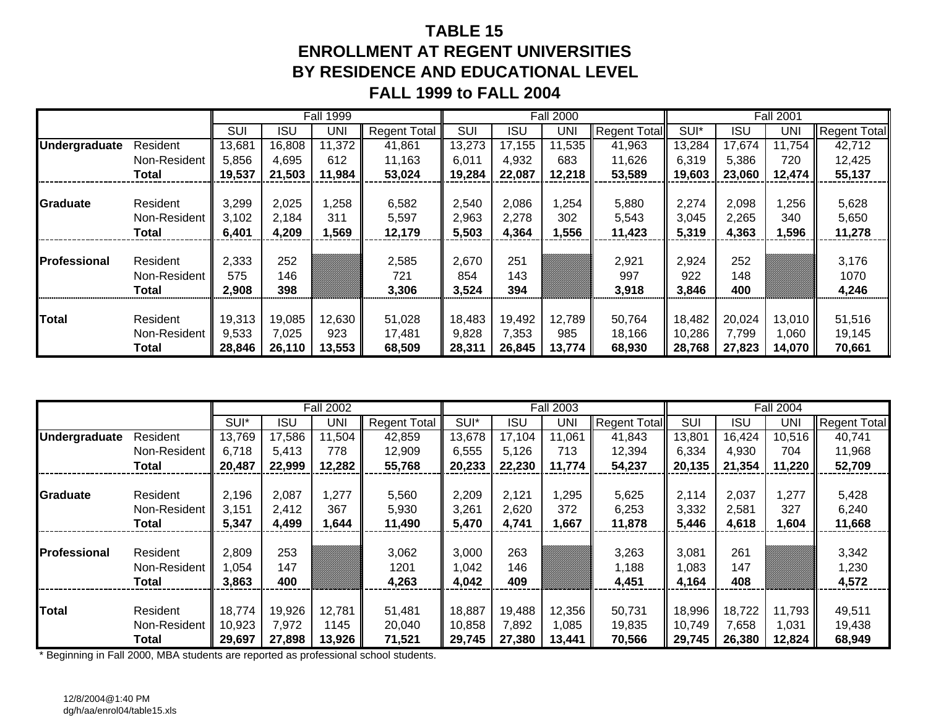# **TABLE 15ENROLLMENT AT REGENT UNIVERSITIESBY RESIDENCE AND EDUCATIONAL LEVEL FALL 1999 to FALL 2004**

|                      |              |        |            | <b>Fall 1999</b> |                     |        |            | <b>Fall 2000</b> |                     |        |            | <b>Fall 2001</b> |                     |
|----------------------|--------------|--------|------------|------------------|---------------------|--------|------------|------------------|---------------------|--------|------------|------------------|---------------------|
|                      |              | SUI    | <b>ISU</b> | UNI              | <b>Regent Total</b> | SUI    | <b>ISU</b> | UNI              | <b>Regent Total</b> | SUI*   | <b>ISU</b> | <b>UNI</b>       | <b>Regent Total</b> |
| <b>Undergraduate</b> | Resident     | 13,681 | 16,808     | 11,372           | 41,861              | 13,273 | 17,155     | 11,535           | 41,963              | 13,284 | 17.674     | 11,754           | 42,712              |
|                      | Non-Resident | 5,856  | 4,695      | 612              | 11,163              | 6,011  | 4,932      | 683              | 11,626              | 6,319  | 5,386      | 720              | 12,425              |
|                      | Total        | 19,537 | 21,503     | 11,984           | 53,024              | 19,284 | 22,087     | 12,218           | 53,589              | 19,603 | 23,060     | 12,474           | 55,137              |
|                      |              |        |            |                  |                     |        |            |                  |                     |        |            |                  |                     |
| Graduate             | Resident     | 3,299  | 2,025      | ,258             | 6,582               | 2,540  | 2,086      | ,254             | 5,880               | 2,274  | 2,098      | 1,256            | 5,628               |
|                      | Non-Resident | 3,102  | 2,184      | 311              | 5,597               | 2,963  | 2,278      | 302              | 5,543               | 3,045  | 2,265      | 340              | 5,650               |
|                      | Total        | 6,401  | 4,209      | ,569             | 12,179              | 5,503  | 4,364      | ,556             | 11,423              | 5,319  | 4,363      | 596, ا           | 11,278              |
|                      |              |        |            |                  |                     |        |            |                  |                     |        |            |                  |                     |
| <b>Professional</b>  | Resident     | 2,333  | 252        |                  | 2,585               | 2,670  | 251        |                  | 2,921               | 2,924  | 252        |                  | 3,176               |
|                      | Non-Resident | 575    | 146        |                  | 721                 | 854    | 143        |                  | 997                 | 922    | 148        |                  | 1070                |
|                      | <b>Total</b> | 2,908  | 398        |                  | 3,306               | 3,524  | 394        |                  | 3,918               | 3,846  | 400        |                  | 4,246               |
|                      |              |        |            |                  |                     |        |            |                  |                     |        |            |                  |                     |
| <b>Total</b>         | Resident     | 19,313 | 19,085     | 12,630           | 51,028              | 18,483 | 19,492     | 12,789           | 50,764              | 18,482 | 20,024     | 13,010           | 51,516              |
|                      | Non-Resident | 9,533  | 7,025      | 923              | 17,481              | 9,828  | 7,353      | 985              | 18,166              | 10,286 | 7,799      | 1,060            | 19,145              |
|                      | Total        | 28,846 | 26,110     | 13,553           | 68,509              | 28,311 | 26,845     | 13,774           | 68,930              | 28,768 | 27,823     | 14,070           | 70,661              |

|                      |              |        |            | <b>Fall 2002</b> |                     |        |            | <b>Fall 2003</b> |                     |            |        | <b>Fall 2004</b> |                     |
|----------------------|--------------|--------|------------|------------------|---------------------|--------|------------|------------------|---------------------|------------|--------|------------------|---------------------|
|                      |              | SUI*   | <b>ISU</b> | UNI              | <b>Regent Total</b> | SUI*   | <b>ISU</b> | UNI              | <b>Regent Total</b> | <b>SUI</b> | ISU    | UNI              | <b>Regent Total</b> |
| <b>Undergraduate</b> | Resident     | 13,769 | 17,586     | 11,504           | 42,859              | 13,678 | 17,104     | 11,061           | 41,843              | 13,801     | 16,424 | 10,516           | 40,741              |
|                      | Non-Resident | 6,718  | 5,413      | 778              | 12,909              | 6,555  | 5,126      | 713              | 12,394              | 6,334      | 4,930  | 704              | 11,968              |
|                      | <b>Total</b> | 20,487 | 22,999     | 12,282           | 55,768              | 20,233 | 22,230     | 11,774           | 54,237              | 20,135     | 21,354 | 11,220           | 52,709              |
|                      |              |        |            |                  |                     |        |            |                  |                     |            |        |                  |                     |
| Graduate             | Resident     | 2,196  | 2,087      | 1,277            | 5,560               | 2,209  | 2,121      | ,295             | 5,625               | 2,114      | 2,037  | ,277             | 5,428               |
|                      | Non-Resident | 3,151  | 2,412      | 367              | 5,930               | 3,261  | 2,620      | 372              | 6,253               | 3,332      | 2,581  | 327              | 6,240               |
|                      | Total        | 5,347  | 4,499      | 1,644            | 11,490              | 5,470  | 4,741      | ,667             | 11,878              | 5,446      | 4,618  | 1,604            | 11,668              |
|                      |              |        |            |                  |                     |        |            |                  |                     |            |        |                  |                     |
| Professional         | Resident     | 2,809  | 253        |                  | 3,062               | 3,000  | 263        |                  | 3,263               | 3,081      | 261    |                  | 3,342               |
|                      | Non-Resident | 1.054  | 147        |                  | 1201                | 042, ا | 146        |                  | 1,188               | ,083       | 147    |                  | 1,230               |
|                      | <b>Total</b> | 3,863  | 400        |                  | 4,263               | 4,042  | 409        |                  | 4,451               | 4,164      | 408    |                  | 4,572               |
|                      |              |        |            |                  |                     |        |            |                  |                     |            |        |                  |                     |
| <b>Total</b>         | Resident     | 18,774 | 19,926     | 12,781           | 51,481              | 18,887 | 19,488     | 12,356           | 50,731              | 18,996     | 18,722 | 11,793           | 49,511              |
|                      | Non-Resident | 10,923 | 7,972      | 1145             | 20,040              | 10,858 | 7,892      | 1,085            | 19,835              | 10,749     | 7,658  | 1,031            | 19,438              |
|                      | Total        | 29,697 | 27,898     | 13,926           | 71,521              | 29,745 | 27,380     | 13,441           | 70,566              | 29,745     | 26,380 | 12,824           | 68,949              |

\* Beginning in Fall 2000, MBA students are reported as professional school students.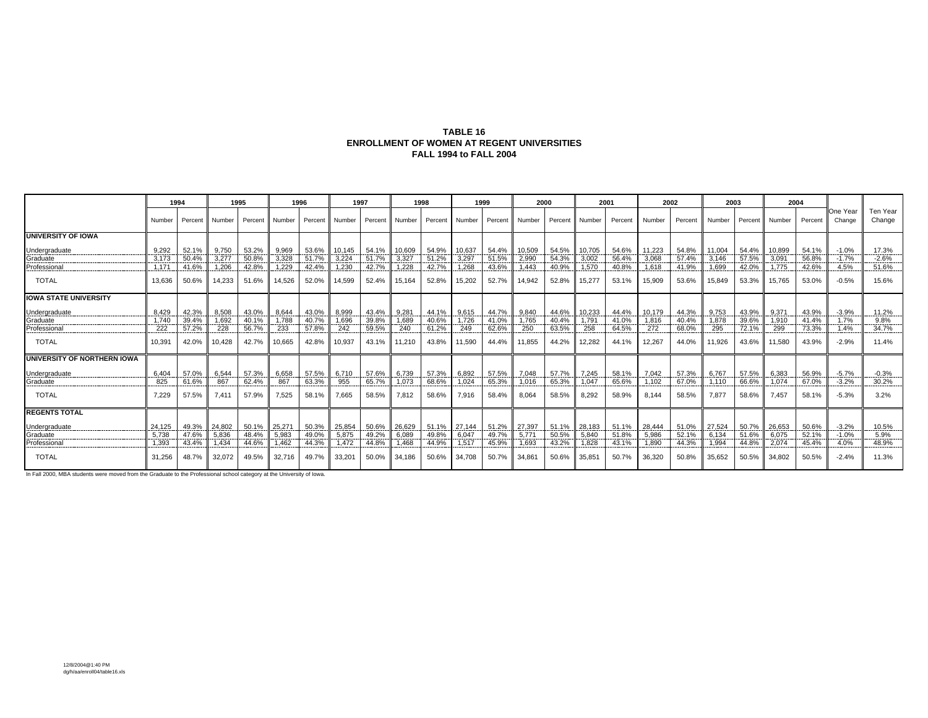#### **TABLE 16 ENROLLMENT OF WOMEN AT REGENT UNIVERSITIES FALL 1994 to FALL 2004**

|                                    |        | 1994                 |        | 1995    | 1996   |         | 1997          |         |               | 1998  |                | 1999         |        | 2000     | 2001   |         |        | 2002    | 2003   |          | 2004              |         |                    |                    |
|------------------------------------|--------|----------------------|--------|---------|--------|---------|---------------|---------|---------------|-------|----------------|--------------|--------|----------|--------|---------|--------|---------|--------|----------|-------------------|---------|--------------------|--------------------|
|                                    | Number | Percent II           | Number | Percent | Number | Percent | <b>Number</b> | Percent | <b>Number</b> |       | Percent Number | Percent      | Number | Percent  | Number | Percent | Number | Percent | Number | Percent  | Number            | Percent | One Year<br>Change | Ten Year<br>Change |
| <b>UNIVERSITY OF IOWA</b>          |        |                      |        |         |        |         |               |         |               |       |                |              |        |          |        |         |        |         |        |          |                   |         |                    |                    |
| Undergraduate                      | 9.292  | 52.1%                | 9.750  | 53.2%   | 9.969  | 53.6%   | 10.145        | 54.1%   | 10.609        | 54.9% | 10.637         | 54.4%        | 10.509 | 54.5%    | 10.705 | 54.6%   | 11.223 | 54.8%   | 11.004 | 54.4% II | 10.899            | 54.1%   | $-1.0%$            | 17.3%              |
| Graduate<br>_________              | 3.173  | 50.4%                | 3.277  | 50.8%   | 3.328  | 51.7%   | 3.224         | 51.7%   | 3,327         | 51.2% | 3.297          | 51.5%        | 2,990  | 54.3%    | 3.002  | 56.4%   | 3.068  | 57.4%   | 3.146  | 57.5%    | 3.09 <sup>4</sup> | 56.8%   | $-1.7%$            | $-2.6%$            |
| Professional                       | 1.171  | 41.6%                | 1.206  | 42.8%   | 1.229  | 42.4%   | 1.230         | 42.7%   | 1.228         | 42.7% | 1.268          | 43.6%        | 1.443  | 40.9%    | 1.570  | 40.8%   | 1.618  | 41.9%   | 1.699  | 42.0%    | 1.775             | 42.6%   | 4.5%               | 51.6%              |
| <b>TOTAL</b>                       | 13.636 | 50.6%                | 14.233 | 51.6%   | 14.526 | 52.0%   | 14.599        | 52.4%   | 15,164        | 52.8% | 15.202         | 52.7%        | 14.942 | 52.8%    | 15,277 | 53.1%   | 15.909 | 53.6%   | 15.849 | $53.3\%$ | 15.765            | 53.0%   | $-0.5%$            | 15.6%              |
| <b>IOWA STATE UNIVERSITY</b>       |        |                      |        |         |        |         |               |         |               |       |                |              |        |          |        |         |        |         |        |          |                   |         |                    |                    |
| Jndergraduate                      | 8.429  | 42.3%                | 8.508  | 43.0%   | 8.644  | 43.0%   | 8.999         | 43.4%   | 9.281         | 44.1% | 9.615          | 44.7%        | 9.840  | 44.6%    | 10.233 | 44.4%   | 10.179 | 44.3%   | 9.753  | 43.9%    | 9.371             | 43.9%   | $-3.9%$            | 11.2%              |
| Graduate                           | 1.740  | 39.4%                | 1.692  | 40.1%   | 1.788  | 40.7%   | 1,696         | 39.8%   | 1.689         | 40.6% | 1.726          | 41.0%        | 1.765  | 40.4%    | 1.791  | 41.0%   | 1.816  | 40.4%   | 1.878  | 39.6%    | 1.910             | 41.4%   | 1.7%               | 9.8%               |
| Professional                       | 222    | 57.2%                | 228    | 56.7%   | 233    | 57.8%   | 242           | 59.5%   | 240           | 61.2% | 249            | 62.6%        | 250    | 63.5%    | 258    | 64.5%   | 272    | 68.0%   | 295    | 72.1%    | 299               | 73.3%   | 1.4%               | 34.7%              |
| <b>TOTAL</b>                       | 10.391 | 42.0%                | 10.428 | 42.7%   | 10.665 | 42.8%   | 10,937        | 43.1%   | 11,210        | 43.8% | 11,590         | 44.4%        | 1.855  | 44.2%    | 12,282 | 44.1%   | 12,267 | 44.0%   | 11.926 | 43.6%    | 11.580            | 43.9%   | $-2.9%$            | 11.4%              |
| <b>JNIVERSITY OF NORTHERN IOWA</b> |        |                      |        |         |        |         |               |         |               |       |                |              |        |          |        |         |        |         |        |          |                   |         |                    |                    |
| Jndergraduate                      | 6.404  | 57.0%                | 6.544  | 57.3%   | 6.658  | 57.5%   | 6.710         | 57.6%   | 6.739         | 57.3% | 6.892          | 57.5%        | 7.048  | 57.7%    | 7.245  | 58.1%   | 7.042  | 57.3%   | 6.767  | 57.5%    | 6.383             | 56.9%   | $-5.7%$            | $-0.3%$            |
| Graduate                           | 825    | 61.6%                | 867    | 62.4%   | 867    | 63.3%   | 955           | 65.7%   | 1.073         | 68.6% | 1.024          | 65.3%        | 1.016  | 65.3%    | 1.047  | 65.6%   | 1.102  | 67.0%   | 1.110  | 66.6%    | 1.074             | 67.0%   | $-3.2%$            | 30.2%              |
| <b>TOTAL</b>                       | 7.229  | 57.5%                | 7.411  | 57.9%   | 7.525  | 58.1%   | 7.665         | 58.5%   | 7.812         | 58.6% | 7.916          | 58.4%        | 8.064  | 58.5%    | 8.292  | 58.9%   | 8.144  | 58.5%   | 7.877  | 58.6%    | 7.457             | 58.1%   | $-5.3%$            | 3.2%               |
| <b>REGENTS TOTAL</b>               |        |                      |        |         |        |         |               |         |               |       |                |              |        |          |        |         |        |         |        |          |                   |         |                    |                    |
| <b>Jndergraduate</b>               | 24.125 | 49.3% $\blacksquare$ | 24.802 | 50.1%   | 25.271 | 50.3%   | 25,854        | 50.6%   | 26.629        | 51.1% | 27.144         | 51.2% 27.397 |        | 51.1%    | 28.183 | 51.1%   | 28,444 | 51.0%   | 27.524 | 50.7% II | 26.653            | 50.6%   | $-3.2%$            | 10.5%              |
| Graduate                           | 5.738  | 47.6%                | 5.836  | 48.4%   | 5.983  | 49.0%   | 5.875         | 49.2%   | 6.089         | 49.8% | 6.047          | 49.7%        | 5.77   | 50.5%    | 5.840  | 51.8%   | 5.986  | 52.1%   | 6.134  | 51.6%    | 6.075             | 52.1%   | $-1.0%$            | 5.9%               |
| Professional                       | 1,393  | 43.4%                | 1.434  | 44.6%   | 1.462  | 44.3%   | 1.472         | 44.8%   | 1.468         | 44.9% | 1.517          | 45.9%        | 1.693  | 43.2%    | 1.828  | 43.1%   | 1.890  | 44.3%   | 1.994  | 44.8%    | 2.074             | 45.4%   | 4.0%               | --------<br>48.9%  |
| <b>TOTAL</b>                       | 31.256 | 48.7%                | 32.072 | 49.5%   | 32.716 | 49.7%   | 33.201        | 50.0%   | 34.186        | 50.6% | 34.708         | 50.7%        | 34.861 | $50.6\%$ | 35.851 | 50.7%   | 36,320 | 50.8%   | 35.652 | $50.5\%$ | 34.802            | 50.5%   | $-2.4%$            | 11.3%              |

In Fall 2000, MBA students were moved from the Graduate to the Professional school category at the University of Iowa.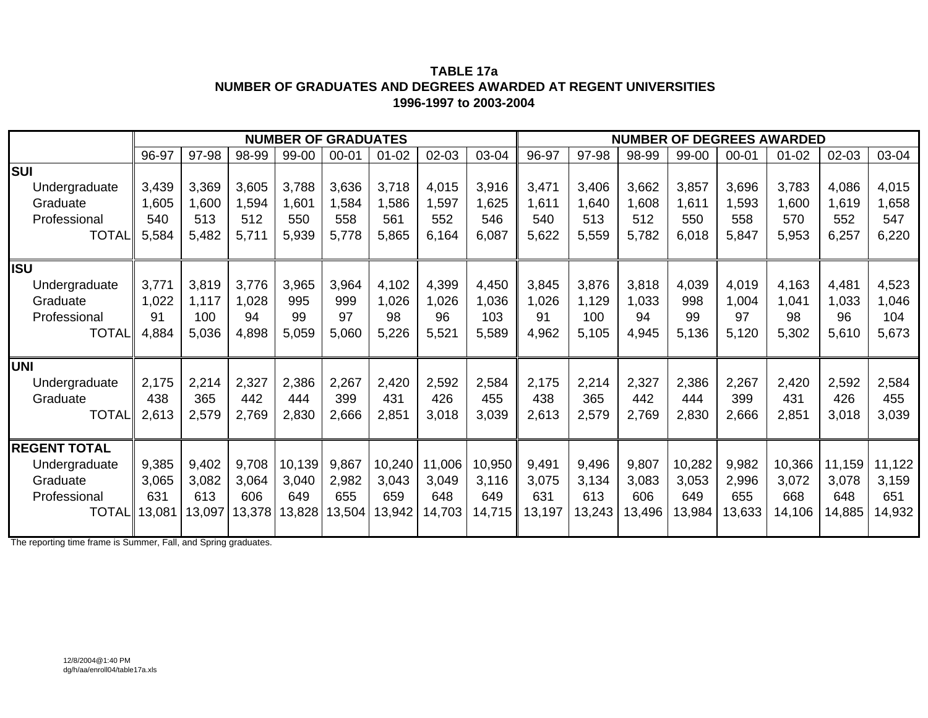#### **TABLE 17a NUMBER OF GRADUATES AND DEGREES AWARDED AT REGENT UNIVERSITIES1996-1997 to 2003-2004**

|                     |        |                               |        | <b>NUMBER OF GRADUATES</b> |           |           |        |        |        |        |        |        |           | <b>NUMBER OF DEGREES AWARDED</b> |        |        |
|---------------------|--------|-------------------------------|--------|----------------------------|-----------|-----------|--------|--------|--------|--------|--------|--------|-----------|----------------------------------|--------|--------|
|                     | 96-97  | 97-98                         | 98-99  | 99-00                      | $00 - 01$ | $01 - 02$ | 02-03  | 03-04  | 96-97  | 97-98  | 98-99  | 99-00  | $00 - 01$ | $01 - 02$                        | 02-03  | 03-04  |
| <b>SUI</b>          |        |                               |        |                            |           |           |        |        |        |        |        |        |           |                                  |        |        |
| Undergraduate       | 3,439  | 3,369                         | 3,605  | 3,788                      | 3,636     | 3,718     | 4,015  | 3,916  | 3,471  | 3,406  | 3,662  | 3,857  | 3,696     | 3,783                            | 4,086  | 4,015  |
| Graduate            | 1,605  | 1,600                         | 1,594  | 1,601                      | 1,584     | 1,586     | 1,597  | 1,625  | 1,611  | 1,640  | 1,608  | 1,611  | 1,593     | 1,600                            | 1,619  | 1,658  |
| Professional        | 540    | 513                           | 512    | 550                        | 558       | 561       | 552    | 546    | 540    | 513    | 512    | 550    | 558       | 570                              | 552    | 547    |
| <b>TOTAL</b>        | 5,584  | 5,482                         | 5,711  | 5,939                      | 5,778     | 5,865     | 6,164  | 6,087  | 5,622  | 5,559  | 5,782  | 6,018  | 5,847     | 5,953                            | 6,257  | 6,220  |
| <b>IISU</b>         |        |                               |        |                            |           |           |        |        |        |        |        |        |           |                                  |        |        |
| Undergraduate       | 3,771  | 3,819                         | 3,776  | 3,965                      | 3,964     | 4,102     | 4,399  | 4,450  | 3,845  | 3,876  | 3,818  | 4,039  | 4,019     | 4,163                            | 4,481  | 4,523  |
| Graduate            | 1,022  | 1,117                         | 1,028  | 995                        | 999       | 1,026     | 1,026  | 1,036  | 1,026  | 1,129  | 1,033  | 998    | 1,004     | 1,041                            | 1,033  | 1,046  |
| Professional        | 91     | 100                           | 94     | 99                         | 97        | 98        | 96     | 103    | 91     | 100    | 94     | 99     | 97        | 98                               | 96     | 104    |
| <b>TOTAL</b>        | 4,884  | 5,036                         | 4,898  | 5,059                      | 5,060     | 5,226     | 5,521  | 5,589  | 4,962  | 5,105  | 4,945  | 5,136  | 5,120     | 5,302                            | 5,610  | 5,673  |
| <b>UNI</b>          |        |                               |        |                            |           |           |        |        |        |        |        |        |           |                                  |        |        |
| Undergraduate       | 2,175  | 2,214                         | 2,327  | 2,386                      | 2,267     | 2,420     | 2,592  | 2,584  | 2,175  | 2,214  | 2,327  | 2,386  | 2,267     | 2,420                            | 2,592  | 2,584  |
| Graduate            | 438    | 365                           | 442    | 444                        | 399       | 431       | 426    | 455    | 438    | 365    | 442    | 444    | 399       | 431                              | 426    | 455    |
| <b>TOTAL</b>        | 2,613  | 2,579                         | 2,769  | 2,830                      | 2,666     | 2,851     | 3,018  | 3,039  | 2,613  | 2,579  | 2,769  | 2,830  | 2,666     | 2,851                            | 3,018  | 3,039  |
| <b>REGENT TOTAL</b> |        |                               |        |                            |           |           |        |        |        |        |        |        |           |                                  |        |        |
| Undergraduate       | 9,385  | 9,402                         | 9,708  | 10,139                     | 9,867     | 10,240    | 11,006 | 10,950 | 9,491  | 9,496  | 9,807  | 10,282 | 9,982     | 10,366                           | 11,159 | 11,122 |
| Graduate            | 3,065  | 3,082                         | 3,064  | 3,040                      | 2,982     | 3,043     | 3,049  | 3,116  | 3,075  | 3,134  | 3,083  | 3,053  | 2,996     | 3,072                            | 3,078  | 3,159  |
| Professional        | 631    | 613                           | 606    | 649                        | 655       | 659       | 648    | 649    | 631    | 613    | 606    | 649    | 655       | 668                              | 648    | 651    |
| <b>TOTAL</b>        | 13,081 | 13,097<br>$E = 0$ and $O = 0$ | 13,378 | 13,828                     | 13,504    | 13,942    | 14,703 | 14,715 | 13,197 | 13,243 | 13,496 | 13,984 | 13,633    | 14,106                           | 14,885 | 4,932  |

The reporting time frame is Summer, Fall, and Spring graduates.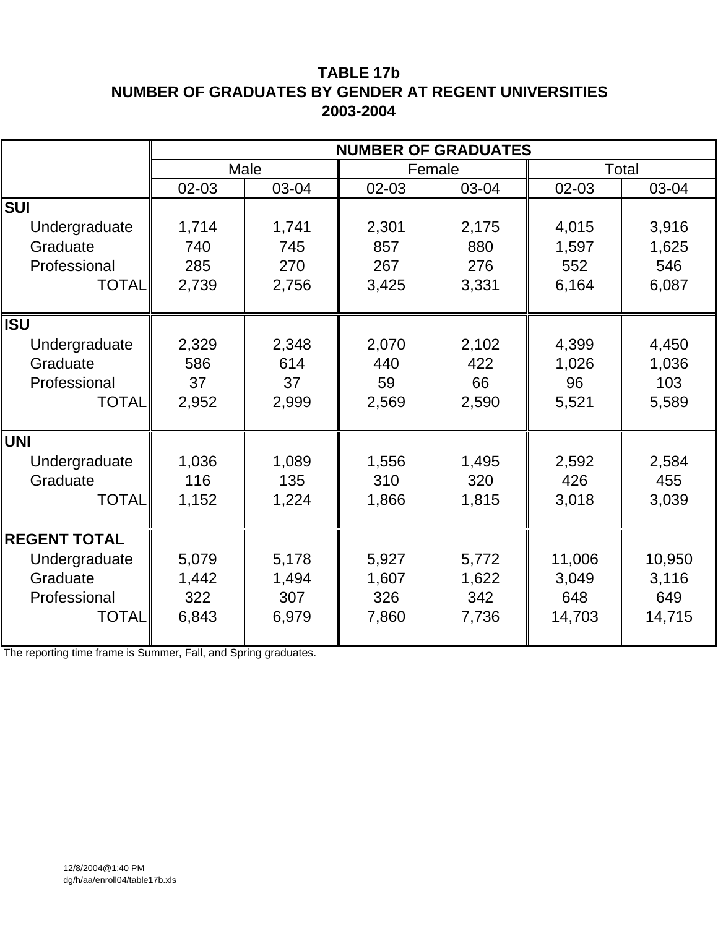# **TABLE 17b NUMBER OF GRADUATES BY GENDER AT REGENT UNIVERSITIES 2003-2004**

|                     |       |       | <b>NUMBER OF GRADUATES</b> |       |        |        |
|---------------------|-------|-------|----------------------------|-------|--------|--------|
|                     |       | Male  | Female                     |       |        | Total  |
|                     | 02-03 | 03-04 | 02-03                      | 03-04 | 02-03  | 03-04  |
| <b>SUI</b>          |       |       |                            |       |        |        |
| Undergraduate       | 1,714 | 1,741 | 2,301                      | 2,175 | 4,015  | 3,916  |
| Graduate            | 740   | 745   | 857                        | 880   | 1,597  | 1,625  |
| Professional        | 285   | 270   | 267                        | 276   | 552    | 546    |
| <b>TOTAL</b>        | 2,739 | 2,756 | 3,425                      | 3,331 | 6,164  | 6,087  |
|                     |       |       |                            |       |        |        |
| <b>ISU</b>          |       |       |                            |       |        |        |
| Undergraduate       | 2,329 | 2,348 | 2,070                      | 2,102 | 4,399  | 4,450  |
| Graduate            | 586   | 614   | 440                        | 422   | 1,026  | 1,036  |
| Professional        | 37    | 37    | 59                         | 66    | 96     | 103    |
| <b>TOTAL</b>        | 2,952 | 2,999 | 2,569                      | 2,590 | 5,521  | 5,589  |
|                     |       |       |                            |       |        |        |
| <b>UNI</b>          |       |       |                            |       |        |        |
| Undergraduate       | 1,036 | 1,089 | 1,556                      | 1,495 | 2,592  | 2,584  |
| Graduate            | 116   | 135   | 310                        | 320   | 426    | 455    |
| <b>TOTAL</b>        | 1,152 | 1,224 | 1,866                      | 1,815 | 3,018  | 3,039  |
|                     |       |       |                            |       |        |        |
| <b>REGENT TOTAL</b> |       |       |                            |       |        |        |
| Undergraduate       | 5,079 | 5,178 | 5,927                      | 5,772 | 11,006 | 10,950 |
| Graduate            | 1,442 | 1,494 | 1,607                      | 1,622 | 3,049  | 3,116  |
| Professional        | 322   | 307   | 326                        | 342   | 648    | 649    |
| <b>TOTAL</b>        | 6,843 | 6,979 | 7,860                      | 7,736 | 14,703 | 14,715 |
|                     |       |       |                            |       |        |        |

The reporting time frame is Summer, Fall, and Spring graduates.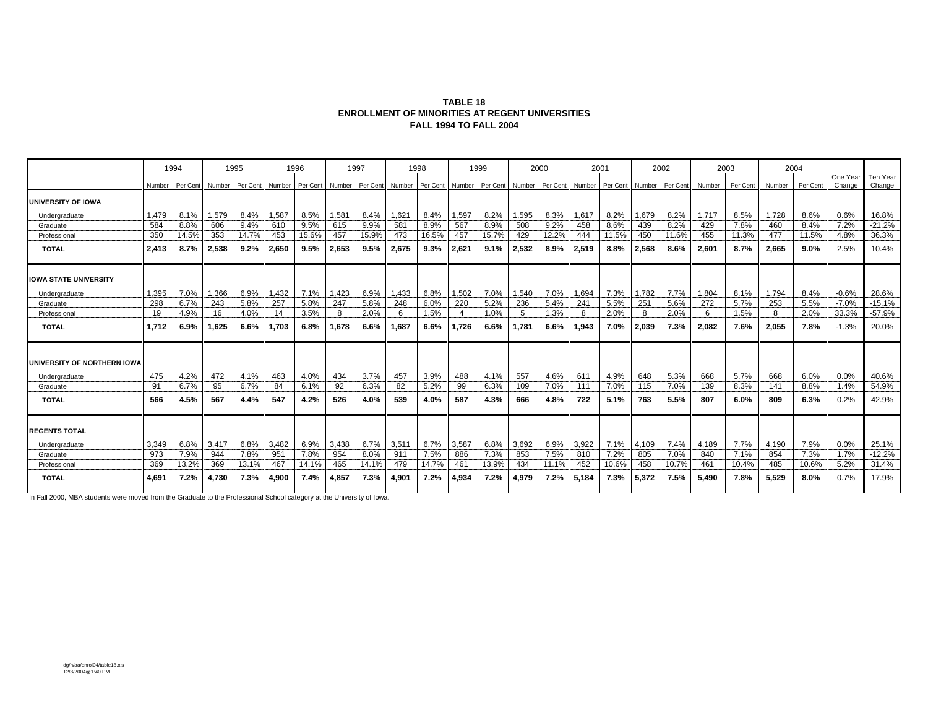| <b>TABLE 18</b>                                 |
|-------------------------------------------------|
| ENROLLMENT OF MINORITIES AT REGENT UNIVERSITIES |
| <b>FALL 1994 TO FALL 2004</b>                   |

|                                              |        | 1994     |        | 1995     |        | 1996     |        | 1997     |        | 1998     |                | 1999     |        | 2000     | 2001   |          |        | 2002     |        | 2003     |        | 2004     |                    |                    |
|----------------------------------------------|--------|----------|--------|----------|--------|----------|--------|----------|--------|----------|----------------|----------|--------|----------|--------|----------|--------|----------|--------|----------|--------|----------|--------------------|--------------------|
|                                              | Number | Per Cent | Number | Per Cent | Number | Per Cent | Number | Per Cent | Number | Per Cent | Number         | Per Cent | Number | Per Cent | Number | Per Cent | Number | Per Cent | Number | Per Cent | Number | Per Cent | One Year<br>Change | Ten Year<br>Change |
| UNIVERSITY OF IOWA                           |        |          |        |          |        |          |        |          |        |          |                |          |        |          |        |          |        |          |        |          |        |          |                    |                    |
| Undergraduate                                | 1,479  | 8.1%     | 1,579  | 8.4%     | 1,587  | 8.5%     | 1,581  | 8.4%     | 1,621  | 8.4%     | 1,597          | 8.2%     | 1,595  | 8.3%     | 1,617  | 8.2%     | 1,679  | 8.2%     | 1,717  | 8.5%     | 1,728  | 8.6%     | 0.6%               | 16.8%              |
| Graduate                                     | 584    | 8.8%     | 606    | 9.4%     | 610    | 9.5%     | 615    | 9.9%     | 581    | 8.9%     | 567            | 8.9%     | 508    | 9.2%     | 458    | 8.6%     | 439    | 8.2%     | 429    | 7.8%     | 460    | 8.4%     | 7.2%               | $-21.2%$           |
| Professional                                 | 350    | 14.5%    | 353    | 14.7%    | 453    | 15.6%    | 457    | 15.9%    | 473    | 16.5%    | 457            | 15.7%    | 429    | 12.2%    | 444    | 11.5%    | 450    | 11.6%    | 455    | 11.3%    | 477    | 11.5%    | 4.8%               | 36.3%              |
| <b>TOTAL</b>                                 | 2.413  | 8.7%     | 2,538  | 9.2%     | 2.650  | 9.5%     | 2.653  | 9.5%     | 2.675  | 9.3%     | 2.621          | 9.1%     | 2,532  | 8.9%     | 2,519  | 8.8%     | 2.568  | 8.6%     | 2.601  | 8.7%     | 2.665  | 9.0%     | 2.5%               | 10.4%              |
| <b>IOWA STATE UNIVERSITY</b>                 |        |          |        |          |        |          |        |          |        |          |                |          |        |          |        |          |        |          |        |          |        |          |                    |                    |
| Undergraduate                                | 1,395  | 7.0%     | 1,366  | 6.9%     | 1,432  | 7.1%     | 1,423  | 6.9%     | 1.433  | 6.8%     | 1,502          | 7.0%     | 1,540  | 7.0%     | 1,694  | 7.3%     | 1,782  | 7.7%     | 1,804  | 8.1%     | 1.794  | 8.4%     | $-0.6%$            | 28.6%              |
| Graduate                                     | 298    | 6.7%     | 243    | 5.8%     | 257    | 5.8%     | 247    | 5.8%     | 248    | 6.0%     | 220            | 5.2%     | 236    | 5.4%     | 241    | 5.5%     | 251    | 5.6%     | 272    | 5.7%     | 253    | 5.5%     | $-7.0%$            | $-15.1%$           |
| Professional                                 | 19     | 4.9%     | 16     | 4.0%     | 14     | 3.5%     | -8     | 2.0%     | 6      | 1.5%     | $\overline{4}$ | 1.0%     | 5      | 1.3%     | 8      | 2.0%     |        | 2.0%     | 6      | 1.5%     | 8      | 2.0%     | 33.3%              | $-57.9%$           |
| <b>TOTAL</b>                                 | 1.712  | 6.9%     | 1.625  | 6.6%     | 1.703  | 6.8%     | 1.678  | 6.6%     | 1.687  | 6.6%     | 1.726          | 6.6%     | 1.781  | 6.6%     | 1.943  | 7.0%     | 2.039  | 7.3%     | 2.082  | 7.6%     | 2.055  | 7.8%     | $-1.3%$            | 20.0%              |
| UNIVERSITY OF NORTHERN IOWA<br>Undergraduate | 475    | 4.2%     | 472    | 4.1%     | 463    | 4.0%     | 434    | 3.7%     | 457    | 3.9%     | 488            | 4.1%     | 557    | 4.6%     | 611    | 4.9%     | 648    | 5.3%     | 668    | 5.7%     | 668    | 6.0%     | 0.0%               | 40.6%              |
| Graduate                                     | 91     | 6.7%     | 95     | 6.7%     | 84     | 6.1%     | 92     | 6.3%     | 82     | 5.2%     | 99             | 6.3%     | 109    | 7.0%     | 111    | 7.0%     | 115    | 7.0%     | 139    | 8.3%     | 141    | 8.8%     | 1.4%               | 54.9%              |
| <b>TOTAL</b>                                 | 566    | 4.5%     | 567    | 4.4%     | 547    | 4.2%     | 526    | 4.0%     | 539    | 4.0%     | 587            | 4.3%     | 666    | 4.8%     | 722    | 5.1%     | 763    | 5.5%     | 807    | 6.0%     | 809    | 6.3%     | 0.2%               | 42.9%              |
| <b>REGENTS TOTAL</b>                         |        |          |        |          |        |          |        |          |        |          |                |          |        |          |        |          |        |          |        |          |        |          |                    |                    |
| Undergraduate                                | 3,349  | 6.8%     | 3,417  | 6.8%     | 3,482  | 6.9%     | 3,438  | 6.7%     | 3,511  | 6.7%     | 3,587          | 6.8%     | 3,692  | 6.9%     | 3,922  | 7.1%     | 4,109  | 7.4%     | 4,189  | 7.7%     | 4,190  | 7.9%     | 0.0%               | 25.1%              |
| Graduate                                     | 973    | 7.9%     | 944    | 7.8%     | 951    | 7.8%     | 954    | 8.0%     | 911    | 7.5%     | 886            | 7.3%     | 853    | 7.5%     | 810    | 7.2%     | 805    | 7.0%     | 840    | 7.1%     | 854    | 7.3%     | 1.7%               | $-12.2%$           |
| Professional                                 | 369    | 13.2%    | 369    | 13.1%    | 467    | 14.1%    | 465    | 14.1%    | 479    | 14.7%    | 461            | 13.9%    | 434    | 11.1%    | 452    | 10.6%    | 458    | 10.7%    | 461    | 10.4%    | 485    | 10.6%    | 5.2%               | 31.4%              |
| <b>TOTAL</b>                                 | 4.691  | 7.2%     | 4,730  | 7.3%     | 4,900  | 7.4%     | 4.857  | 7.3%     | 4.901  | 7.2%     | 4.934          | 7.2%     | 4,979  | 7.2%     | 5.184  | 7.3%     | 5.372  | 7.5%     | 5,490  | 7.8%     | 5,529  | 8.0%     | 0.7%               | 17.9%              |

In Fall 2000, MBA students were moved from the Graduate to the Professional School category at the University of Iowa.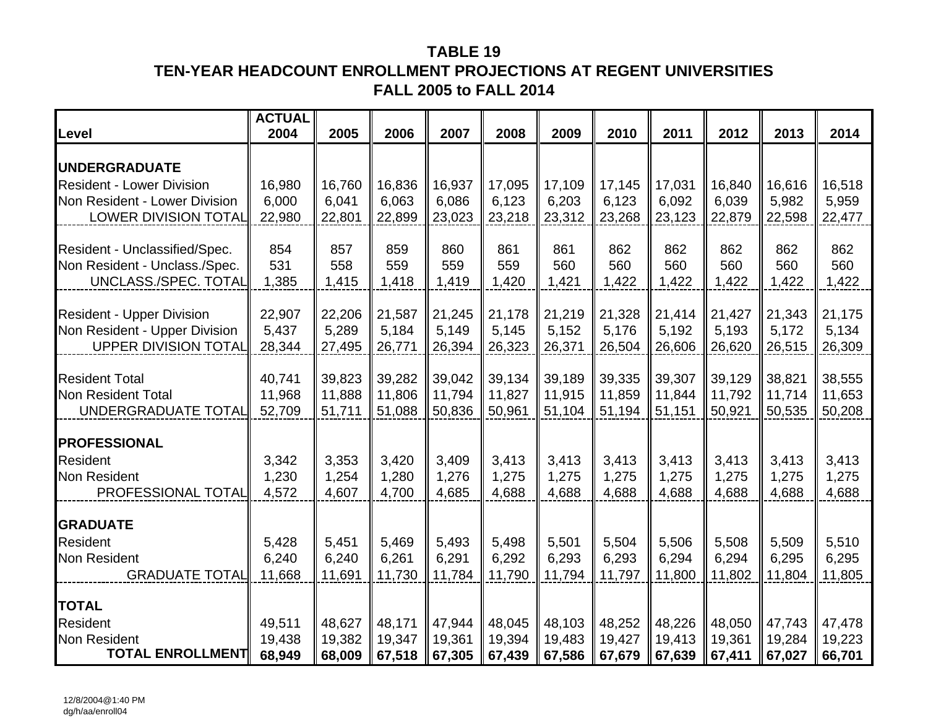# **TABLE 19TEN-YEAR HEADCOUNT ENROLLMENT PROJECTIONS AT REGENT UNIVERSITIES FALL 2005 to FALL 2014**

| Level                                                          | <b>ACTUAL</b><br>2004 | 2005           | 2006           | 2007           | 2008           | 2009           | 2010           | 2011           | 2012           | 2013           | 2014           |
|----------------------------------------------------------------|-----------------------|----------------|----------------|----------------|----------------|----------------|----------------|----------------|----------------|----------------|----------------|
| <b>UNDERGRADUATE</b>                                           |                       |                |                |                |                |                |                |                |                |                |                |
| <b>Resident - Lower Division</b>                               | 16,980                | 16,760         | 16,836         | 16,937         | 17,095         | 17,109         | 17,145         | 17,031         | 16,840         | 16,616         | 16,518         |
| Non Resident - Lower Division                                  | 6,000                 | 6,041          | 6,063          | 6,086          | 6,123          | 6,203          | 6,123          | 6,092          | 6,039          | 5,982          | 5,959          |
| <b>LOWER DIVISION TOTAL</b>                                    | 22,980                | 22,801         | 22,899         | 23,023         | 23,218         | 23,312         | 23,268         | 23,123         | 22,879         | 22,598         | 22,477         |
|                                                                | 854                   | 857            | 859            | 860            | 861            | 861            | 862            | 862            | 862            | 862            | 862            |
| Resident - Unclassified/Spec.<br>Non Resident - Unclass./Spec. | 531                   | 558            | 559            | 559            | 559            | 560            | 560            | 560            | 560            | 560            | 560            |
| UNCLASS./SPEC. TOTAL                                           | 1,385                 | 1,415          | 1,418          | 1,419          | 1,420          | 1,421          | 1,422          | 1,422          | 1,422          | 1,422          | 1,422          |
|                                                                |                       |                |                |                |                |                |                |                |                |                |                |
| <b>Resident - Upper Division</b>                               | 22,907                | 22,206         | 21,587         | 21,245         | 21,178         | 21,219         | 21,328         | 21,414         | 21,427         | 21,343         | 21,175         |
| Non Resident - Upper Division                                  | 5,437                 | 5,289          | 5,184          | 5,149          | 5,145          | 5,152          | 5,176          | 5,192          | 5,193          | 5,172          | 5,134          |
| <b>UPPER DIVISION TOTAL</b>                                    | 28,344                | 27,495         | 26,771         | 26,394         | 26,323         | 26,371         | 26,504         | 26,606         | 26,620         | 26,515         | 26,309         |
| <b>Resident Total</b>                                          | 40,741                | 39,823         | 39,282         | 39,042         | 39,134         | 39,189         | 39,335         | 39,307         | 39,129         | 38,821         | 38,555         |
| Non Resident Total                                             | 11,968                | 11,888         | 11,806         | 11,794         | 11,827         | 11,915         | 11,859         | 11,844         | 11,792         | 11,714         | 11,653         |
| UNDERGRADUATE TOTAL                                            | 52,709                | 51,711         | 51,088         | 50,836         | 50,961         | 51,104         | 51,194         | 51,151         | 50,921         | 50,535         | 50,208         |
| <b>PROFESSIONAL</b>                                            |                       |                |                |                |                |                |                |                |                |                |                |
| Resident                                                       | 3,342                 | 3,353          | 3,420          | 3,409          | 3,413          | 3,413          | 3,413          | 3,413          | 3,413          | 3,413          | 3,413          |
| <b>Non Resident</b>                                            | 1,230                 | 1,254          | 1,280          | 1,276          | 1,275          | 1,275          | 1,275          | 1,275          | 1,275          | 1,275          | 1,275          |
| PROFESSIONAL TOTAL                                             | 4,572                 | 4,607          | 4,700          | 4,685          | 4,688          | 4,688          | 4,688          | 4,688          | 4,688          | 4,688          | 4,688          |
|                                                                |                       |                |                |                |                |                |                |                |                |                |                |
| <b>GRADUATE</b>                                                |                       |                |                |                |                |                |                |                |                |                |                |
| Resident<br>Non Resident                                       | 5,428<br>6,240        | 5,451<br>6,240 | 5,469<br>6,261 | 5,493<br>6,291 | 5,498<br>6,292 | 5,501<br>6,293 | 5,504<br>6,293 | 5,506<br>6,294 | 5,508<br>6,294 | 5,509<br>6,295 | 5,510<br>6,295 |
| <b>GRADUATE TOTAL</b>                                          | 11,668                | 11,691         | 11,730         | 11,784         | 11,790         | 11,794         | 11,797         | 11,800         | 11,802         | 11,804         | 11,805         |
|                                                                |                       |                |                |                |                |                |                |                |                |                |                |
| <b>TOTAL</b>                                                   |                       |                |                |                |                |                |                |                |                |                |                |
| Resident                                                       | 49,511                | 48,627         | 48,171         | 47,944         | 48,045         | 48,103         | 48,252         | 48,226         | 48,050         | 47,743         | 47,478         |
| Non Resident                                                   | 19,438                | 19,382         | 19,347         | 19,361         | 19,394         | 19,483         | 19,427         | 19,413         | 19,361         | 19,284         | 19,223         |
| <b>TOTAL ENROLLMENT</b>                                        | 68,949                | 68,009         | 67,518         | 67,305         | 67,439         | 67,586         | 67,679         | 67,639         | 67,411         | 67,027         | 66,701         |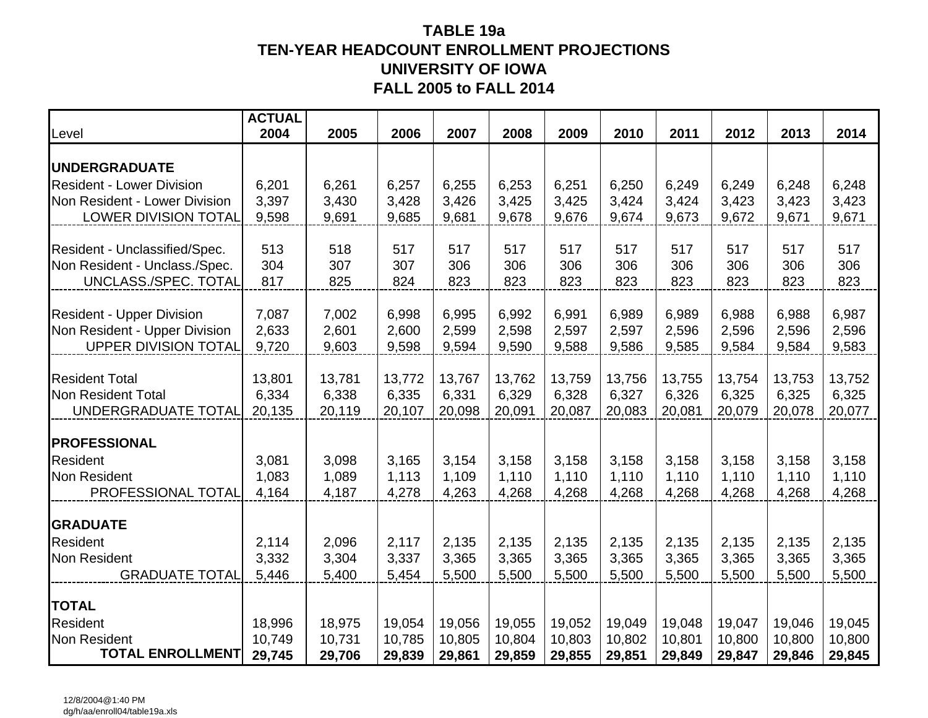## **TABLE 19a TEN-YEAR HEADCOUNT ENROLLMENT PROJECTIONS UNIVERSITY OF IOWAFALL 2005 to FALL 2014**

| Level                                                          | <b>ACTUAL</b><br>2004 | 2005            | 2006            | 2007            | 2008            | 2009            | 2010            | 2011            | 2012            | 2013            | 2014            |
|----------------------------------------------------------------|-----------------------|-----------------|-----------------|-----------------|-----------------|-----------------|-----------------|-----------------|-----------------|-----------------|-----------------|
|                                                                |                       |                 |                 |                 |                 |                 |                 |                 |                 |                 |                 |
| <b>UNDERGRADUATE</b>                                           |                       |                 |                 |                 |                 |                 |                 |                 |                 |                 |                 |
| <b>Resident - Lower Division</b>                               | 6,201                 | 6,261           | 6,257           | 6,255           | 6,253           | 6,251           | 6,250           | 6,249           | 6,249           | 6,248           | 6,248           |
| Non Resident - Lower Division                                  | 3,397                 | 3,430           | 3,428           | 3,426           | 3,425           | 3,425           | 3,424           | 3,424           | 3,423           | 3,423           | 3,423           |
| <b>LOWER DIVISION TOTAL</b>                                    | 9,598                 | 9,691           | 9,685           | 9,681           | 9,678           | 9,676           | 9,674           | 9,673           | 9,672           | 9,671           | 9,671           |
|                                                                | 513                   | 518             | 517             | 517             | 517             | 517             | 517             | 517             | 517             | 517             | 517             |
| Resident - Unclassified/Spec.<br>Non Resident - Unclass./Spec. | 304                   | 307             | 307             | 306             | 306             | 306             | 306             | 306             | 306             | 306             | 306             |
| UNCLASS./SPEC. TOTAL                                           | 817                   | 825             | 824             | 823             | 823             | 823             | 823             | 823             | 823             | 823             | 823             |
|                                                                |                       |                 |                 |                 |                 |                 |                 |                 |                 |                 |                 |
| <b>Resident - Upper Division</b>                               | 7,087                 | 7,002           | 6,998           | 6,995           | 6,992           | 6,991           | 6,989           | 6,989           | 6,988           | 6,988           | 6,987           |
| Non Resident - Upper Division                                  | 2,633                 | 2,601           | 2,600           | 2,599           | 2,598           | 2,597           | 2,597           | 2,596           | 2,596           | 2,596           | 2,596           |
| <b>UPPER DIVISION TOTAL</b>                                    | 9,720                 | 9,603           | 9,598           | 9,594           | 9,590           | 9,588           | 9,586           | 9,585           | 9,584           | 9,584           | 9,583           |
|                                                                |                       |                 |                 |                 |                 |                 |                 |                 |                 |                 |                 |
| <b>Resident Total</b><br>Non Resident Total                    | 13,801<br>6,334       | 13,781<br>6,338 | 13,772<br>6,335 | 13,767<br>6,331 | 13,762<br>6,329 | 13,759<br>6,328 | 13,756<br>6,327 | 13,755<br>6,326 | 13,754<br>6,325 | 13,753<br>6,325 | 13,752<br>6,325 |
| UNDERGRADUATE TOTAL                                            | 20,135                | 20,119          | 20,107          | 20,098          | 20,091          | 20,087          | 20,083          | 20,081          | 20,079          | 20,078          | 20,077          |
|                                                                |                       |                 |                 |                 |                 |                 |                 |                 |                 |                 |                 |
| <b>PROFESSIONAL</b>                                            |                       |                 |                 |                 |                 |                 |                 |                 |                 |                 |                 |
| Resident                                                       | 3,081                 | 3,098           | 3,165           | 3,154           | 3,158           | 3,158           | 3,158           | 3,158           | 3,158           | 3,158           | 3,158           |
| Non Resident                                                   | 1,083                 | 1,089           | 1,113           | 1,109           | 1,110           | 1,110           | 1,110           | 1,110           | 1,110           | 1,110           | 1,110           |
| PROFESSIONAL TOTAL                                             | 4,164                 | 4,187           | 4,278           | 4,263           | 4,268           | 4,268           | 4,268           | 4,268           | 4,268           | 4,268           | 4,268           |
| <b>GRADUATE</b>                                                |                       |                 |                 |                 |                 |                 |                 |                 |                 |                 |                 |
| Resident                                                       | 2,114                 | 2,096           | 2,117           | 2,135           | 2,135           | 2,135           | 2,135           | 2,135           | 2,135           | 2,135           | 2,135           |
| Non Resident                                                   | 3,332                 | 3,304           | 3,337           | 3,365           | 3,365           | 3,365           | 3,365           | 3,365           | 3,365           | 3,365           | 3,365           |
| <b>GRADUATE TOTAL</b>                                          | 5,446                 | 5,400           | 5,454           | 5,500           | 5,500           | 5,500           | 5,500           | 5,500           | 5,500           | 5,500           | 5,500           |
|                                                                |                       |                 |                 |                 |                 |                 |                 |                 |                 |                 |                 |
| <b>TOTAL</b>                                                   |                       |                 |                 |                 |                 |                 |                 |                 |                 |                 |                 |
| <b>Resident</b>                                                | 18,996                | 18,975          | 19,054          | 19,056          | 19,055          | 19,052          | 19,049          | 19,048          | 19,047          | 19,046          | 19,045          |
| <b>Non Resident</b><br><b>TOTAL ENROLLMENT</b>                 | 10,749                | 10,731          | 10,785          | 10,805          | 10,804          | 10,803          | 10,802          | 10,801          | 10,800          | 10,800          | 10,800          |
|                                                                | 29,745                | 29,706          | 29,839          | 29,861          | 29,859          | 29,855          | 29,851          | 29,849          | 29,847          | 29,846          | 29,845          |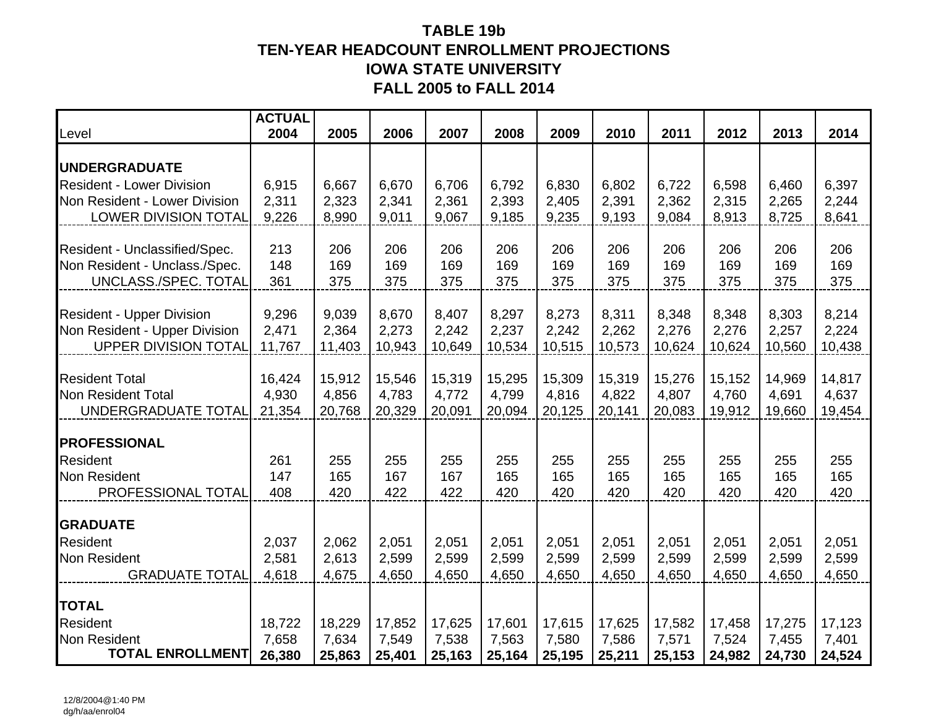## **TABLE 19b TEN-YEAR HEADCOUNT ENROLLMENT PROJECTIONS IOWA STATE UNIVERSITY FALL 2005 to FALL 2014**

| Level                                                        | <b>ACTUAL</b><br>2004 | 2005            | 2006            | 2007            | 2008            | 2009            | 2010            | 2011            | 2012            | 2013            | 2014            |
|--------------------------------------------------------------|-----------------------|-----------------|-----------------|-----------------|-----------------|-----------------|-----------------|-----------------|-----------------|-----------------|-----------------|
| <b>UNDERGRADUATE</b>                                         |                       |                 |                 |                 |                 |                 |                 |                 |                 |                 |                 |
| <b>Resident - Lower Division</b>                             | 6,915                 | 6,667           | 6,670           | 6,706           | 6,792           | 6,830           | 6,802           | 6,722           | 6,598           | 6,460           | 6,397           |
| Non Resident - Lower Division                                | 2,311                 | 2,323           | 2,341           | 2,361           | 2,393           | 2,405           | 2,391           | 2,362           | 2,315           | 2,265           | 2,244           |
| <b>LOWER DIVISION TOTAL</b>                                  | 9,226                 | 8,990           | 9,011           | 9,067           | 9,185           | 9,235           | 9,193           | 9,084           | 8,913           | 8,725           | 8,641           |
| Resident - Unclassified/Spec.                                | 213                   | 206             | 206             | 206             | 206             | 206             | 206             | 206             | 206             | 206             | 206             |
| Non Resident - Unclass./Spec.                                | 148                   | 169             | 169             | 169             | 169             | 169             | 169             | 169             | 169             | 169             | 169             |
| UNCLASS./SPEC. TOTAL                                         | 361                   | 375             | 375             | 375             | 375             | 375             | 375             | 375             | 375             | 375             | 375             |
|                                                              |                       |                 |                 |                 |                 |                 |                 |                 |                 |                 |                 |
| <b>Resident - Upper Division</b>                             | 9,296                 | 9,039           | 8,670           | 8,407           | 8,297           | 8,273           | 8,311           | 8,348           | 8,348           | 8,303           | 8,214           |
| Non Resident - Upper Division<br><b>UPPER DIVISION TOTAL</b> | 2,471<br>11,767       | 2,364<br>11,403 | 2,273<br>10,943 | 2,242<br>10,649 | 2,237<br>10,534 | 2,242<br>10,515 | 2,262<br>10,573 | 2,276<br>10,624 | 2,276<br>10,624 | 2,257<br>10,560 | 2,224<br>10,438 |
|                                                              |                       |                 |                 |                 |                 |                 |                 |                 |                 |                 |                 |
| <b>Resident Total</b>                                        | 16,424                | 15,912          | 15,546          | 15,319          | 15,295          | 15,309          | 15,319          | 15,276          | 15,152          | 14,969          | 14,817          |
| <b>Non Resident Total</b>                                    | 4,930                 | 4,856           | 4,783           | 4,772           | 4,799           | 4,816           | 4,822           | 4,807           | 4,760           | 4,691           | 4,637           |
| UNDERGRADUATE TOTAL                                          | 21,354                | 20,768          | 20,329          | 20,091          | 20,094          | 20,125          | 20,141          | 20,083          | 19,912          | 19,660          | 19,454          |
| <b>PROFESSIONAL</b>                                          |                       |                 |                 |                 |                 |                 |                 |                 |                 |                 |                 |
| <b>Resident</b>                                              | 261                   | 255             | 255             | 255             | 255             | 255             | 255             | 255             | 255             | 255             | 255             |
| <b>Non Resident</b>                                          | 147                   | 165             | 167             | 167             | 165             | 165             | 165             | 165             | 165             | 165             | 165             |
| PROFESSIONAL TOTAL                                           | 408                   | 420             | 422             | 422             | 420             | 420             | 420             | 420             | 420             | 420             | 420             |
| <b>GRADUATE</b>                                              |                       |                 |                 |                 |                 |                 |                 |                 |                 |                 |                 |
| <b>Resident</b>                                              | 2,037                 | 2,062           | 2,051           | 2,051           | 2,051           | 2,051           | 2,051           | 2,051           | 2,051           | 2,051           | 2,051           |
| <b>Non Resident</b>                                          | 2,581                 | 2,613           | 2,599           | 2,599           | 2,599           | 2,599           | 2,599           | 2,599           | 2,599           | 2,599           | 2,599           |
| <b>GRADUATE TOTAL</b>                                        | 4,618                 | 4,675           | 4,650           | 4,650           | 4,650           | 4,650           | 4,650           | 4,650           | 4,650           | 4,650           | 4,650           |
|                                                              |                       |                 |                 |                 |                 |                 |                 |                 |                 |                 |                 |
| <b>TOTAL</b><br><b>Resident</b>                              | 18,722                | 18,229          | 17,852          | 17,625          | 17,601          | 17,615          | 17,625          | 17,582          | 17,458          | 17,275          | 17,123          |
| <b>Non Resident</b>                                          | 7,658                 | 7,634           | 7,549           | 7,538           | 7,563           | 7,580           | 7,586           | 7,571           | 7,524           | 7,455           | 7,401           |
| <b>TOTAL ENROLLMENT</b>                                      | 26,380                | 25,863          | 25,401          | 25,163          | 25,164          | 25,195          | 25,211          | 25,153          | 24,982          | 24,730          | 24,524          |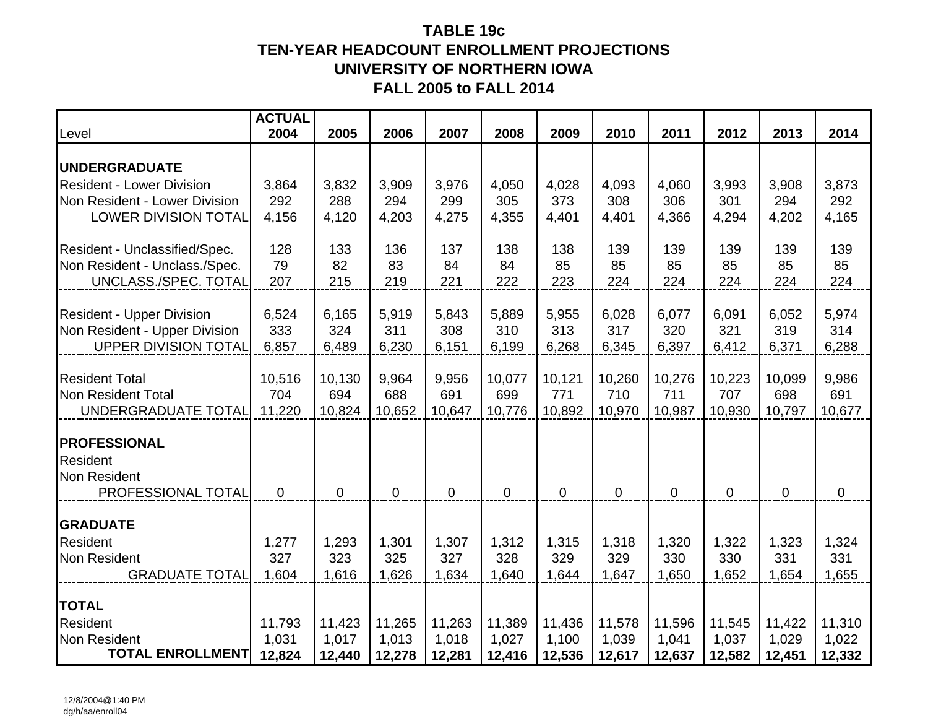## **TABLE 19cTEN-YEAR HEADCOUNT ENROLLMENT PROJECTIONS UNIVERSITY OF NORTHERN IOWAFALL 2005 to FALL 2014**

| Level                                                          | <b>ACTUAL</b><br>2004 | 2005        | 2006      | 2007        | 2008        | 2009        | 2010      | 2011        | 2012        | 2013        | 2014        |
|----------------------------------------------------------------|-----------------------|-------------|-----------|-------------|-------------|-------------|-----------|-------------|-------------|-------------|-------------|
| <b>UNDERGRADUATE</b>                                           |                       |             |           |             |             |             |           |             |             |             |             |
| <b>Resident - Lower Division</b>                               | 3,864                 | 3,832       | 3,909     | 3,976       | 4,050       | 4,028       | 4,093     | 4,060       | 3,993       | 3,908       | 3,873       |
| Non Resident - Lower Division                                  | 292                   | 288         | 294       | 299         | 305         | 373         | 308       | 306         | 301         | 294         | 292         |
| <b>LOWER DIVISION TOTAL</b>                                    | 4,156                 | 4,120       | 4,203     | 4,275       | 4,355       | 4,401       | 4,401     | 4,366       | 4,294       | 4,202       | 4,165       |
|                                                                |                       |             |           |             |             |             |           |             |             |             |             |
| Resident - Unclassified/Spec.<br>Non Resident - Unclass./Spec. | 128<br>79             | 133<br>82   | 136<br>83 | 137<br>84   | 138<br>84   | 138<br>85   | 139<br>85 | 139<br>85   | 139<br>85   | 139<br>85   | 139<br>85   |
| UNCLASS./SPEC. TOTAL                                           | 207                   | 215         | 219       | 221         | 222         | 223         | 224       | 224         | 224         | 224         | 224         |
|                                                                |                       |             |           |             |             |             |           |             |             |             |             |
| <b>Resident - Upper Division</b>                               | 6,524                 | 6,165       | 5,919     | 5,843       | 5,889       | 5,955       | 6,028     | 6,077       | 6,091       | 6,052       | 5,974       |
| Non Resident - Upper Division                                  | 333                   | 324         | 311       | 308         | 310         | 313         | 317       | 320         | 321         | 319         | 314         |
| <b>UPPER DIVISION TOTAL</b>                                    | 6,857                 | 6,489       | 6,230     | 6,151       | 6,199       | 6,268       | 6,345     | 6,397       | 6,412       | 6,371       | 6,288       |
| <b>Resident Total</b>                                          | 10,516                | 10,130      | 9,964     | 9,956       | 10,077      | 10,121      | 10,260    | 10,276      | 10,223      | 10,099      | 9,986       |
| <b>Non Resident Total</b>                                      | 704                   | 694         | 688       | 691         | 699         | 771         | 710       | 711         | 707         | 698         | 691         |
| UNDERGRADUATE TOTAL                                            | 11,220                | 10,824      | 10,652    | 10,647      | 10,776      | 10,892      | 10,970    | 10,987      | 10,930      | 10,797      | 10,677      |
|                                                                |                       |             |           |             |             |             |           |             |             |             |             |
| <b>PROFESSIONAL</b>                                            |                       |             |           |             |             |             |           |             |             |             |             |
| Resident                                                       |                       |             |           |             |             |             |           |             |             |             |             |
| Non Resident<br>PROFESSIONAL TOTAL                             | $\mathbf 0$           | $\mathbf 0$ | 0         | $\mathbf 0$ | $\mathbf 0$ | $\mathbf 0$ | $\pmb{0}$ | $\mathbf 0$ | $\mathbf 0$ | $\mathbf 0$ | $\mathbf 0$ |
|                                                                |                       |             |           |             |             |             |           |             |             |             |             |
| <b>GRADUATE</b>                                                |                       |             |           |             |             |             |           |             |             |             |             |
| Resident                                                       | 1,277                 | 1,293       | 1,301     | 1,307       | 1,312       | 1,315       | 1,318     | 1,320       | 1,322       | 1,323       | 1,324       |
| <b>Non Resident</b>                                            | 327                   | 323         | 325       | 327         | 328         | 329         | 329       | 330         | 330         | 331         | 331         |
| <b>GRADUATE TOTAL</b>                                          | 1,604                 | 1,616       | 1,626     | 1,634       | 1,640       | 1,644       | 1,647     | 1,650       | 1,652       | 1,654       | 1,655       |
| <b>TOTAL</b>                                                   |                       |             |           |             |             |             |           |             |             |             |             |
| Resident                                                       | 11,793                | 11,423      | 11,265    | 11,263      | 11,389      | 11,436      | 11,578    | 11,596      | 11,545      | 11,422      | 11,310      |
| Non Resident                                                   | 1,031                 | 1,017       | 1,013     | 1,018       | 1,027       | 1,100       | 1,039     | 1,041       | 1,037       | 1,029       | 1,022       |
| <b>TOTAL ENROLLMENT</b>                                        | 12,824                | 12,440      | 12,278    | 12,281      | 12,416      | 12,536      | 12,617    | 12,637      | 12,582      | 12,451      | 12,332      |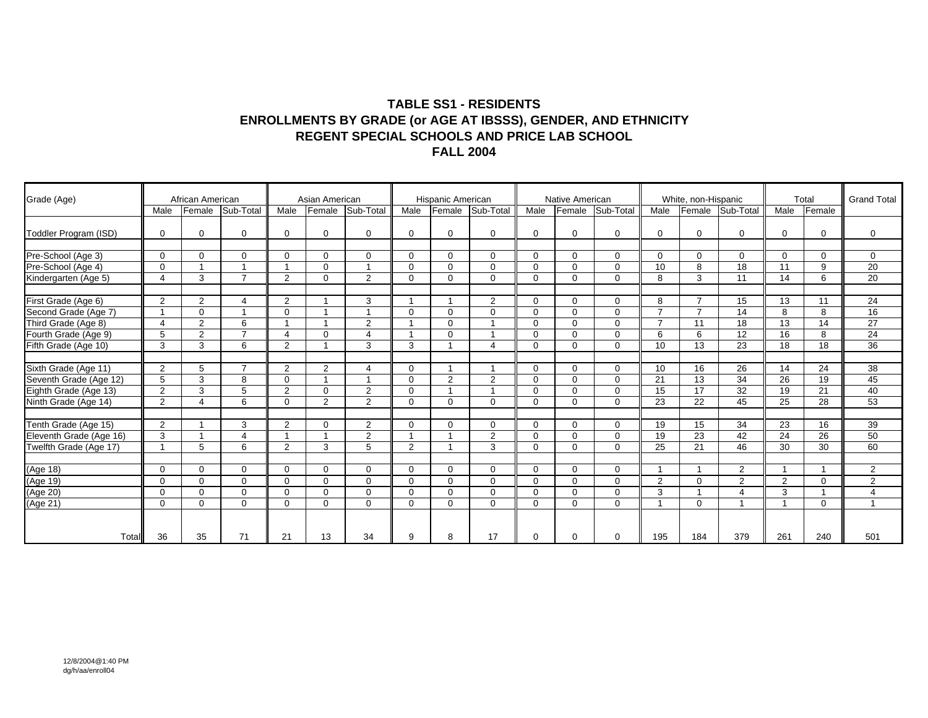#### **TABLE SS1 - RESIDENTS ENROLLMENTS BY GRADE (or AGE AT IBSSS), GENDER, AND ETHNICITY REGENT SPECIAL SCHOOLS AND PRICE LAB SCHOOL FALL 2004**

| Grade (Age)                                     |                         | African American |                         |                | Asian American |                |          | Hispanic American |                |             | Native American |             |                         | White, non-Hispanic |                |                | Total       | <b>Grand Total</b> |
|-------------------------------------------------|-------------------------|------------------|-------------------------|----------------|----------------|----------------|----------|-------------------|----------------|-------------|-----------------|-------------|-------------------------|---------------------|----------------|----------------|-------------|--------------------|
|                                                 | Male                    | Female           | Sub-Total               | Male           | Female         | Sub-Total      | Male     | Female            | Sub-Total      | Male        | Female          | Sub-Total   | Male                    | Female              | Sub-Total      | Male           | Female      |                    |
| Toddler Program (ISD)                           | $\Omega$                | $\mathbf 0$      | $\Omega$                | $\Omega$       | $\Omega$       | 0              | $\Omega$ | $\mathbf 0$       | $\Omega$       | $\Omega$    | $\Omega$        | $\mathbf 0$ | $\mathbf 0$             | $\Omega$            | $\Omega$       | $\Omega$       | 0           | $\mathbf 0$        |
| Pre-School (Age 3)                              | $\Omega$                | $\Omega$         | $\mathbf 0$             | $\Omega$       | $\Omega$       | $\Omega$       | $\Omega$ | $\mathbf 0$       | $\Omega$       | $\Omega$    | $\Omega$        | $\mathbf 0$ | $\mathbf 0$             | $\Omega$            | 0              | $\Omega$       | $\mathbf 0$ | $\mathbf 0$        |
| Pre-School (Age 4)                              | $\Omega$                | $\overline{1}$   | $\overline{\mathbf{1}}$ | $\overline{ }$ | $\mathbf 0$    | $\overline{ }$ | $\Omega$ | $\mathbf 0$       | $\Omega$       | $\Omega$    | $\Omega$        | $\mathbf 0$ | 10                      | 8                   | 18             | 11             | 9           | 20                 |
| Kindergarten (Age 5)                            | $\overline{4}$          | 3                | $\overline{7}$          | $\overline{2}$ | $\Omega$       | $\overline{2}$ | $\Omega$ | $\mathbf 0$       | $\Omega$       | $\mathbf 0$ | $\Omega$        | $\mathbf 0$ | 8                       | 3                   | 11             | 14             | 6           | 20                 |
| First Grade (Age 6)                             | 2                       | 2                | $\overline{4}$          | 2              |                | 3              |          |                   | $\overline{2}$ | $\Omega$    | $\Omega$        | $\Omega$    | 8                       | $\overline{7}$      | 15             | 13             | 11          | 24                 |
| Second Grade (Age 7)                            | $\overline{\mathbf{1}}$ | $\Omega$         | $\overline{A}$          | $\Omega$       |                | $\overline{ }$ | $\Omega$ | $\mathbf 0$       | $\Omega$       | $\Omega$    | $\Omega$        | $\mathbf 0$ | $\overline{7}$          | $\overline{7}$      | 14             | 8              | 8           | 16                 |
| Third Grade (Age 8)                             | $\boldsymbol{\Delta}$   | 2                | 6                       |                |                | $\overline{2}$ |          | $\mathbf 0$       |                | $\Omega$    | $\Omega$        | $\mathbf 0$ | $\overline{7}$          | 11                  | 18             | 13             | 14          | 27                 |
| Fourth Grade (Age 9)                            | 5                       | $\overline{2}$   | $\overline{7}$          | $\overline{4}$ | $\Omega$       | 4              |          | $\Omega$          |                | $\Omega$    | $\Omega$        | $\mathbf 0$ | 6                       | 6                   | 12             | 16             | 8           | 24                 |
| Fifth Grade (Age 10)                            | 3                       | 3                | 6                       | 2              |                | 3              | 3        |                   | 4              | $\Omega$    | $\Omega$        | $\mathbf 0$ | 10                      | 13                  | 23             | 18             | 18          | 36                 |
| Sixth Grade (Age 11)                            | 2                       | 5                | $\overline{7}$          | 2              | $\overline{2}$ | 4              | $\Omega$ |                   |                | $\Omega$    | $\Omega$        | $\mathbf 0$ | 10                      | 16                  | 26             | 14             | 24          | 38                 |
|                                                 | 5                       | 3                | 8                       | $\Omega$       |                | $\overline{ }$ | $\Omega$ | 2                 | $\overline{2}$ | $\Omega$    | $\Omega$        | $\mathbf 0$ | 21                      | 13                  | 34             | 26             | 19          | 45                 |
| Seventh Grade (Age 12)<br>Eighth Grade (Age 13) | 2                       | 3                | 5                       | 2              | $\Omega$       | $\overline{2}$ | $\Omega$ | $\overline{ }$    |                | $\Omega$    | $\Omega$        | $\mathbf 0$ | 15                      | 17                  | 32             | 19             | 21          | 40                 |
| Ninth Grade (Age 14)                            | 2                       | $\overline{4}$   | 6                       | $\Omega$       | $\overline{2}$ | 2              | $\Omega$ | $\mathbf 0$       | $\Omega$       | $\Omega$    | $\Omega$        | $\mathbf 0$ | 23                      | 22                  | 45             | 25             | 28          | 53                 |
| Tenth Grade (Age 15)                            | 2                       | 1                | 3                       | 2              | $\Omega$       | $\overline{2}$ | $\Omega$ | $\mathbf 0$       | $\mathbf 0$    | $\mathbf 0$ | $\mathbf{0}$    | $\mathbf 0$ | 19                      | 15                  | 34             | 23             | 16          | 39                 |
| Eleventh Grade (Age 16)                         | 3                       |                  | $\overline{4}$          | $\overline{ }$ |                | $\overline{2}$ |          |                   | $\overline{2}$ | $\Omega$    | $\Omega$        | $\mathbf 0$ | 19                      | 23                  | 42             | 24             | 26          | 50                 |
| Twelfth Grade (Age 17)                          | 1                       | 5                | 6                       | 2              | 3              | 5              | 2        |                   | 3              | $\Omega$    | $\Omega$        | $\Omega$    | 25                      | 21                  | 46             | 30             | 30          | 60                 |
| (Age 18)                                        | $\Omega$                | $\Omega$         | $\mathbf 0$             | $\Omega$       | $\Omega$       | 0              | $\Omega$ | $\mathbf 0$       | $\Omega$       | $\Omega$    | $\Omega$        | $\mathbf 0$ |                         |                     | $\overline{2}$ |                |             | 2                  |
|                                                 | $\Omega$                | $\mathbf 0$      | $\mathbf 0$             | $\mathbf 0$    | $\Omega$       | $\mathbf 0$    | $\Omega$ | $\mathbf 0$       | $\Omega$       | $\Omega$    | $\mathbf{0}$    | $\mathbf 0$ | 2                       | $\Omega$            | $\overline{2}$ | $\overline{2}$ | $\mathbf 0$ | $\overline{2}$     |
|                                                 | $\Omega$                | $\Omega$         | $\Omega$                | $\Omega$       | $\Omega$       | $\Omega$       | $\Omega$ | $\mathbf 0$       | $\Omega$       | $\Omega$    | $\Omega$        | $\mathbf 0$ | 3                       |                     | 4              | 3              |             | $\overline{4}$     |
| (Age 19)<br>(Age 20)<br>(Age 21)                | $\Omega$                | $\Omega$         | $\Omega$                | $\Omega$       | $\Omega$       | $\Omega$       | $\Omega$ | $\mathbf 0$       | $\Omega$       | $\Omega$    | $\Omega$        | $\mathbf 0$ | $\overline{\mathbf{1}}$ | $\Omega$            |                | $\overline{ }$ | $\mathbf 0$ | $\mathbf{1}$       |
|                                                 |                         |                  |                         |                |                |                |          |                   |                |             |                 |             |                         |                     |                |                |             |                    |
| Total                                           | 36                      | 35               | 71                      | 21             | 13             | 34             | 9        | 8                 | 17             | $\Omega$    | $\Omega$        | $\Omega$    | 195                     | 184                 | 379            | 261            | 240         | 501                |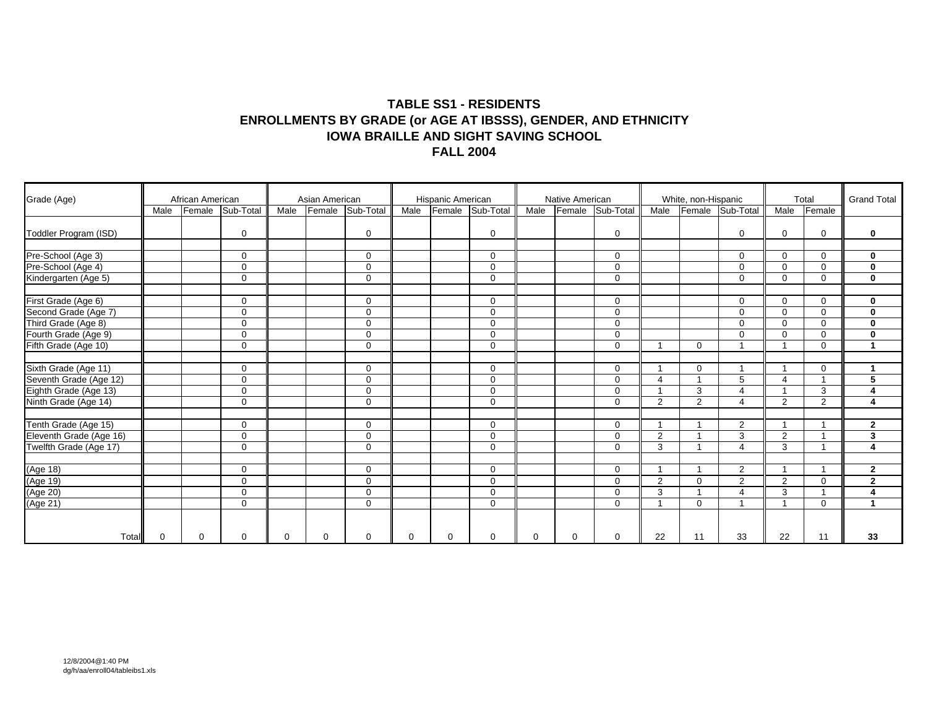#### **TABLE SS1 - RESIDENTS ENROLLMENTS BY GRADE (or AGE AT IBSSS), GENDER, AND ETHNICITY IOWA BRAILLE AND SIGHT SAVING SCHOOL FALL 2004**

| Grade (Age)                                     |          | African American |             |          | Asian American |             |          | Hispanic American |                  |          | Native American |             |                         | White, non-Hispanic |                  |                         | Total          | <b>Grand Total</b>      |
|-------------------------------------------------|----------|------------------|-------------|----------|----------------|-------------|----------|-------------------|------------------|----------|-----------------|-------------|-------------------------|---------------------|------------------|-------------------------|----------------|-------------------------|
|                                                 | Male     | Female           | Sub-Total   | Male     | Female         | Sub-Total   | Male     |                   | Female Sub-Total | Male     | Female          | Sub-Total   | Male                    |                     | Female Sub-Total | Male                    | Female         |                         |
| Toddler Program (ISD)                           |          |                  | $\mathbf 0$ |          |                | $\mathbf 0$ |          |                   | $\mathbf 0$      |          |                 | $\mathbf 0$ |                         |                     | 0                | $\Omega$                | $\mathbf 0$    | $\mathbf 0$             |
| Pre-School (Age 3)                              |          |                  | $\mathbf 0$ |          |                | 0           |          |                   | $\mathbf 0$      |          |                 | $\mathbf 0$ |                         |                     | 0                | $\Omega$                | $\mathbf 0$    | $\mathbf 0$             |
| Pre-School (Age 4)                              |          |                  | $\mathbf 0$ |          |                | $\Omega$    |          |                   | $\Omega$         |          |                 | $\mathbf 0$ |                         |                     | $\Omega$         | $\Omega$                | $\mathbf 0$    | $\bf{0}$                |
| Kindergarten (Age 5)                            |          |                  | $\mathbf 0$ |          |                | $\mathbf 0$ |          |                   | $\mathbf 0$      |          |                 | $\mathbf 0$ |                         |                     | $\Omega$         | $\mathbf 0$             | 0              | $\mathbf 0$             |
| First Grade (Age 6)                             |          |                  | $\mathbf 0$ |          |                | $\Omega$    |          |                   | $\Omega$         |          |                 | $\mathbf 0$ |                         |                     | $\Omega$         | $\Omega$                | $\mathbf 0$    | $\mathbf 0$             |
| Second Grade (Age 7)                            |          |                  | $\mathbf 0$ |          |                | $\mathbf 0$ |          |                   | $\Omega$         |          |                 | $\mathbf 0$ |                         |                     | $\Omega$         | $\Omega$                | $\mathbf 0$    | $\bf{0}$                |
| Third Grade (Age 8)                             |          |                  | $\mathbf 0$ |          |                | 0           |          |                   | $\Omega$         |          |                 | $\mathbf 0$ |                         |                     | 0                | $\Omega$                | 0              | $\mathbf 0$             |
| Fourth Grade (Age 9)                            |          |                  | $\mathbf 0$ |          |                | 0           |          |                   | $\Omega$         |          |                 | $\mathbf 0$ |                         |                     | 0                | $\Omega$                | $\mathbf 0$    | $\bf{0}$                |
| Fifth Grade (Age 10)                            |          |                  | $\mathbf 0$ |          |                | 0           |          |                   | $\mathbf 0$      |          |                 | $\mathbf 0$ | 1                       | $\Omega$            |                  |                         | $\mathbf 0$    | $\blacktriangleleft$    |
| Sixth Grade (Age 11)                            |          |                  | $\mathbf 0$ |          |                | 0           |          |                   | $\mathbf 0$      |          |                 | $\mathbf 0$ | $\overline{\mathbf{1}}$ | $\Omega$            |                  |                         | 0              | 1                       |
| Seventh Grade (Age 12)<br>Eighth Grade (Age 13) |          |                  | $\mathbf 0$ |          |                | 0           |          |                   | $\Omega$         |          |                 | $\mathbf 0$ | $\overline{4}$          |                     | 5                | $\boldsymbol{\Delta}$   |                | 5                       |
|                                                 |          |                  | $\mathbf 0$ |          |                | 0           |          |                   | $\mathbf 0$      |          |                 | $\mathbf 0$ | $\overline{\mathbf{1}}$ | 3                   | 4                | $\overline{\mathbf{A}}$ | 3              | $\overline{\mathbf{4}}$ |
| Ninth Grade (Age 14)                            |          |                  | $\mathbf 0$ |          |                | $\Omega$    |          |                   | $\Omega$         |          |                 | $\mathbf 0$ | $\overline{2}$          | $\overline{2}$      | 4                | 2                       | $\overline{2}$ | $\overline{4}$          |
| Tenth Grade (Age 15)                            |          |                  | $\mathbf 0$ |          |                | 0           |          |                   | $\mathbf 0$      |          |                 | $\mathbf 0$ | 1                       |                     | $\overline{2}$   |                         |                | $\mathbf{2}$            |
| Eleventh Grade (Age 16)                         |          |                  | $\mathbf 0$ |          |                | $\mathbf 0$ |          |                   | $\mathbf 0$      |          |                 | $\mathbf 0$ | 2                       |                     | 3                | $\overline{2}$          |                | 3                       |
| Twelfth Grade (Age 17)                          |          |                  | $\mathbf 0$ |          |                | 0           |          |                   | $\mathbf 0$      |          |                 | $\mathbf 0$ | 3                       |                     | 4                | 3                       | $\overline{A}$ | $\overline{\mathbf{4}}$ |
| (Age 18)                                        |          |                  | $\mathbf 0$ |          |                | 0           |          |                   | $\Omega$         |          |                 | $\mathbf 0$ |                         |                     | $\overline{2}$   |                         |                | $\mathbf{2}$            |
|                                                 |          |                  | $\mathbf 0$ |          |                | 0           |          |                   | $\mathbf 0$      |          |                 | $\mathbf 0$ | $\overline{2}$          | $\Omega$            | $\overline{2}$   | $\overline{2}$          | $\mathbf 0$    | $\overline{2}$          |
|                                                 |          |                  | $\mathbf 0$ |          |                | $\mathbf 0$ |          |                   | $\Omega$         |          |                 | $\mathbf 0$ | 3                       |                     | 4                | 3                       |                | 4                       |
| (Age 19)<br>(Age 20)<br>(Age 21)                |          |                  | $\mathbf 0$ |          |                | $\mathbf 0$ |          |                   | $\mathbf 0$      |          |                 | $\mathbf 0$ | $\overline{\mathbf{1}}$ | $\Omega$            |                  | $\overline{ }$          | $\mathbf 0$    | $\blacktriangleleft$    |
| Total                                           | $\Omega$ | $\Omega$         | $\mathbf 0$ | $\Omega$ | $\Omega$       | $\Omega$    | $\Omega$ | $\mathbf 0$       | $\Omega$         | $\Omega$ | $\Omega$        | $\mathbf 0$ | 22                      | 11                  | 33               | 22                      | 11             | 33                      |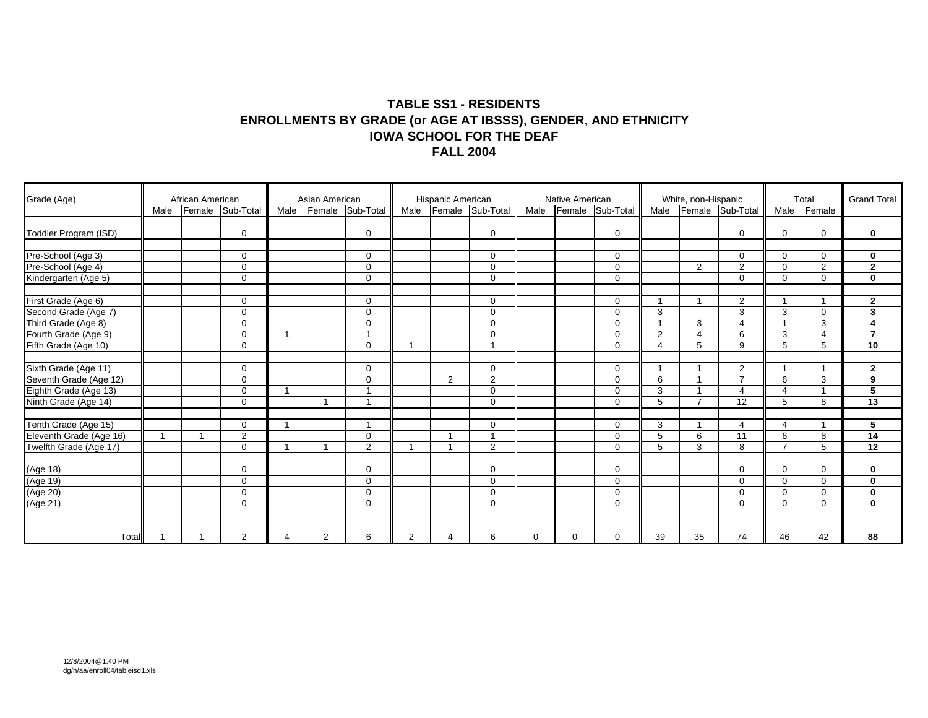#### **TABLE SS1 - RESIDENTS ENROLLMENTS BY GRADE (or AGE AT IBSSS), GENDER, AND ETHNICITY IOWA SCHOOL FOR THE DEAF FALL 2004**

| Grade (Age)                                     |      | African American |                |                | Asian American |                         |      | Hispanic American      |                |          | Native American |              |                | White, non-Hispanic      |                  |                          | Total       | <b>Grand Total</b> |
|-------------------------------------------------|------|------------------|----------------|----------------|----------------|-------------------------|------|------------------------|----------------|----------|-----------------|--------------|----------------|--------------------------|------------------|--------------------------|-------------|--------------------|
|                                                 | Male | Female           | Sub-Total      | Male           | Female         | Sub-Total               | Male | Female                 | Sub-Total      | Male     | Female          | Sub-Total    | Male           |                          | Female Sub-Total | Male                     | Female      |                    |
| Toddler Program (ISD)                           |      |                  | $\mathbf 0$    |                |                | $\mathbf 0$             |      |                        | $\mathbf 0$    |          |                 | $\mathbf 0$  |                |                          | 0                | $\Omega$                 | $\mathbf 0$ | $\mathbf 0$        |
| Pre-School (Age 3)                              |      |                  | $\Omega$       |                |                | $\mathbf 0$             |      |                        | $\mathbf 0$    |          |                 | $\mathbf 0$  |                |                          | 0                | $\Omega$                 | $\mathbf 0$ | $\mathbf 0$        |
| Pre-School (Age 4)                              |      |                  | $\mathbf 0$    |                |                | $\mathbf 0$             |      |                        | $\Omega$       |          |                 | $\mathbf 0$  |                | 2                        | $\overline{2}$   | $\Omega$                 | 2           | $\mathbf{2}$       |
| Kindergarten (Age 5)                            |      |                  | $\mathbf 0$    |                |                | $\mathbf 0$             |      |                        | $\mathbf 0$    |          |                 | $\mathbf 0$  |                |                          | $\Omega$         | $\Omega$                 | $\mathbf 0$ | $\mathbf 0$        |
| First Grade (Age 6)                             |      |                  | $\Omega$       |                |                | $\Omega$                |      |                        | $\Omega$       |          |                 | $\mathbf 0$  | -4             |                          | $\overline{2}$   |                          |             | $\mathbf{2}$       |
|                                                 |      |                  | $\Omega$       |                |                | $\mathbf 0$             |      |                        | $\Omega$       |          |                 | $\mathbf 0$  | 3              |                          | 3                | 3                        | $\mathbf 0$ | 3                  |
| Second Grade (Age 7)<br>Third Grade (Age 8)     |      |                  | $\mathbf 0$    |                |                | 0                       |      |                        | $\Omega$       |          |                 | $\mathbf 0$  | 1              | 3                        | 4                |                          | 3           | 4                  |
| Fourth Grade (Age 9)                            |      |                  | $\mathbf 0$    | 1              |                | $\overline{ }$          |      |                        | $\mathbf 0$    |          |                 | $\mathbf 0$  | 2              | $\boldsymbol{\varDelta}$ | 6                | 3                        | 4           | $\overline{7}$     |
| Fifth Grade (Age 10)                            |      |                  | $\mathbf 0$    |                |                | $\mathbf 0$             |      |                        |                |          |                 | $\mathbf{0}$ | $\overline{4}$ | 5                        | 9                | 5                        | 5           | 10                 |
| Sixth Grade (Age 11)                            |      |                  | $\Omega$       |                |                | $\mathbf 0$             |      |                        | $\Omega$       |          |                 | $\mathbf 0$  | $\overline{1}$ |                          | $\overline{2}$   |                          |             | $\mathbf{2}$       |
|                                                 |      |                  | $\mathbf 0$    |                |                | $\mathbf 0$             |      | 2                      | $\overline{2}$ |          |                 | $\mathbf 0$  | 6              |                          | $\overline{7}$   | 6                        | 3           | $\bf{9}$           |
| Seventh Grade (Age 12)<br>Eighth Grade (Age 13) |      |                  | $\mathbf 0$    | $\overline{1}$ |                | $\overline{\mathbf{A}}$ |      |                        | $\mathbf 0$    |          |                 | $\mathbf 0$  | 3              |                          | 4                | $\boldsymbol{\Lambda}$   |             | 5                  |
| Ninth Grade (Age 14)                            |      |                  | $\Omega$       |                | $\mathbf{1}$   | $\mathbf{A}$            |      |                        | $\Omega$       |          |                 | $\Omega$     | 5              | $\overline{ }$           | 12               | 5                        | 8           | 13                 |
| Tenth Grade (Age 15)                            |      |                  | $\mathbf 0$    | $\mathbf 1$    |                | $\overline{1}$          |      |                        | $\mathbf 0$    |          |                 | $\mathbf 0$  | 3              |                          | 4                | $\boldsymbol{\varDelta}$ |             | 5                  |
| Eleventh Grade (Age 16)                         |      |                  | $\overline{2}$ |                |                | $\mathbf 0$             |      |                        |                |          |                 | $\mathbf 0$  | 5              | 6                        | 11               | 6                        | 8           | 14                 |
| Twelfth Grade (Age 17)                          |      |                  | $\mathbf 0$    | $\overline{1}$ |                | $\overline{2}$          |      |                        | 2              |          |                 | $\mathbf 0$  | 5              | 3                        | 8                | $\overline{7}$           | 5           | 12                 |
| (Age 18)<br>(Age 19)<br>(Age 20)<br>(Age 21)    |      |                  | $\mathbf 0$    |                |                | $\mathbf 0$             |      |                        | $\Omega$       |          |                 | $\mathbf 0$  |                |                          | 0                | $\Omega$                 | 0           | $\mathbf 0$        |
|                                                 |      |                  | $\mathbf 0$    |                |                | $\mathbf 0$             |      |                        | $\mathbf 0$    |          |                 | $\mathbf{0}$ |                |                          | $\Omega$         | $\Omega$                 | $\mathbf 0$ | $\mathbf 0$        |
|                                                 |      |                  | $\mathbf 0$    |                |                | $\Omega$                |      |                        | $\Omega$       |          |                 | $\mathbf 0$  |                |                          | $\Omega$         | $\Omega$                 | $\Omega$    | $\bf{0}$           |
|                                                 |      |                  | $\mathbf 0$    |                |                | $\mathbf 0$             |      |                        | $\Omega$       |          |                 | $\mathbf 0$  |                |                          | $\Omega$         | $\Omega$                 | $\mathbf 0$ | $\mathbf 0$        |
|                                                 |      |                  |                |                |                |                         |      |                        |                |          |                 |              |                |                          |                  |                          |             |                    |
| Total                                           |      |                  | 2              |                | 2              | 6                       | 2    | $\boldsymbol{\Lambda}$ | 6              | $\Omega$ | $\Omega$        | $\mathbf 0$  | 39             | 35                       | 74               | 46                       | 42          | 88                 |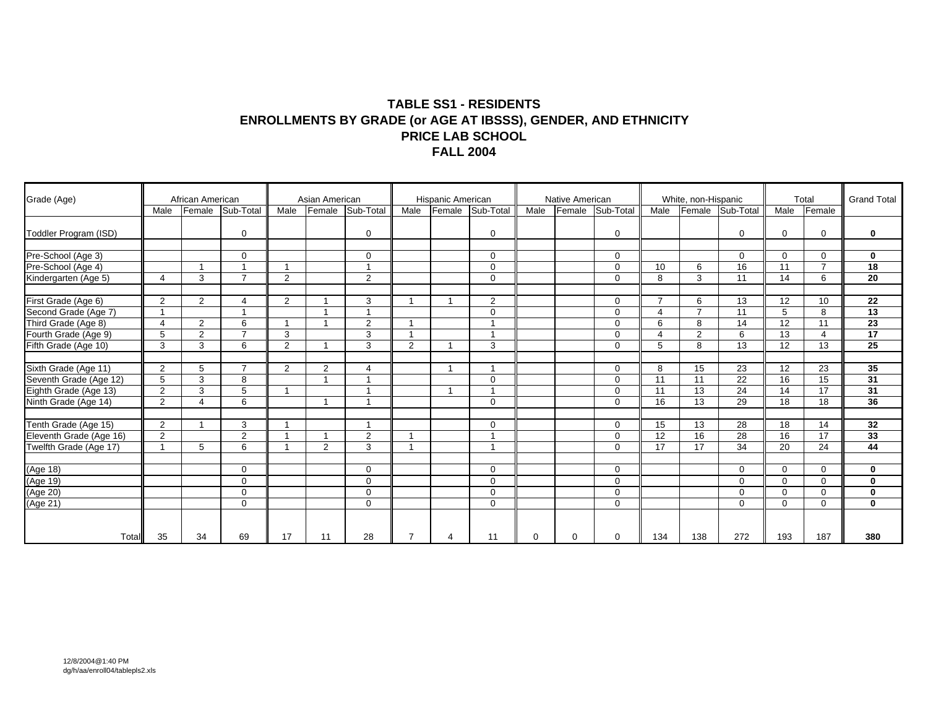#### **TABLE SS1 - RESIDENTS ENROLLMENTS BY GRADE (or AGE AT IBSSS), GENDER, AND ETHNICITY PRICE LAB SCHOOL FALL 2004**

| Grade (Age)                                     |                        | African American |                         |                         | Asian American |                          |      | Hispanic American |                |          | Native American |                            |                | White, non-Hispanic |                  |             | Total           | <b>Grand Total</b> |
|-------------------------------------------------|------------------------|------------------|-------------------------|-------------------------|----------------|--------------------------|------|-------------------|----------------|----------|-----------------|----------------------------|----------------|---------------------|------------------|-------------|-----------------|--------------------|
|                                                 | Male                   | Female           | Sub-Total               | Male                    | Female         | Sub-Total                | Male | Female            | Sub-Total      | Male     | Female          | Sub-Total                  | Male           |                     | Female Sub-Total | Male        | Female          |                    |
| Toddler Program (ISD)                           |                        |                  | $\mathbf 0$             |                         |                | $\mathbf 0$              |      |                   | $\Omega$       |          |                 | $\mathbf 0$                |                |                     | 0                | $\mathbf 0$ | 0               | $\mathbf 0$        |
| Pre-School (Age 3)                              |                        |                  | $\Omega$                |                         |                | $\Omega$                 |      |                   | $\Omega$       |          |                 | $\mathbf 0$                |                |                     | $\Omega$         | $\Omega$    | $\Omega$        | $\mathbf 0$        |
| Pre-School (Age 4)                              |                        |                  |                         | -1                      |                | -4                       |      |                   | $\Omega$       |          |                 | $\mathbf 0$                | 10             | 6                   | 16               | 11          | $\overline{7}$  | $\overline{18}$    |
| Kindergarten (Age 5)                            | $\overline{4}$         | 3                | $\overline{7}$          | 2                       |                | 2                        |      |                   | $\mathbf 0$    |          |                 | $\mathbf{0}$               | 8              | 3                   | 11               | 14          | 6               | $\overline{20}$    |
| First Grade (Age 6)                             | 2                      | $\overline{2}$   | $\boldsymbol{\Delta}$   | 2                       |                | 3                        |      |                   | $\overline{2}$ |          |                 | $\mathbf 0$                | $\overline{7}$ | 6                   | 13               | 12          | 10              | 22                 |
| Second Grade (Age 7)<br>Third Grade (Age 8)     |                        |                  | $\overline{\mathbf{A}}$ |                         |                | $\overline{\phantom{a}}$ |      |                   | $\Omega$       |          |                 | $\mathbf 0$                | 4              | $\overline{7}$      | 11               | 5           | 8               | 13                 |
|                                                 | $\boldsymbol{\Lambda}$ | 2                | 6                       | $\overline{\mathbf{1}}$ |                | 2                        |      |                   |                |          |                 | $\mathbf 0$                | 6              | 8                   | 14               | 12          | 11              | 23                 |
| Fourth Grade (Age 9)                            | 5                      | 2                | $\overline{7}$          | 3                       |                | 3                        |      |                   |                |          |                 | $\mathbf 0$                | 4              | 2                   | 6                | 13          | $\overline{4}$  | 17                 |
| Fifth Grade (Age 10)                            | 3                      | 3                | 6                       | 2                       |                | 3                        | 2    |                   | 3              |          |                 | $\Omega$                   | 5              | 8                   | 13               | 12          | 13              | $\overline{25}$    |
| Sixth Grade (Age 11)                            | 2                      | 5                | $\overline{7}$          | 2                       | 2              | 4                        |      |                   |                |          |                 | $\mathbf 0$                | 8              | 15                  | 23               | 12          | 23              | 35                 |
| Seventh Grade (Age 12)                          | 5                      | 3                | 8                       |                         |                |                          |      |                   | $\Omega$       |          |                 | $\mathbf 0$                | 11             | 11                  | $\overline{22}$  | 16          | 15              | 31                 |
| Eighth Grade (Age 13)                           | 2                      | 3                | 5                       | -1                      |                | -4                       |      |                   |                |          |                 | $\mathbf 0$                | 11             | 13                  | 24               | 14          | $\overline{17}$ | 31                 |
| Ninth Grade (Age 14)                            | 2                      | 4                | 6                       |                         | -1             | -4                       |      |                   | $\Omega$       |          |                 | $\mathbf 0$                | 16             | 13                  | 29               | 18          | 18              | 36                 |
|                                                 |                        |                  |                         | $\overline{1}$          |                | $\overline{1}$           |      |                   |                |          |                 |                            |                |                     |                  | 18          |                 |                    |
| Tenth Grade (Age 15)<br>Eleventh Grade (Age 16) | 2<br>$\overline{2}$    |                  | 3<br>$\overline{2}$     | $\overline{\mathbf{1}}$ |                |                          |      |                   | $\mathbf 0$    |          |                 | $\mathbf 0$                | 15<br>12       | 13<br>16            | 28<br>28         | 16          | 14<br>17        | 32<br>33           |
| Twelfth Grade (Age 17)                          |                        | 5                | 6                       | 1                       | 2              | 2<br>3                   |      |                   |                |          |                 | $\mathbf 0$<br>$\mathbf 0$ | 17             | 17                  | 34               | 20          | 24              | 44                 |
|                                                 |                        |                  |                         |                         |                |                          |      |                   |                |          |                 |                            |                |                     |                  |             |                 |                    |
| (Age 18)                                        |                        |                  | $\Omega$                |                         |                | 0                        |      |                   | $\Omega$       |          |                 | $\mathbf 0$                |                |                     | $\Omega$         | $\Omega$    | $\Omega$        | $\bf{0}$           |
|                                                 |                        |                  | $\mathbf 0$             |                         |                | $\Omega$                 |      |                   | $\Omega$       |          |                 | $\mathbf 0$                |                |                     | $\Omega$         | $\Omega$    | 0               | $\mathbf 0$        |
| (Age 19)<br>(Age 20)<br>(Age 21)                |                        |                  | $\mathbf 0$             |                         |                | $\mathbf 0$              |      |                   | $\Omega$       |          |                 | $\mathbf 0$                |                |                     | $\Omega$         | $\mathbf 0$ | 0               | $\mathbf 0$        |
|                                                 |                        |                  | $\mathbf 0$             |                         |                | $\mathbf 0$              |      |                   | $\mathbf 0$    |          |                 | $\mathbf 0$                |                |                     | $\mathbf 0$      | $\mathbf 0$ | 0               | $\mathbf 0$        |
|                                                 |                        |                  |                         |                         |                |                          |      |                   |                |          |                 |                            |                |                     |                  |             |                 |                    |
| Total                                           | 35                     | 34               | 69                      | 17                      | 11             | 28                       |      | $\Delta$          | 11             | $\Omega$ | $\Omega$        | $\Omega$                   | 134            | 138                 | 272              | 193         | 187             | 380                |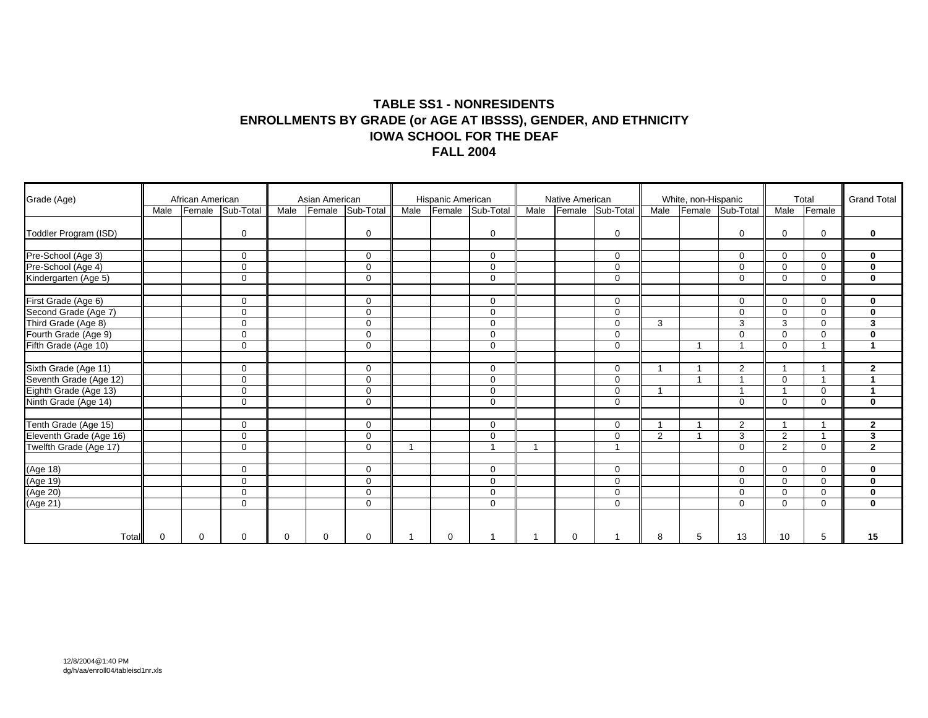#### **TABLE SS1 - NONRESIDENTS ENROLLMENTS BY GRADE (or AGE AT IBSSS), GENDER, AND ETHNICITY IOWA SCHOOL FOR THE DEAF FALL 2004**

| Grade (Age)                                     |             | African American |                  |          | Asian American |             |      | Hispanic American |                          |      | Native American |                |                         | White, non-Hispanic |                  |                         | Total       | <b>Grand Total</b>      |
|-------------------------------------------------|-------------|------------------|------------------|----------|----------------|-------------|------|-------------------|--------------------------|------|-----------------|----------------|-------------------------|---------------------|------------------|-------------------------|-------------|-------------------------|
|                                                 | Male        |                  | Female Sub-Total | Male     | Female         | Sub-Total   | Male | Female            | Sub-Total                | Male | Female          | Sub-Total      | Male                    |                     | Female Sub-Total | Male                    | Female      |                         |
| Toddler Program (ISD)                           |             |                  | $\mathbf 0$      |          |                | $\mathbf 0$ |      |                   | $\mathbf 0$              |      |                 | $\mathbf 0$    |                         |                     | 0                | $\Omega$                | $\mathbf 0$ | $\mathbf 0$             |
| Pre-School (Age 3)                              |             |                  | $\Omega$         |          |                | $\mathbf 0$ |      |                   | $\mathbf 0$              |      |                 | $\mathbf 0$    |                         |                     | 0                | $\Omega$                | $\mathbf 0$ | $\mathbf 0$             |
| Pre-School (Age 4)                              |             |                  | $\mathbf 0$      |          |                | $\mathbf 0$ |      |                   | $\Omega$                 |      |                 | $\mathbf 0$    |                         |                     | $\Omega$         | $\Omega$                | $\mathbf 0$ | $\bf{0}$                |
| Kindergarten (Age 5)                            |             |                  | $\mathbf 0$      |          |                | $\mathbf 0$ |      |                   | $\mathbf 0$              |      |                 | $\mathbf 0$    |                         |                     | $\Omega$         | $\Omega$                | $\mathbf 0$ | $\bf{0}$                |
| First Grade (Age 6)                             |             |                  | $\Omega$         |          |                | $\Omega$    |      |                   | $\Omega$                 |      |                 | $\Omega$       |                         |                     | $\Omega$         | $\Omega$                | $\mathbf 0$ | $\mathbf 0$             |
| Second Grade (Age 7)<br>Third Grade (Age 8)     |             |                  | $\Omega$         |          |                | $\mathbf 0$ |      |                   | $\Omega$                 |      |                 | $\mathbf 0$    |                         |                     | $\Omega$         | $\Omega$                | $\mathbf 0$ | $\bf{0}$                |
|                                                 |             |                  | $\mathbf 0$      |          |                | 0           |      |                   | $\Omega$                 |      |                 | $\mathbf 0$    | 3                       |                     | 3                | 3                       | $\Omega$    | 3                       |
| Fourth Grade (Age 9)                            |             |                  | $\mathbf 0$      |          |                | $\mathbf 0$ |      |                   | $\Omega$                 |      |                 | $\mathbf 0$    |                         |                     | 0                | $\Omega$                | $\mathbf 0$ | $\bf{0}$                |
| Fifth Grade (Age 10)                            |             |                  | $\mathbf 0$      |          |                | $\mathbf 0$ |      |                   | $\mathbf 0$              |      |                 | $\mathbf 0$    |                         |                     |                  | $\mathbf 0$             |             | $\blacktriangleleft$    |
| Sixth Grade (Age 11)                            |             |                  | $\Omega$         |          |                | $\mathbf 0$ |      |                   | $\mathbf 0$              |      |                 | $\mathbf 0$    | $\overline{1}$          |                     | $\overline{2}$   |                         |             | $\mathbf{2}$            |
|                                                 |             |                  | $\mathbf 0$      |          |                | $\mathbf 0$ |      |                   | $\Omega$                 |      |                 | $\mathbf 0$    |                         |                     |                  | $\Omega$                |             | $\overline{\mathbf{A}}$ |
| Seventh Grade (Age 12)<br>Eighth Grade (Age 13) |             |                  | $\mathbf 0$      |          |                | $\mathbf 0$ |      |                   | $\mathbf 0$              |      |                 | $\mathbf 0$    | $\overline{\mathbf{1}}$ |                     |                  | $\overline{\mathbf{A}}$ | $\Omega$    | $\mathbf{1}$            |
| Ninth Grade (Age 14)                            |             |                  | $\mathbf 0$      |          |                | $\Omega$    |      |                   | $\Omega$                 |      |                 | $\mathbf 0$    |                         |                     | $\Omega$         | $\Omega$                | $\mathbf 0$ | $\mathbf 0$             |
| Tenth Grade (Age 15)                            |             |                  | $\mathbf 0$      |          |                | 0           |      |                   | $\mathbf 0$              |      |                 | $\mathbf 0$    | 1                       |                     | $\overline{2}$   |                         |             | $\mathbf{2}$            |
| Eleventh Grade (Age 16)                         |             |                  | $\mathbf 0$      |          |                | $\mathbf 0$ |      |                   | $\Omega$                 |      |                 | $\mathbf 0$    | 2                       |                     | 3                | $\overline{2}$          |             | $\mathbf 3$             |
| Twelfth Grade (Age 17)                          |             |                  | $\mathbf 0$      |          |                | $\Omega$    |      |                   | $\overline{\phantom{a}}$ |      |                 | $\overline{1}$ |                         |                     | $\Omega$         | $\overline{2}$          | $\mathbf 0$ | $\overline{2}$          |
| (Age 18)<br>(Age 19)<br>(Age 20)<br>(Age 21)    |             |                  | $\mathbf 0$      |          |                | $\mathbf 0$ |      |                   | $\Omega$                 |      |                 | $\mathbf 0$    |                         |                     | 0                | $\Omega$                | 0           | $\mathbf 0$             |
|                                                 |             |                  | $\mathbf 0$      |          |                | $\mathbf 0$ |      |                   | $\mathbf 0$              |      |                 | $\mathbf{0}$   |                         |                     | $\Omega$         | $\Omega$                | $\mathbf 0$ | $\mathbf 0$             |
|                                                 |             |                  | $\mathbf 0$      |          |                | $\Omega$    |      |                   | $\Omega$                 |      |                 | $\mathbf 0$    |                         |                     | $\Omega$         | $\Omega$                | $\Omega$    | $\bf{0}$                |
|                                                 |             |                  | $\mathbf 0$      |          |                | $\mathbf 0$ |      |                   | $\Omega$                 |      |                 | $\mathbf 0$    |                         |                     | $\Omega$         | $\Omega$                | $\mathbf 0$ | $\mathbf 0$             |
|                                                 |             |                  |                  |          |                |             |      |                   |                          |      |                 |                |                         |                     |                  |                         |             |                         |
| Total                                           | $\mathbf 0$ | $\Omega$         | $\Omega$         | $\Omega$ | $\Omega$       | $\Omega$    |      | $\Omega$          |                          |      | $\Omega$        |                | 8                       | 5                   | 13               | 10                      | 5           | 15                      |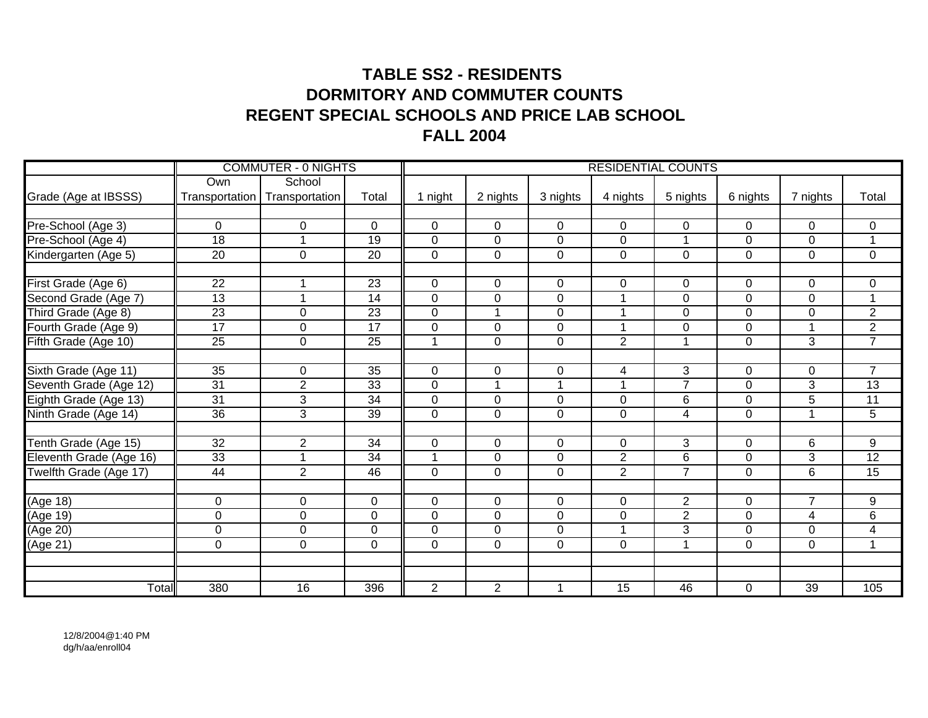# **TABLE SS2 - RESIDENTS DORMITORY AND COMMUTER COUNTSREGENT SPECIAL SCHOOLS AND PRICE LAB SCHOOLFALL 2004**

|                         |                 | <b>COMMUTER - 0 NIGHTS</b>      |                 |                |                      |                  |                      | <b>RESIDENTIAL COUNTS</b> |                  |                         |                         |
|-------------------------|-----------------|---------------------------------|-----------------|----------------|----------------------|------------------|----------------------|---------------------------|------------------|-------------------------|-------------------------|
|                         | Own             | School                          |                 |                |                      |                  |                      |                           |                  |                         |                         |
| Grade (Age at IBSSS)    |                 | Transportation   Transportation | Total           | 1 night        | 2 nights             | 3 nights         | 4 nights             | 5 nights                  | 6 nights         | 7 nights                | Total                   |
|                         |                 |                                 |                 |                |                      |                  |                      |                           |                  |                         |                         |
| Pre-School (Age 3)      | $\mathbf 0$     | $\mathbf 0$                     | $\overline{0}$  | $\mathbf 0$    | $\mathbf 0$          | $\overline{0}$   | $\mathbf 0$          | $\mathbf 0$               | $\mathbf 0$      | 0                       | 0                       |
| Pre-School (Age 4)      | $\overline{18}$ | $\mathbf 1$                     | $\overline{19}$ | $\mathbf 0$    | $\pmb{0}$            | $\mathbf 0$      | 0                    | $\mathbf{1}$              | $\mathbf 0$      | $\overline{0}$          | $\mathbf{1}$            |
| Kindergarten (Age 5)    | $\overline{20}$ | $\mathbf 0$                     | $\overline{20}$ | $\mathbf 0$    | $\mathbf 0$          | $\mathbf 0$      | $\mathbf 0$          | $\overline{0}$            | $\mathbf 0$      | $\overline{0}$          | $\mathbf 0$             |
|                         |                 |                                 |                 |                |                      |                  |                      |                           |                  |                         |                         |
| First Grade (Age 6)     | 22              | 1                               | 23              | $\mathbf 0$    | $\mathbf 0$          | $\mathbf 0$      | $\mathbf 0$          | $\mathbf 0$               | $\mathbf 0$      | 0                       | 0                       |
| Second Grade (Age 7)    | $\overline{13}$ | 1                               | $\overline{14}$ | $\mathbf 0$    | $\overline{0}$       | $\overline{0}$   |                      | $\overline{0}$            | $\mathbf 0$      | 0                       | $\mathbf{1}$            |
| Third Grade (Age 8)     | 23              | $\mathbf 0$                     | 23              | $\mathbf 0$    | $\blacktriangleleft$ | $\mathbf 0$      |                      | $\mathbf 0$               | $\mathbf 0$      | $\mathbf 0$             | $\overline{2}$          |
| Fourth Grade (Age 9)    | $\overline{17}$ | $\mathbf 0$                     | $\overline{17}$ | 0              | $\mathbf 0$          | $\mathbf 0$      | $\overline{A}$       | $\mathbf 0$               | $\mathbf 0$      | $\overline{\mathbf{A}}$ | $\overline{2}$          |
| Fifth Grade (Age 10)    | 25              | $\mathbf 0$                     | $\overline{25}$ | 1              | $\mathbf 0$          | $\mathbf 0$      | $\overline{2}$       | 1                         | $\mathbf 0$      | 3                       | $\overline{7}$          |
|                         |                 |                                 |                 |                |                      |                  |                      |                           |                  |                         |                         |
| Sixth Grade (Age 11)    | $\overline{35}$ | $\mathbf 0$                     | 35              | $\mathbf 0$    | $\mathbf 0$          | 0                | 4                    | $\overline{3}$            | 0                | 0                       | $\overline{7}$          |
| Seventh Grade (Age 12)  | 31              | $\overline{2}$                  | 33              | $\overline{0}$ | $\overline{1}$       | 1                |                      | $\overline{7}$            | $\overline{0}$   | $\overline{3}$          | 13                      |
| Eighth Grade (Age 13)   | 31              | 3                               | 34              | 0              | $\mathbf 0$          | $\overline{0}$   | $\mathbf 0$          | 6                         | $\mathbf 0$      | 5                       | 11                      |
| Ninth Grade (Age 14)    | $\overline{36}$ | 3                               | 39              | 0              | $\overline{0}$       | $\overline{0}$   | $\mathbf 0$          | $\overline{4}$            | $\overline{0}$   |                         | $\overline{5}$          |
|                         |                 |                                 |                 |                |                      |                  |                      |                           |                  |                         |                         |
| Tenth Grade (Age 15)    | 32              | $\overline{2}$                  | 34              | $\mathbf 0$    | $\mathbf 0$          | $\mathbf 0$      | $\overline{0}$       | 3                         | $\mathbf 0$      | 6                       | 9                       |
| Eleventh Grade (Age 16) | 33              | 1                               | $\overline{34}$ | 4              | $\mathbf 0$          | $\mathbf 0$      | $\overline{2}$       | 6                         | $\mathbf 0$      | 3                       | 12                      |
| Twelfth Grade (Age 17)  | 44              | $\overline{2}$                  | 46              | $\mathbf 0$    | $\mathbf 0$          | $\mathbf 0$      | $\overline{2}$       | $\overline{7}$            | $\mathbf 0$      | 6                       | $\overline{15}$         |
|                         |                 |                                 |                 |                |                      |                  |                      |                           |                  |                         |                         |
| (Age 18)                | 0               | 0                               | 0               | $\mathbf 0$    | $\mathbf 0$          | 0                | 0                    | $\overline{2}$            | $\mathbf 0$      | $\overline{7}$          | 9                       |
| (Age 19)                | 0               | $\mathbf 0$                     | $\mathbf 0$     | 0              | $\overline{0}$       | $\boldsymbol{0}$ | $\mathbf 0$          | $\overline{2}$            | $\mathbf 0$      | $\overline{4}$          | $\overline{6}$          |
| (Age 20)                | 0               | $\mathbf 0$                     | 0               | $\overline{0}$ | $\mathbf 0$          | $\overline{0}$   | $\blacktriangleleft$ | 3                         | $\mathbf{0}$     | $\overline{0}$          | $\overline{\mathbf{4}}$ |
| (Age 21)                | 0               | $\mathbf 0$                     | $\mathbf 0$     | $\mathbf 0$    | $\mathbf 0$          | $\mathbf 0$      | $\mathbf 0$          | $\mathbf{1}$              | $\mathbf 0$      | $\overline{0}$          | $\mathbf{1}$            |
|                         |                 |                                 |                 |                |                      |                  |                      |                           |                  |                         |                         |
|                         |                 |                                 |                 |                |                      |                  |                      |                           |                  |                         |                         |
| Total                   | 380             | 16                              | 396             | $\overline{2}$ | $\overline{2}$       | $\mathbf{1}$     | $\overline{15}$      | 46                        | $\boldsymbol{0}$ | 39                      | 105                     |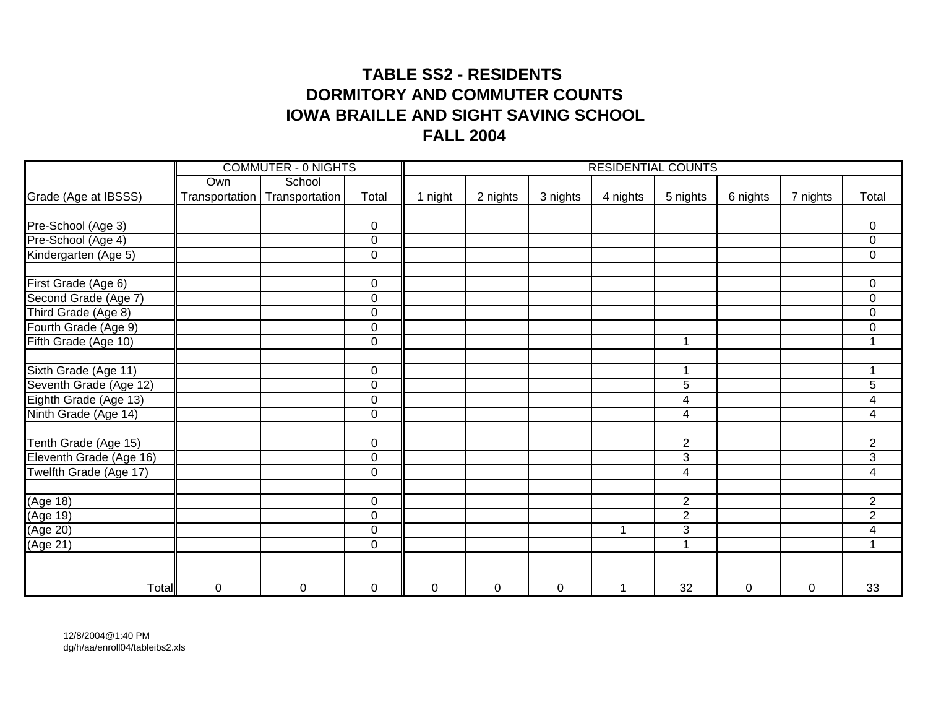# **TABLE SS2 - RESIDENTS DORMITORY AND COMMUTER COUNTSIOWA BRAILLE AND SIGHT SAVING SCHOOL FALL 2004**

|                          |                | <b>COMMUTER - 0 NIGHTS</b> |             |         |          |           | <b>RESIDENTIAL COUNTS</b> |                |             |          |                          |
|--------------------------|----------------|----------------------------|-------------|---------|----------|-----------|---------------------------|----------------|-------------|----------|--------------------------|
|                          | Own            | School                     |             |         |          |           |                           |                |             |          |                          |
| Grade (Age at IBSSS)     | Transportation | Transportation             | Total       | 1 night | 2 nights | 3 nights  | 4 nights                  | 5 nights       | 6 nights    | 7 nights | Total                    |
|                          |                |                            |             |         |          |           |                           |                |             |          |                          |
| Pre-School (Age 3)       |                |                            | $\mathbf 0$ |         |          |           |                           |                |             |          | 0                        |
| Pre-School (Age 4)       |                |                            | $\pmb{0}$   |         |          |           |                           |                |             |          | $\overline{0}$           |
| Kindergarten (Age 5)     |                |                            | $\mathbf 0$ |         |          |           |                           |                |             |          | $\overline{0}$           |
| First Grade (Age 6)      |                |                            | 0           |         |          |           |                           |                |             |          | $\mathbf 0$              |
| Second Grade (Age 7)     |                |                            | $\pmb{0}$   |         |          |           |                           |                |             |          | $\mathsf 0$              |
| Third Grade (Age 8)      |                |                            | $\pmb{0}$   |         |          |           |                           |                |             |          | $\mathsf 0$              |
| Fourth Grade (Age 9)     |                |                            | $\pmb{0}$   |         |          |           |                           |                |             |          | $\mathsf 0$              |
| Fifth Grade (Age 10)     |                |                            | $\mathbf 0$ |         |          |           |                           | 1              |             |          | 1                        |
|                          |                |                            |             |         |          |           |                           |                |             |          |                          |
| Sixth Grade (Age 11)     |                |                            | $\mathsf 0$ |         |          |           |                           | 1              |             |          |                          |
| Seventh Grade (Age 12)   |                |                            | $\mathbf 0$ |         |          |           |                           | 5              |             |          | $\overline{5}$           |
| Eighth Grade (Age 13)    |                |                            | $\mathbf 0$ |         |          |           |                           | 4              |             |          | $\overline{4}$           |
| Ninth Grade (Age 14)     |                |                            | $\mathsf 0$ |         |          |           |                           | $\overline{4}$ |             |          | $\overline{4}$           |
| Tenth Grade (Age 15)     |                |                            | $\mathbf 0$ |         |          |           |                           | $\overline{2}$ |             |          | $\overline{2}$           |
| Eleventh Grade (Age 16)  |                |                            | $\mathbf 0$ |         |          |           |                           | 3              |             |          | $\overline{3}$           |
| Twelfth Grade (Age 17)   |                |                            | $\pmb{0}$   |         |          |           |                           | 4              |             |          | $\overline{\mathcal{A}}$ |
| (Age 18)                 |                |                            | $\mathbf 0$ |         |          |           |                           | $\overline{c}$ |             |          | $\overline{2}$           |
| (Age 19)                 |                |                            | $\mathbf 0$ |         |          |           |                           | $\overline{2}$ |             |          | $\overline{2}$           |
| $( \overline{Age\ 20} )$ |                |                            | $\mathbf 0$ |         |          |           |                           | $\overline{3}$ |             |          | $\overline{4}$           |
| (Age 21)                 |                |                            | $\mathbf 0$ |         |          |           |                           | $\mathbf{1}$   |             |          | $\blacktriangleleft$     |
|                          |                |                            |             |         |          |           |                           |                |             |          |                          |
| Total                    | 0              | $\mathbf 0$                | $\mathbf 0$ | 0       | 0        | $\pmb{0}$ |                           | 32             | $\mathsf 0$ | 0        | 33                       |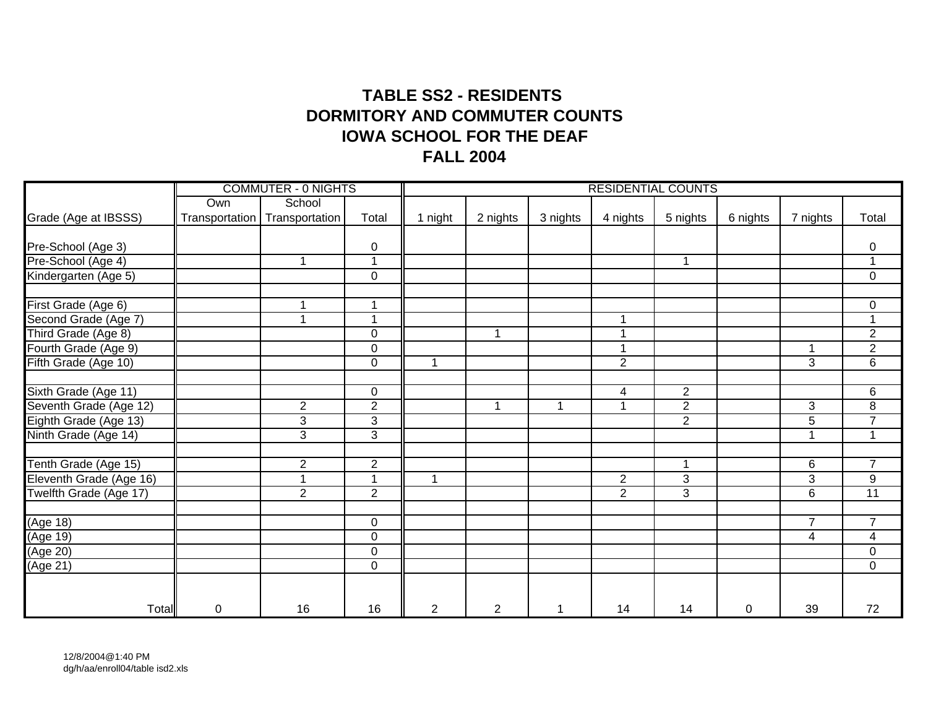# **TABLE SS2 - RESIDENTS IOWA SCHOOL FOR THE DEAFFALL 2004 DORMITORY AND COMMUTER COUNTS**

|                         |                | <b>COMMUTER - 0 NIGHTS</b> |                         |         |                |              | <b>RESIDENTIAL COUNTS</b> |                |             |                |                |
|-------------------------|----------------|----------------------------|-------------------------|---------|----------------|--------------|---------------------------|----------------|-------------|----------------|----------------|
|                         | Own            | School                     |                         |         |                |              |                           |                |             |                |                |
| Grade (Age at IBSSS)    | Transportation | Transportation             | Total                   | 1 night | 2 nights       | 3 nights     | 4 nights                  | 5 nights       | 6 nights    | 7 nights       | Total          |
|                         |                |                            |                         |         |                |              |                           |                |             |                |                |
| Pre-School (Age 3)      |                |                            | $\mathbf 0$             |         |                |              |                           |                |             |                | 0              |
| Pre-School (Age 4)      |                | $\mathbf 1$                | $\overline{\mathbf{A}}$ |         |                |              |                           | $\mathbf{1}$   |             |                | $\mathbf{1}$   |
| Kindergarten (Age 5)    |                |                            | $\mathbf 0$             |         |                |              |                           |                |             |                | $\mathbf 0$    |
| First Grade (Age 6)     |                |                            |                         |         |                |              |                           |                |             |                | $\pmb{0}$      |
| Second Grade (Age 7)    |                | -1                         | -1                      |         |                |              |                           |                |             |                | $\mathbf{1}$   |
| Third Grade (Age 8)     |                |                            | $\mathbf 0$             |         | 1              |              |                           |                |             |                | $\overline{2}$ |
| Fourth Grade (Age 9)    |                |                            | $\overline{0}$          |         |                |              |                           |                |             |                | $\overline{2}$ |
| Fifth Grade (Age 10)    |                |                            | $\overline{0}$          |         |                |              | $\overline{2}$            |                |             | 3              | $\overline{6}$ |
| Sixth Grade (Age 11)    |                |                            | 0                       |         |                |              | 4                         | $\overline{a}$ |             |                | 6              |
| Seventh Grade (Age 12)  |                | $\overline{2}$             | $\overline{2}$          |         | 1              | $\mathbf{1}$ |                           | $\overline{2}$ |             | 3              | $\overline{8}$ |
| Eighth Grade (Age 13)   |                | $\overline{3}$             | $\overline{3}$          |         |                |              |                           | $\overline{2}$ |             | 5              | $\overline{7}$ |
| Ninth Grade (Age 14)    |                | $\overline{3}$             | 3                       |         |                |              |                           |                |             | 1              | $\mathbf{1}$   |
|                         |                |                            |                         |         |                |              |                           |                |             |                |                |
| Tenth Grade (Age 15)    |                | $\overline{2}$             | $\overline{2}$          |         |                |              |                           | $\mathbf 1$    |             | 6              | $\overline{7}$ |
| Eleventh Grade (Age 16) |                |                            | $\overline{\mathbf{A}}$ |         |                |              | $\overline{2}$            | 3              |             | 3              | 9              |
| Twelfth Grade (Age 17)  |                | $\overline{2}$             | 2                       |         |                |              | $\overline{2}$            | $\overline{3}$ |             | $\,6\,$        | 11             |
| (Age 18)                |                |                            | 0                       |         |                |              |                           |                |             | $\overline{7}$ | $\overline{7}$ |
|                         |                |                            | $\mathbf 0$             |         |                |              |                           |                |             | 4              | 4              |
| (Age 19)<br>(Age 20)    |                |                            | $\mathbf 0$             |         |                |              |                           |                |             |                | $\pmb{0}$      |
| (Age 21)                |                |                            | $\mathbf 0$             |         |                |              |                           |                |             |                | $\mathbf 0$    |
|                         |                |                            |                         |         |                |              |                           |                |             |                |                |
| Total                   | $\mathbf 0$    | 16                         | 16                      | 2       | $\overline{2}$ | $\mathbf 1$  | 14                        | 14             | $\mathbf 0$ | 39             | 72             |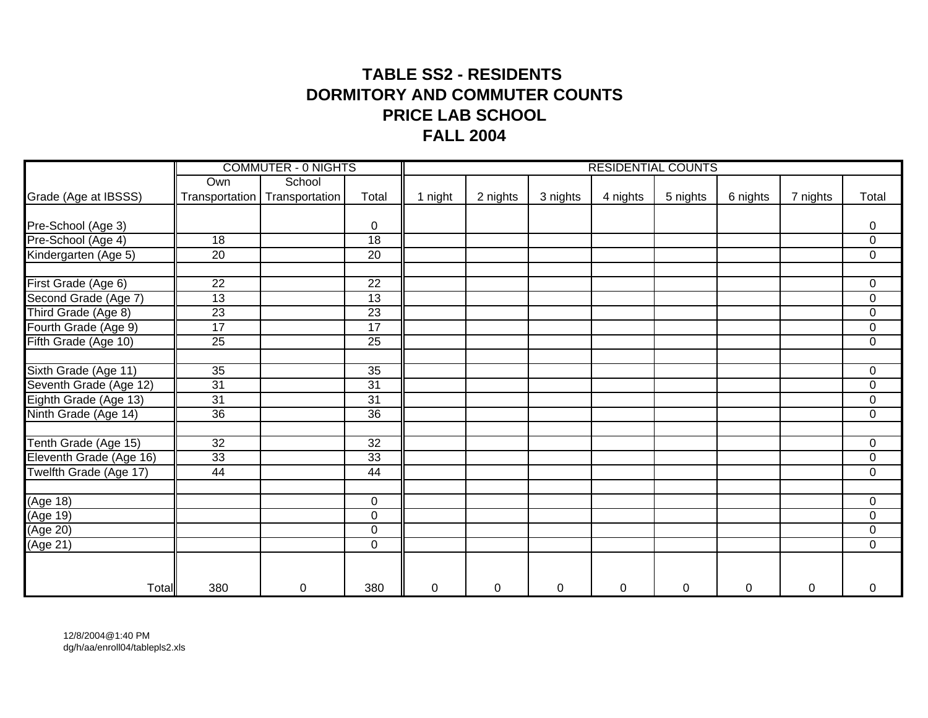# **TABLE SS2 - RESIDENTS DORMITORY AND COMMUTER COUNTSPRICE LAB SCHOOLFALL 2004**

|                         |                 | <b>COMMUTER - 0 NIGHTS</b> |                 |             |           |             |          | <b>RESIDENTIAL COUNTS</b> |           |          |                  |
|-------------------------|-----------------|----------------------------|-----------------|-------------|-----------|-------------|----------|---------------------------|-----------|----------|------------------|
|                         | Own             | School                     |                 |             |           |             |          |                           |           |          |                  |
| Grade (Age at IBSSS)    | Transportation  | Transportation             | Total           | 1 night     | 2 nights  | 3 nights    | 4 nights | 5 nights                  | 6 nights  | 7 nights | Total            |
|                         |                 |                            |                 |             |           |             |          |                           |           |          |                  |
| Pre-School (Age 3)      |                 |                            | 0               |             |           |             |          |                           |           |          | 0                |
| Pre-School (Age 4)      | 18              |                            | 18              |             |           |             |          |                           |           |          | $\overline{0}$   |
| Kindergarten (Age 5)    | $\overline{20}$ |                            | $\overline{20}$ |             |           |             |          |                           |           |          | $\overline{0}$   |
| First Grade (Age 6)     | 22              |                            | 22              |             |           |             |          |                           |           |          | $\mathbf 0$      |
| Second Grade (Age 7)    | 13              |                            | $\overline{13}$ |             |           |             |          |                           |           |          | $\boldsymbol{0}$ |
| Third Grade (Age 8)     | $\overline{23}$ |                            | $\overline{23}$ |             |           |             |          |                           |           |          | $\boldsymbol{0}$ |
| Fourth Grade (Age 9)    | 17              |                            | $\overline{17}$ |             |           |             |          |                           |           |          | $\boldsymbol{0}$ |
| Fifth Grade (Age 10)    | 25              |                            | $\overline{25}$ |             |           |             |          |                           |           |          | $\mathbf 0$      |
|                         |                 |                            |                 |             |           |             |          |                           |           |          |                  |
| Sixth Grade (Age 11)    | 35              |                            | 35              |             |           |             |          |                           |           |          | $\mathbf 0$      |
| Seventh Grade (Age 12)  | 31              |                            | 31              |             |           |             |          |                           |           |          | $\pmb{0}$        |
| Eighth Grade (Age 13)   | 31              |                            | 31              |             |           |             |          |                           |           |          | $\mathbf 0$      |
| Ninth Grade (Age 14)    | $\overline{36}$ |                            | 36              |             |           |             |          |                           |           |          | $\overline{0}$   |
| Tenth Grade (Age 15)    | 32              |                            | $\overline{32}$ |             |           |             |          |                           |           |          | $\boldsymbol{0}$ |
| Eleventh Grade (Age 16) | 33              |                            | 33              |             |           |             |          |                           |           |          | $\boldsymbol{0}$ |
| Twelfth Grade (Age 17)  | 44              |                            | 44              |             |           |             |          |                           |           |          | $\boldsymbol{0}$ |
| (Age 18)                |                 |                            | $\overline{0}$  |             |           |             |          |                           |           |          | $\mathbf 0$      |
| (Age 19)                |                 |                            | 0               |             |           |             |          |                           |           |          | $\mathbf 0$      |
| (Age 20)                |                 |                            | $\mathbf 0$     |             |           |             |          |                           |           |          | $\pmb{0}$        |
| (Age 21)                |                 |                            | $\mathbf 0$     |             |           |             |          |                           |           |          | $\mathbf 0$      |
|                         |                 |                            |                 |             |           |             |          |                           |           |          |                  |
| Total                   | 380             | 0                          | 380             | $\mathbf 0$ | $\pmb{0}$ | $\mathbf 0$ | 0        | $\mathbf 0$               | $\pmb{0}$ | 0        | 0                |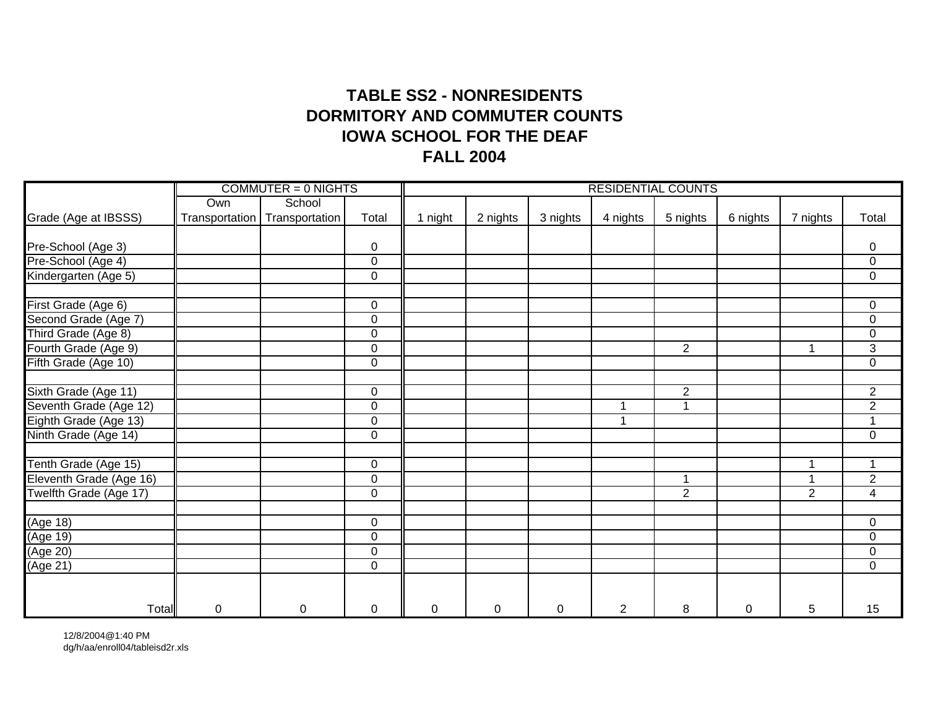# **TABLE SS2 - NONRESIDENTSDORMITORY AND COMMUTER COUNTS IOWA SCHOOL FOR THE DEAFFALL 2004**

|                                             |                | $COMMUTER = 0$ NIGHTS |                |         |             |             | <b>RESIDENTIAL COUNTS</b> |                |          |                |                         |
|---------------------------------------------|----------------|-----------------------|----------------|---------|-------------|-------------|---------------------------|----------------|----------|----------------|-------------------------|
|                                             | Own            | School                |                |         |             |             |                           |                |          |                |                         |
| Grade (Age at IBSSS)                        | Transportation | Transportation        | Total          | 1 night | 2 nights    | 3 nights    | 4 nights                  | 5 nights       | 6 nights | 7 nights       | Total                   |
|                                             |                |                       |                |         |             |             |                           |                |          |                |                         |
| Pre-School (Age 3)                          |                |                       | $\mathbf 0$    |         |             |             |                           |                |          |                | 0                       |
| Pre-School (Age 4)                          |                |                       | $\mathbf 0$    |         |             |             |                           |                |          |                | $\overline{0}$          |
| Kindergarten (Age 5)                        |                |                       | $\mathbf 0$    |         |             |             |                           |                |          |                | $\mathbf 0$             |
| First Grade (Age 6)                         |                |                       | 0              |         |             |             |                           |                |          |                | $\mathbf 0$             |
|                                             |                |                       | $\overline{0}$ |         |             |             |                           |                |          |                | $\pmb{0}$               |
| Second Grade (Age 7)<br>Third Grade (Age 8) |                |                       | $\mathbf 0$    |         |             |             |                           |                |          |                | $\pmb{0}$               |
| Fourth Grade (Age 9)                        |                |                       | $\mathbf 0$    |         |             |             |                           | $\overline{2}$ |          |                | $\overline{3}$          |
| Fifth Grade (Age 10)                        |                |                       | $\mathbf 0$    |         |             |             |                           |                |          |                | $\pmb{0}$               |
| Sixth Grade (Age 11)                        |                |                       | 0              |         |             |             |                           | $\overline{2}$ |          |                | $\overline{2}$          |
| Seventh Grade (Age 12)                      |                |                       | $\mathbf 0$    |         |             |             | 1                         | $\mathbf{1}$   |          |                | $\overline{2}$          |
| Eighth Grade (Age 13)                       |                |                       | $\mathbf 0$    |         |             |             | $\overline{\mathbf{A}}$   |                |          |                | $\overline{1}$          |
| Ninth Grade (Age 14)                        |                |                       | $\mathbf 0$    |         |             |             |                           |                |          |                | $\mathbf 0$             |
|                                             |                |                       |                |         |             |             |                           |                |          |                |                         |
| Tenth Grade (Age 15)                        |                |                       | 0              |         |             |             |                           |                |          |                | $\mathbf 1$             |
| Eleventh Grade (Age 16)                     |                |                       | $\mathbf 0$    |         |             |             |                           | $\mathbf 1$    |          |                | $\overline{2}$          |
| Twelfth Grade (Age 17)                      |                |                       | $\mathbf 0$    |         |             |             |                           | $\overline{2}$ |          | $\overline{2}$ | $\overline{\mathbf{4}}$ |
| (Age 18)                                    |                |                       | $\mathbf 0$    |         |             |             |                           |                |          |                | $\mathbf 0$             |
| (Age 19)                                    |                |                       | $\mathbf 0$    |         |             |             |                           |                |          |                | $\overline{0}$          |
| (Age 20)                                    |                |                       | $\mathbf 0$    |         |             |             |                           |                |          |                | $\overline{0}$          |
| (Age 21)                                    |                |                       | $\mathbf 0$    |         |             |             |                           |                |          |                | $\mathbf 0$             |
|                                             |                |                       |                |         |             |             |                           |                |          |                |                         |
| Total                                       | $\mathsf 0$    | $\pmb{0}$             | $\overline{0}$ | 0       | $\mathbf 0$ | $\mathbf 0$ | $\overline{2}$            | 8              | 0        | 5              | 15                      |

12/8/2004@1:40 PM dg/h/aa/enroll04/tableisd2r.xls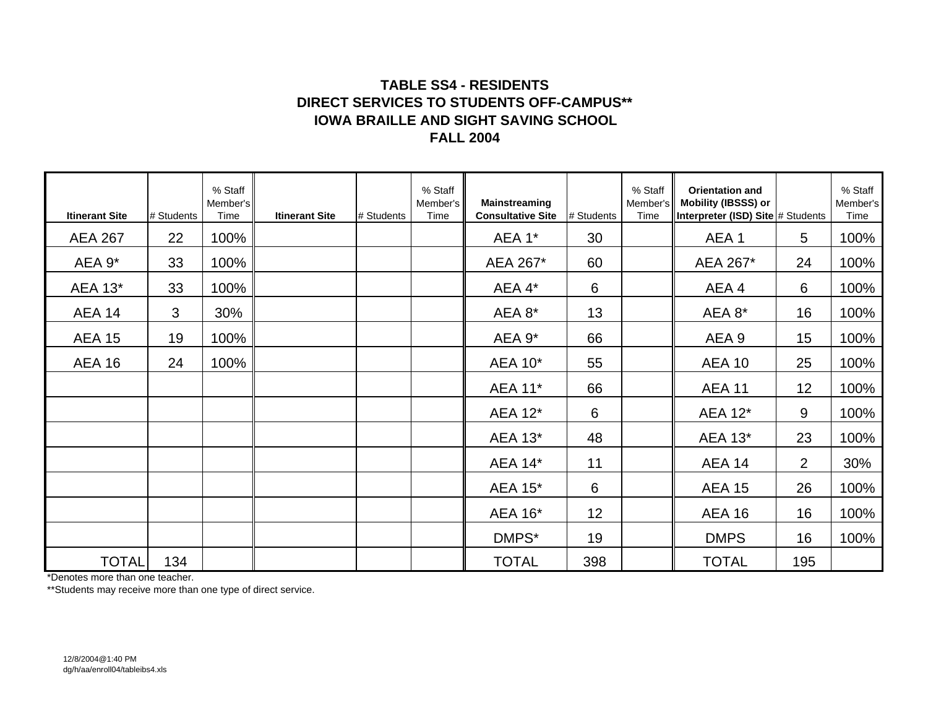### **TABLE SS4 - RESIDENTSDIRECT SERVICES TO STUDENTS OFF-CAMPUS\*\*FALL 2004IOWA BRAILLE AND SIGHT SAVING SCHOOL**

| <b>Itinerant Site</b> | # Students | % Staff<br>Member's<br>Time | <b>Itinerant Site</b> | # Students | % Staff<br>Member's<br>Time | <b>Mainstreaming</b><br><b>Consultative Site</b> | # Students | % Staff<br>Member's<br>Time | <b>Orientation and</b><br>Mobility (IBSSS) or<br>Interpreter (ISD) Site # Students |                 | % Staff<br>Member's<br>Time |
|-----------------------|------------|-----------------------------|-----------------------|------------|-----------------------------|--------------------------------------------------|------------|-----------------------------|------------------------------------------------------------------------------------|-----------------|-----------------------------|
| <b>AEA 267</b>        | 22         | 100%                        |                       |            |                             | AEA 1*                                           | 30         |                             | AEA 1                                                                              | $5\overline{)}$ | 100%                        |
| AEA 9*                | 33         | 100%                        |                       |            |                             | AEA 267*                                         | 60         |                             | AEA 267*                                                                           | 24              | 100%                        |
| <b>AEA 13*</b>        | 33         | 100%                        |                       |            |                             | AEA 4*                                           | 6          |                             | AEA 4                                                                              | 6               | 100%                        |
| AEA 14                | 3          | 30%                         |                       |            |                             | AEA 8*                                           | 13         |                             | AEA 8*                                                                             | 16              | 100%                        |
| <b>AEA 15</b>         | 19         | 100%                        |                       |            |                             | AEA 9*                                           | 66         |                             | AEA 9                                                                              | 15              | 100%                        |
| <b>AEA 16</b>         | 24         | 100%                        |                       |            |                             | <b>AEA 10*</b>                                   | 55         |                             | <b>AEA 10</b>                                                                      | 25              | 100%                        |
|                       |            |                             |                       |            |                             | <b>AEA 11*</b>                                   | 66         |                             | <b>AEA 11</b>                                                                      | 12 <sup>2</sup> | 100%                        |
|                       |            |                             |                       |            |                             | <b>AEA 12*</b>                                   | 6          |                             | <b>AEA 12*</b>                                                                     | 9               | 100%                        |
|                       |            |                             |                       |            |                             | AEA 13*                                          | 48         |                             | <b>AEA 13*</b>                                                                     | 23              | 100%                        |
|                       |            |                             |                       |            |                             | <b>AEA 14*</b>                                   | 11         |                             | <b>AEA 14</b>                                                                      | $\overline{2}$  | 30%                         |
|                       |            |                             |                       |            |                             | <b>AEA 15*</b>                                   | 6          |                             | <b>AEA 15</b>                                                                      | 26              | 100%                        |
|                       |            |                             |                       |            |                             | <b>AEA 16*</b>                                   | 12         |                             | <b>AEA 16</b>                                                                      | 16              | 100%                        |
|                       |            |                             |                       |            |                             | DMPS*                                            | 19         |                             | <b>DMPS</b>                                                                        | 16              | 100%                        |
| <b>TOTAL</b>          | 134        |                             |                       |            |                             | <b>TOTAL</b>                                     | 398        |                             | <b>TOTAL</b>                                                                       | 195             |                             |

\*Denotes more than one teacher.

\*\*Students may receive more than one type of direct service.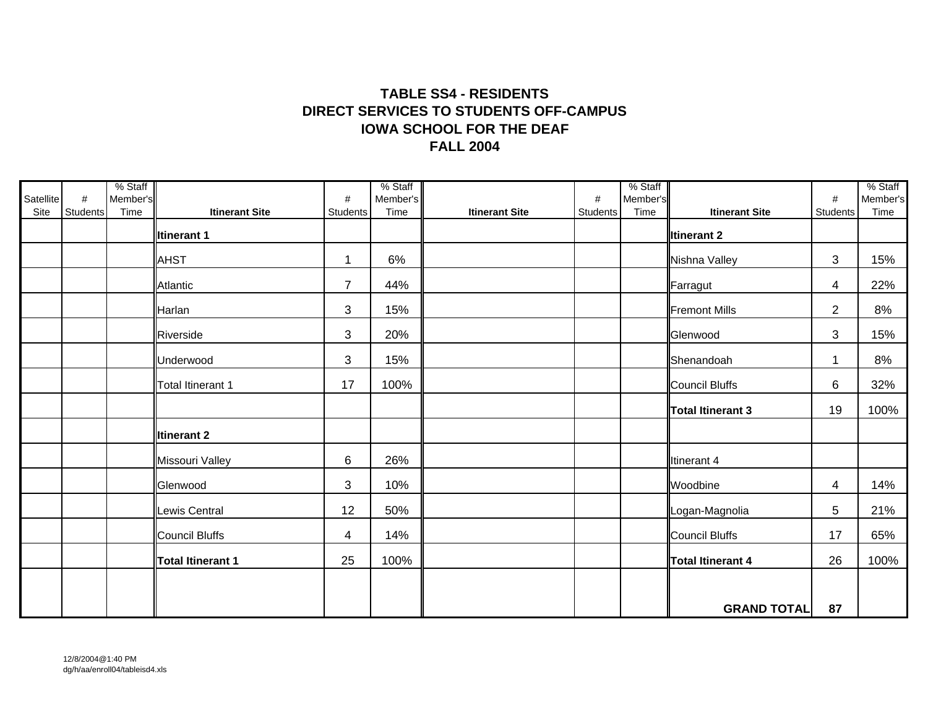## **TABLE SS4 - RESIDENTSDIRECT SERVICES TO STUDENTS OFF-CAMPUSFALL 2004IOWA SCHOOL FOR THE DEAF**

|                   |                  | % Staff          |                          |                      | % Staff          |                       |               | % Staff          |                          |                      | % Staff          |
|-------------------|------------------|------------------|--------------------------|----------------------|------------------|-----------------------|---------------|------------------|--------------------------|----------------------|------------------|
| Satellite<br>Site | $\#$<br>Students | Member's<br>Time | <b>Itinerant Site</b>    | #<br>Students        | Member's<br>Time | <b>Itinerant Site</b> | #<br>Students | Member's<br>Time | <b>Itinerant Site</b>    | #<br><b>Students</b> | Member's<br>Time |
|                   |                  |                  | <b>Itinerant 1</b>       |                      |                  |                       |               |                  | <b>Iltinerant 2</b>      |                      |                  |
|                   |                  |                  | <b>AHST</b>              | $\blacktriangleleft$ | 6%               |                       |               |                  | Nishna Valley            | 3                    | 15%              |
|                   |                  |                  | Atlantic                 | $\overline{7}$       | 44%              |                       |               |                  | Farragut                 | 4                    | 22%              |
|                   |                  |                  | Harlan                   | 3                    | 15%              |                       |               |                  | <b>Fremont Mills</b>     | $\overline{2}$       | 8%               |
|                   |                  |                  | Riverside                | 3                    | 20%              |                       |               |                  | Glenwood                 | 3                    | 15%              |
|                   |                  |                  | Underwood                | 3                    | 15%              |                       |               |                  | Shenandoah               | $\mathbf{1}$         | 8%               |
|                   |                  |                  | Total Itinerant 1        | 17                   | 100%             |                       |               |                  | <b>Council Bluffs</b>    | $\,6$                | 32%              |
|                   |                  |                  |                          |                      |                  |                       |               |                  | <b>Total Itinerant 3</b> | 19                   | 100%             |
|                   |                  |                  | <b>Itinerant 2</b>       |                      |                  |                       |               |                  |                          |                      |                  |
|                   |                  |                  | Missouri Valley          | $6\phantom{1}$       | 26%              |                       |               |                  | Itinerant 4              |                      |                  |
|                   |                  |                  | Glenwood                 | 3                    | 10%              |                       |               |                  | Woodbine                 | 4                    | 14%              |
|                   |                  |                  | Lewis Central            | 12                   | 50%              |                       |               |                  | Logan-Magnolia           | 5                    | 21%              |
|                   |                  |                  | Council Bluffs           | 4                    | 14%              |                       |               |                  | Council Bluffs           | 17                   | 65%              |
|                   |                  |                  | <b>Total Itinerant 1</b> | 25                   | 100%             |                       |               |                  | <b>Total Itinerant 4</b> | 26                   | 100%             |
|                   |                  |                  |                          |                      |                  |                       |               |                  |                          |                      |                  |
|                   |                  |                  |                          |                      |                  |                       |               |                  | <b>GRAND TOTAL</b>       | 87                   |                  |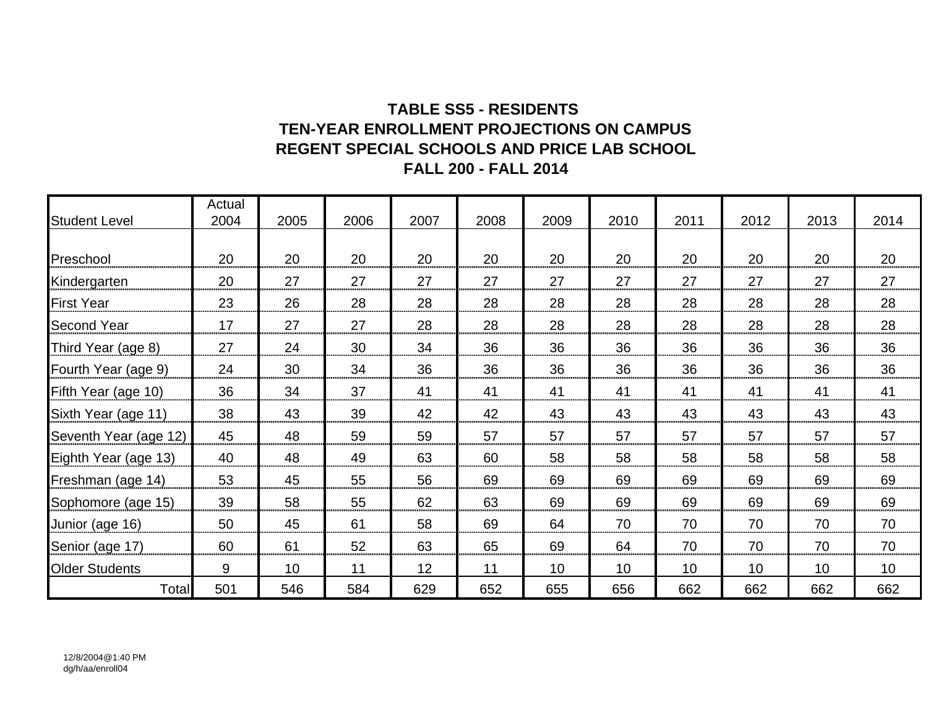## **TABLE SS5 - RESIDENTS TEN-YEAR ENROLLMENT PROJECTIONS ON CAMPUSREGENT SPECIAL SCHOOLS AND PRICE LAB SCHOOL FALL 200 - FALL 2014**

|                       | Actual |      |      |      |      |      |      |      |      |                 |      |
|-----------------------|--------|------|------|------|------|------|------|------|------|-----------------|------|
| <b>Student Level</b>  | 2004   | 2005 | 2006 | 2007 | 2008 | 2009 | 2010 | 2011 | 2012 | 2013            | 2014 |
|                       |        |      |      |      |      |      |      |      |      |                 |      |
| Preschool             | 20     | 20   | 20   | 20   | 20   | 20   | 20   | 20   | 20   | 20              | 20   |
| Kindergarten          | 20     | 27   | 27   | 27   | 27   | 27   | 27   | 27   | 27   | 27              | 27   |
| <b>First Year</b>     | 23     | 26   | 28   | 28   | 28   | 28   | 28   | 28   | 28   | 28              | 28   |
| <b>Second Year</b>    | 17     | 27   | 27   | 28   | 28   | 28   | 28   | 28   | 28   | 28              | 28   |
| Third Year (age 8)    | 27     | 24   | 30   | 34   | 36   | 36   | 36   | 36   | 36   | 36              | 36   |
| Fourth Year (age 9)   | 24     | 30   | 34   | 36   | 36   | 36   | 36   | 36   | 36   | 36              | 36   |
| Fifth Year (age 10)   | 36     | 34   | 37   | 41   | 41   | 41   | 41   | 41   | 41   | 41              | 41   |
| Sixth Year (age 11)   | 38     | 43   | 39   | 42   | 42   | 43   | 43   | 43   | 43   | 43              | 43   |
| Seventh Year (age 12) | 45     | 48   | 59   | 59   | 57   | 57   | 57   | 57   | 57   | 57              | 57   |
| Eighth Year (age 13)  | 40     | 48   | 49   | 63   | 60   | 58   | 58   | 58   | 58   | 58              | 58   |
| Freshman (age 14)     | 53     | 45   | 55   | 56   | 69   | 69   | 69   | 69   | 69   | 69              | 69   |
| Sophomore (age 15)    | 39     | 58   | 55   | 62   | 63   | 69   | 69   | 69   | 69   | 69              | 69   |
| Junior (age 16)       | 50     | 45   | 61   | 58   | 69   | 64   | 70   | 70   | 70   | 70              | 70   |
| Senior (age 17)       | 60     | 61   | 52   | 63   | 65   | 69   | 64   | 70   | 70   | 70              | 70   |
| <b>Older Students</b> | 9      | 10   | 11   | 12   | 11   | 10   | 10   | 10   | 10   | 10 <sup>°</sup> | 10   |
| Total                 | 501    | 546  | 584  | 629  | 652  | 655  | 656  | 662  | 662  | 662             | 662  |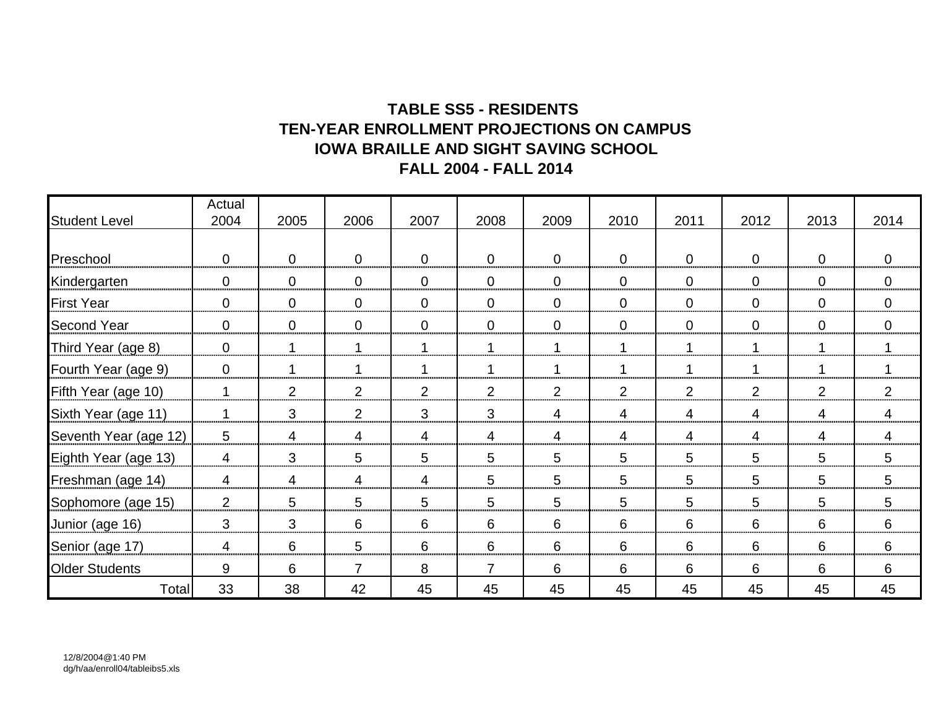## **TABLE SS5 - RESIDENTS TEN-YEAR ENROLLMENT PROJECTIONS ON CAMPUSIOWA BRAILLE AND SIGHT SAVING SCHOOL FALL 2004 - FALL 2014**

|                       | Actual         |                |                |                |                |                |             |                 |                |                |                |
|-----------------------|----------------|----------------|----------------|----------------|----------------|----------------|-------------|-----------------|----------------|----------------|----------------|
| <b>Student Level</b>  | 2004           | 2005           | 2006           | 2007           | 2008           | 2009           | 2010        | 2011            | 2012           | 2013           | 2014           |
|                       |                |                |                |                |                |                |             |                 |                |                |                |
| Preschool             | $\mathbf 0$    | $\overline{0}$ | $\mathbf 0$    | $\mathbf 0$    | $\overline{0}$ | $\overline{0}$ | $\mathbf 0$ | $\overline{0}$  | $\overline{0}$ | $\overline{0}$ | $\overline{0}$ |
| Kindergarten          | $\mathbf 0$    | $\overline{0}$ | $\mathbf 0$    | $\mathbf 0$    | $\overline{0}$ | $\mathbf 0$    | $\mathbf 0$ | $\overline{0}$  | $\mathbf 0$    | $\mathbf 0$    | $\overline{0}$ |
| <b>First Year</b>     | $\mathbf 0$    | $\mathbf 0$    | $\mathbf 0$    | $\mathbf 0$    | $\overline{0}$ | $\mathbf 0$    | $\mathbf 0$ | $\overline{0}$  | $\mathbf 0$    | $\mathbf 0$    | $\overline{0}$ |
| <b>Second Year</b>    | $\mathbf 0$    | $\mathbf 0$    | $\mathbf 0$    | $\mathbf 0$    | $\overline{0}$ | $\overline{0}$ | $\mathbf 0$ | $\overline{0}$  | $\mathbf 0$    | $\mathbf 0$    | $\overline{0}$ |
| Third Year (age 8)    | $\mathbf 0$    |                | 1              | 1              |                | 1              | 1           |                 |                | 1              |                |
| Fourth Year (age 9)   | $\mathbf 0$    |                | 1              | 1              |                | 1              | 1           |                 |                | 1              |                |
| Fifth Year (age 10)   | $\mathbf 1$    | 2              | $\overline{2}$ | $\overline{2}$ | 2              | $\overline{2}$ | 2           | $\overline{2}$  | $\overline{2}$ | $\overline{2}$ | 2              |
| Sixth Year (age 11)   | 1              | 3              | 2              | 3              | 3              | 4              | 4           | $\overline{4}$  | $\overline{4}$ | 4              | $\overline{4}$ |
| Seventh Year (age 12) | 5              | 4              | 4              | 4              | $\overline{4}$ | 4              | 4           | $\overline{4}$  | $\overline{4}$ | 4              | $\overline{4}$ |
| Eighth Year (age 13)  | $\overline{4}$ | 3              | 5              | 5              | 5              | 5              | 5           | 5               | 5              | 5              | 5              |
| Freshman (age 14)     | 4              | 4              | 4              | 4              | 5              | 5              | 5           | 5               | 5              | 5              | 5              |
| Sophomore (age 15)    | 2              | 5              | 5              | 5              | 5              | 5              | 5           | $5\phantom{.0}$ | 5              | 5              | 5              |
| Junior (age 16)       | 3              | 3              | 6              | 6              | 6              | 6              | 6           | 6               | 6              | 6              | 6              |
| Senior (age 17)       | 4              | 6              | 5              | 6              | 6              | 6              | 6           | 6               | 6              | 6              | 6              |
| <b>Older Students</b> | 9              | 6              | $\overline{7}$ | 8              | $\overline{7}$ | 6              | 6           | 6               | 6              | 6              | 6              |
| Total                 | 33             | 38             | 42             | 45             | 45             | 45             | 45          | 45              | 45             | 45             | 45             |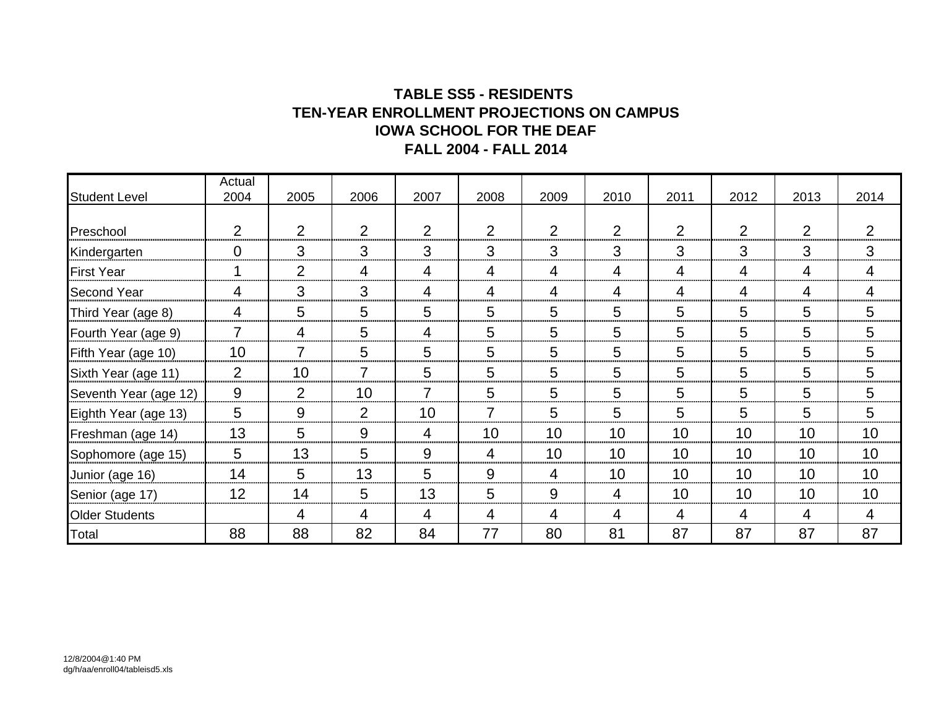## **TABLE SS5 - RESIDENTS TEN-YEAR ENROLLMENT PROJECTIONS ON CAMPUS IOWA SCHOOL FOR THE DEAF FALL 2004 - FALL 2014**

|                       | Actual         |                |                |      |      |                 |                 |      |                |      |                 |
|-----------------------|----------------|----------------|----------------|------|------|-----------------|-----------------|------|----------------|------|-----------------|
| <b>Student Level</b>  | 2004           | 2005           | 2006           | 2007 | 2008 | 2009            | 2010            | 2011 | 2012           | 2013 | 2014            |
|                       |                |                |                |      |      |                 |                 |      |                |      |                 |
| Preschool             | 2              | 2              | 2              | 2    | 2    | 2               | $\overline{2}$  | 2    | $\overline{2}$ | 2    | 2               |
| Kindergarten          | $\mathbf 0$    | 3              | 3              | 3    | 3    | 3               | 3               | 3    | 3              | 3    | $\mathbf{3}$    |
| <b>First Year</b>     |                | $\overline{2}$ | 4              | 4    | 4    | $\overline{4}$  | 4               | 4    | 4              | 4    | 4               |
| <b>Second Year</b>    | 4              | 3              | 3              | 4    | 4    | $\overline{4}$  | 4               | 4    | $\overline{4}$ | 4    | $\overline{4}$  |
| Third Year (age 8)    | 4              | 5              | 5              | 5    | 5    | $5\phantom{.0}$ | 5               | 5    | 5              | 5    | 5               |
| Fourth Year (age 9)   | $\overline{7}$ | 4              | 5              | 4    | 5    | 5               | 5               | 5    | 5              | 5    | 5               |
| Fifth Year (age 10)   | 10             |                | 5              | 5    | 5    | 5               | 5               | 5    | 5              | 5    | 5               |
| Sixth Year (age 11)   | $\overline{2}$ | 10             | 7              | 5    | 5    | 5               | 5               | 5    | 5              | 5    | 5               |
| Seventh Year (age 12) | 9              | $\overline{2}$ | 10             | 7    | 5    | 5               | 5               | 5    | 5              | 5    | 5               |
| Eighth Year (age 13)  | 5              | 9              | $\overline{2}$ | 10   | 7    | 5               | 5               | 5    | 5              | 5    | 5               |
| Freshman (age 14)     | 13             | 5              | 9              | 4    | 10   | 10              | 10 <sup>1</sup> | 10   | 10             | 10   | 10 <sup>°</sup> |
| Sophomore (age 15)    | 5              | 13             | 5              | 9    | 4    | 10              | 10 <sup>1</sup> | 10   | 10             | 10   | 10 <sup>°</sup> |
| Junior (age 16)       | 14             | 5              | 13             | 5    | 9    | $\overline{4}$  | 10 <sup>1</sup> | 10   | 10             | 10   | 10 <sup>°</sup> |
| Senior (age 17)       | 12             | 14             | 5              | 13   | 5    | 9               | 4               | 10   | 10             | 10   | 10              |
| <b>Older Students</b> |                | 4              | 4              | 4    | 4    | 4               | 4               | 4    | 4              | 4    | 4               |
| <b>Total</b>          | 88             | 88             | 82             | 84   | 77   | 80              | 81              | 87   | 87             | 87   | 87              |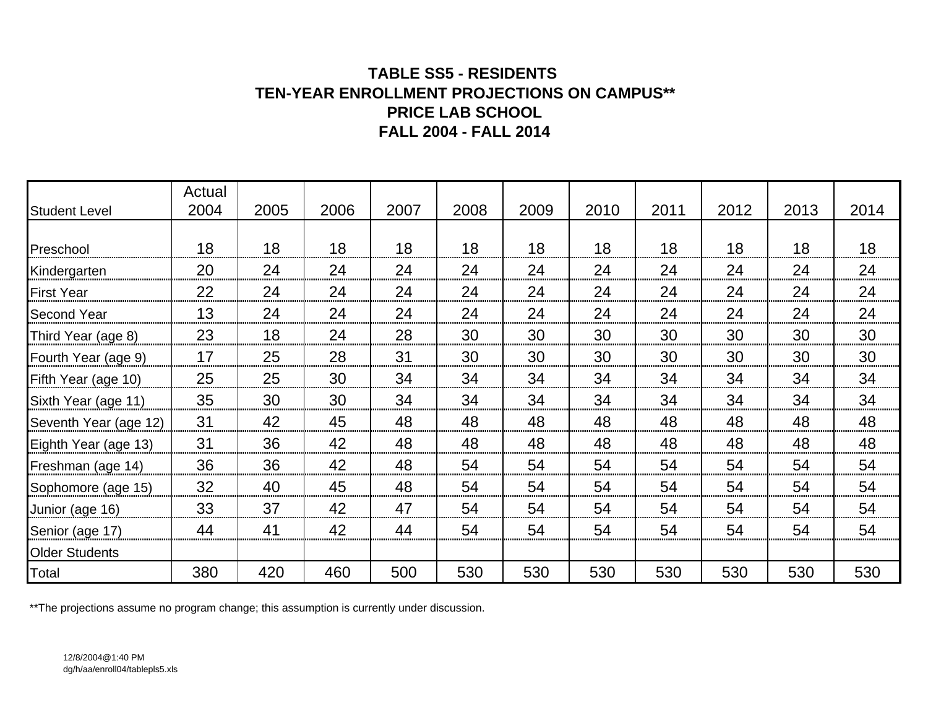## **TABLE SS5 - RESIDENTS TEN-YEAR ENROLLMENT PROJECTIONS ON CAMPUS\*\* PRICE LAB SCHOOLFALL 2004 - FALL 2014**

| <b>Student Level</b>  | Actual<br>2004 | 2005 | 2006 | 2007 | 2008 | 2009 | 2010 | 2011 | 2012 | 2013 | 2014 |
|-----------------------|----------------|------|------|------|------|------|------|------|------|------|------|
|                       |                |      |      |      |      |      |      |      |      |      |      |
| Preschool             | 18             | 18   | 18   | 18   | 18   | 18   | 18   | 18   | 18   | 18   | 18   |
| Kindergarten          | 20             | 24   | 24   | 24   | 24   | 24   | 24   | 24   | 24   | 24   | 24   |
| <b>First Year</b>     | 22             | 24   | 24   | 24   | 24   | 24   | 24   | 24   | 24   | 24   | 24   |
| <b>Second Year</b>    | 13             | 24   | 24   | 24   | 24   | 24   | 24   | 24   | 24   | 24   | 24   |
| Third Year (age 8)    | 23             | 18   | 24   | 28   | 30   | 30   | 30   | 30   | 30   | 30   | 30   |
| Fourth Year (age 9)   | 17             | 25   | 28   | 31   | 30   | 30   | 30   | 30   | 30   | 30   | 30   |
| Fifth Year (age 10)   | 25             | 25   | 30   | 34   | 34   | 34   | 34   | 34   | 34   | 34   | 34   |
| Sixth Year (age 11)   | 35             | 30   | 30   | 34   | 34   | 34   | 34   | 34   | 34   | 34   | 34   |
| Seventh Year (age 12) | 31             | 42   | 45   | 48   | 48   | 48   | 48   | 48   | 48   | 48   | 48   |
| Eighth Year (age 13)  | 31             | 36   | 42   | 48   | 48   | 48   | 48   | 48   | 48   | 48   | 48   |
| Freshman (age 14)     | 36             | 36   | 42   | 48   | 54   | 54   | 54   | 54   | 54   | 54   | 54   |
| Sophomore (age 15)    | 32             | 40   | 45   | 48   | 54   | 54   | 54   | 54   | 54   | 54   | 54   |
| Junior (age 16)       | 33             | 37   | 42   | 47   | 54   | 54   | 54   | 54   | 54   | 54   | 54   |
| Senior (age 17)       | 44             | 41   | 42   | 44   | 54   | 54   | 54   | 54   | 54   | 54   | 54   |
| <b>Older Students</b> |                |      |      |      |      |      |      |      |      |      |      |
| Total                 | 380            | 420  | 460  | 500  | 530  | 530  | 530  | 530  | 530  | 530  | 530  |

\*\*The projections assume no program change; this assumption is currently under discussion.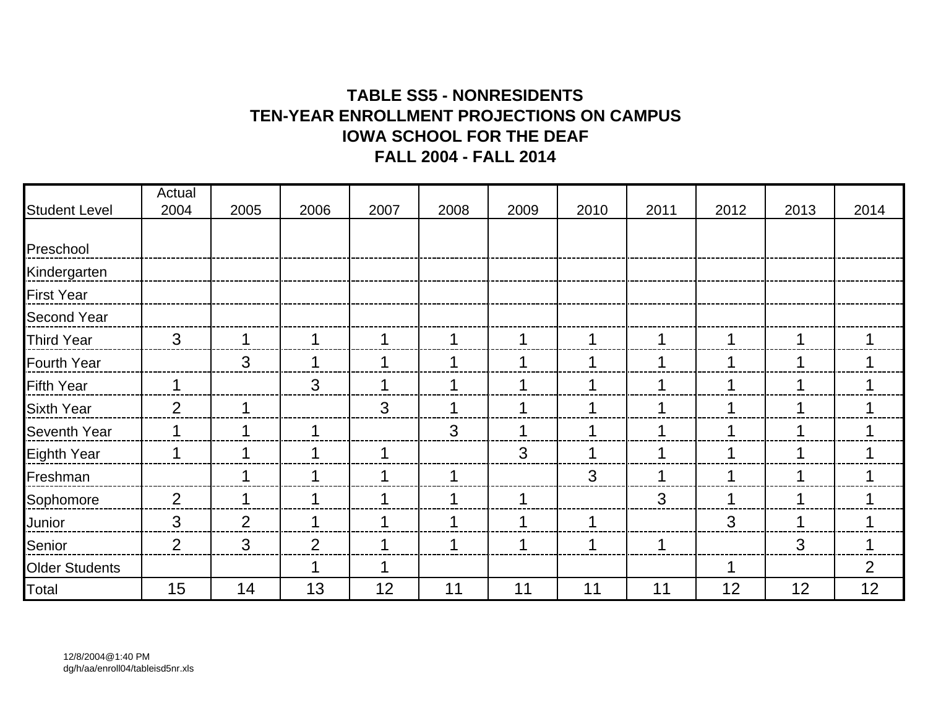# **TABLE SS5 - NONRESIDENTSTEN-YEAR ENROLLMENT PROJECTIONS ON CAMPUSIOWA SCHOOL FOR THE DEAFFALL 2004 - FALL 2014**

|                       | Actual       |                |                |      |      |      |      |      |      |      |      |
|-----------------------|--------------|----------------|----------------|------|------|------|------|------|------|------|------|
| <b>Student Level</b>  | 2004         | 2005           | 2006           | 2007 | 2008 | 2009 | 2010 | 2011 | 2012 | 2013 | 2014 |
| Preschool             |              |                |                |      |      |      |      |      |      |      |      |
| Kindergarten          |              |                |                |      |      |      |      |      |      |      |      |
| <b>First Year</b>     |              |                |                |      |      |      |      |      |      |      |      |
| <b>Second Year</b>    |              |                |                |      |      |      |      |      |      |      |      |
| <b>Third Year</b>     | $\mathbf{3}$ |                |                |      | 1    |      |      |      |      |      | 1    |
| <b>Fourth Year</b>    |              | $\mathbf{3}$   |                |      | 1    |      |      |      |      |      |      |
| <b>Fifth Year</b>     | 1            |                | 3              |      | 1    |      | 1    |      | 1    |      |      |
| <b>Sixth Year</b>     | 2            |                |                | 3    | 1    |      | 1    |      | 1    |      |      |
| <b>Seventh Year</b>   |              |                |                |      | 3    |      |      |      |      |      |      |
| <b>Eighth Year</b>    |              |                |                |      |      | 3    |      |      |      |      |      |
| Freshman              |              |                |                | ◀    | 1    |      | 3    |      | ◀    |      |      |
| Sophomore             | 2            |                |                | и    | 1    |      |      | 3    | 1    |      |      |
| Junior                | 3            | $\overline{2}$ |                | 1    | 1    |      | 1    |      | 3    |      |      |
| Senior                | 2            | 3              | $\overline{2}$ | 1    | 1    |      | 1    | 1    |      | 3    | 1    |
| <b>Older Students</b> |              |                |                | 1    |      |      |      |      | 1    |      | 2    |
| Total                 | 15           | 14             | 13             | 12   | 11   | 11   | 11   | 11   | 12   | 12   | 12   |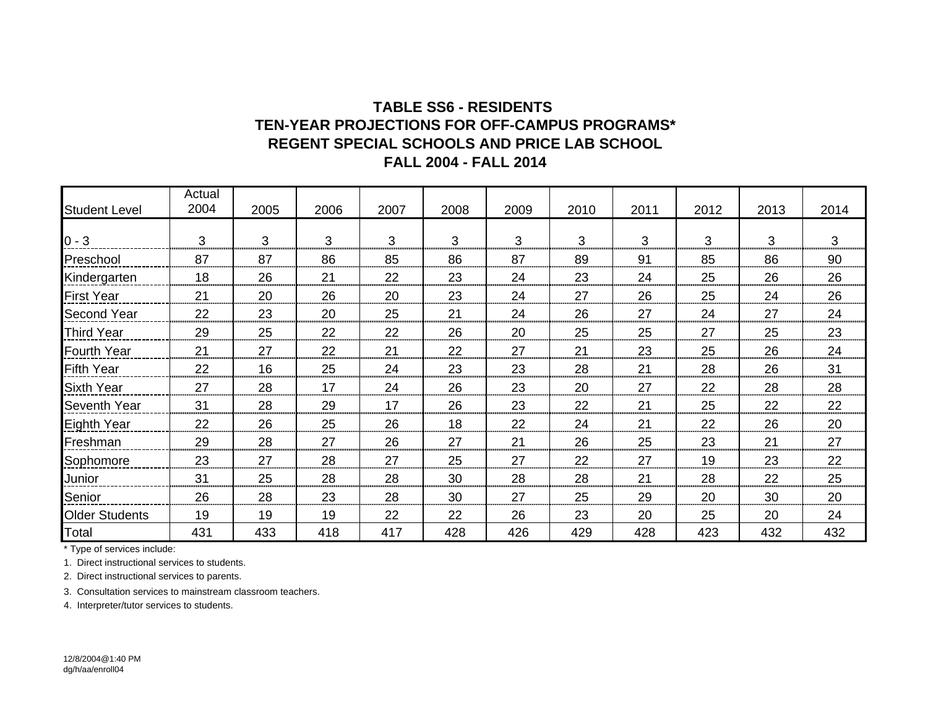### **TABLE SS6 - RESIDENTS REGENT SPECIAL SCHOOLS AND PRICE LAB SCHOOLTEN-YEAR PROJECTIONS FOR OFF-CAMPUS PROGRAMS\*FALL 2004 - FALL 2014**

| <b>Student Level</b>  | Actual<br>2004 | 2005 | 2006 | 2007 | 2008 | 2009 | 2010 | 2011 | 2012 | 2013 | 2014 |
|-----------------------|----------------|------|------|------|------|------|------|------|------|------|------|
|                       |                |      |      |      |      |      |      |      |      |      |      |
| $0 - 3$               | 3              | 3    | 3    | 3    | 3    | 3    | 3    | 3    | 3    | 3    | 3    |
| Preschool             | 87             | 87   | 86   | 85   | 86   | 87   | 89   | 91   | 85   | 86   | 90   |
| Kindergarten          | 18             | 26   | 21   | 22   | 23   | 24   | 23   | 24   | 25   | 26   | 26   |
| <b>First Year</b>     | 21             | 20   | 26   | 20   | 23   | 24   | 27   | 26   | 25   | 24   | 26   |
| <b>Second Year</b>    | 22             | 23   | 20   | 25   | 21   | 24   | 26   | 27   | 24   | 27   | 24   |
| <b>Third Year</b>     | 29             | 25   | 22   | 22   | 26   | 20   | 25   | 25   | 27   | 25   | 23   |
| <b>Fourth Year</b>    | 21             | 27   | 22   | 21   | 22   | 27   | 21   | 23   | 25   | 26   | 24   |
| <b>Fifth Year</b>     | 22             | 16   | 25   | 24   | 23   | 23   | 28   | 21   | 28   | 26   | 31   |
| <b>Sixth Year</b>     | 27             | 28   | 17   | 24   | 26   | 23   | 20   | 27   | 22   | 28   | 28   |
| <b>Seventh Year</b>   | 31             | 28   | 29   | 17   | 26   | 23   | 22   | 21   | 25   | 22   | 22   |
| <b>Eighth Year</b>    | 22             | 26   | 25   | 26   | 18   | 22   | 24   | 21   | 22   | 26   | 20   |
| Freshman              | 29             | 28   | 27   | 26   | 27   | 21   | 26   | 25   | 23   | 21   | 27   |
| Sophomore             | 23             | 27   | 28   | 27   | 25   | 27   | 22   | 27   | 19   | 23   | 22   |
| Junior                | 31             | 25   | 28   | 28   | 30   | 28   | 28   | 21   | 28   | 22   | 25   |
| Senior                | 26             | 28   | 23   | 28   | 30   | 27   | 25   | 29   | 20   | 30   | 20   |
| <b>Older Students</b> | 19             | 19   | 19   | 22   | 22   | 26   | 23   | 20   | 25   | 20   | 24   |
| Total                 | 431            | 433  | 418  | 417  | 428  | 426  | 429  | 428  | 423  | 432  | 432  |

\* Type of services include:

1. Direct instructional services to students.

2. Direct instructional services to parents.

3. Consultation services to mainstream classroom teachers.

4. Interpreter/tutor services to students.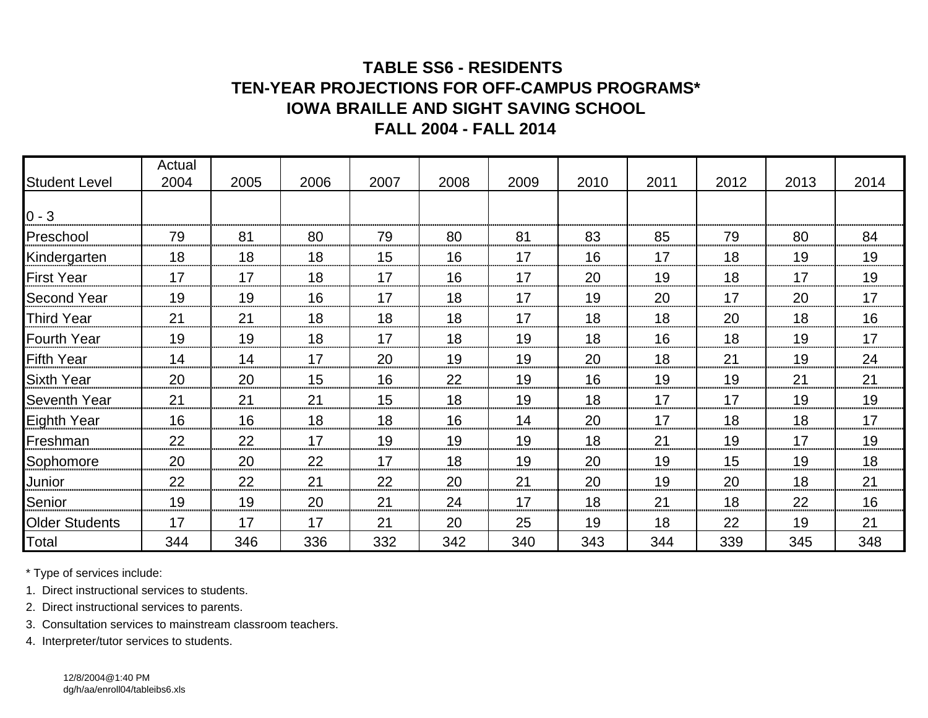## **TABLE SS6 - RESIDENTS TEN-YEAR PROJECTIONS FOR OFF-CAMPUS PROGRAMS\* IOWA BRAILLE AND SIGHT SAVING SCHOOLFALL 2004 - FALL 2014**

|                       | Actual |      |      |      |      |      |      |      |      |      |      |
|-----------------------|--------|------|------|------|------|------|------|------|------|------|------|
| <b>Student Level</b>  | 2004   | 2005 | 2006 | 2007 | 2008 | 2009 | 2010 | 2011 | 2012 | 2013 | 2014 |
| $0 - 3$               |        |      |      |      |      |      |      |      |      |      |      |
| Preschool             | 79     | 81   | 80   | 79   | 80   | 81   | 83   | 85   | 79   | 80   | 84   |
| Kindergarten          | 18     | 18   | 18   | 15   | 16   | 17   | 16   | 17   | 18   | 19   | 19   |
| <b>First Year</b>     | 17     | 17   | 18   | 17   | 16   | 17   | 20   | 19   | 18   | 17   | 19   |
| <b>Second Year</b>    | 19     | 19   | 16   | 17   | 18   | 17   | 19   | 20   | 17   | 20   | 17   |
| <b>Third Year</b>     | 21     | 21   | 18   | 18   | 18   | 17   | 18   | 18   | 20   | 18   | 16   |
| <b>Fourth Year</b>    | 19     | 19   | 18   | 17   | 18   | 19   | 18   | 16   | 18   | 19   | 17   |
| <b>Fifth Year</b>     | 14     | 14   | 17   | 20   | 19   | 19   | 20   | 18   | 21   | 19   | 24   |
| <b>Sixth Year</b>     | 20     | 20   | 15   | 16   | 22   | 19   | 16   | 19   | 19   | 21   | 21   |
| <b>Seventh Year</b>   | 21     | 21   | 21   | 15   | 18   | 19   | 18   | 17   | 17   | 19   | 19   |
| <b>Eighth Year</b>    | 16     | 16   | 18   | 18   | 16   | 14   | 20   | 17   | 18   | 18   | 17   |
| Freshman              | 22     | 22   | 17   | 19   | 19   | 19   | 18   | 21   | 19   | 17   | 19   |
| Sophomore             | 20     | 20   | 22   | 17   | 18   | 19   | 20   | 19   | 15   | 19   | 18   |
| Junior                | 22     | 22   | 21   | 22   | 20   | 21   | 20   | 19   | 20   | 18   | 21   |
| Senior                | 19     | 19   | 20   | 21   | 24   | 17   | 18   | 21   | 18   | 22   | 16   |
| <b>Older Students</b> | 17     | 17   | 17   | 21   | 20   | 25   | 19   | 18   | 22   | 19   | 21   |
| Total                 | 344    | 346  | 336  | 332  | 342  | 340  | 343  | 344  | 339  | 345  | 348  |

\* Type of services include:

1. Direct instructional services to students.

2. Direct instructional services to parents.

3. Consultation services to mainstream classroom teachers.

4. Interpreter/tutor services to students.